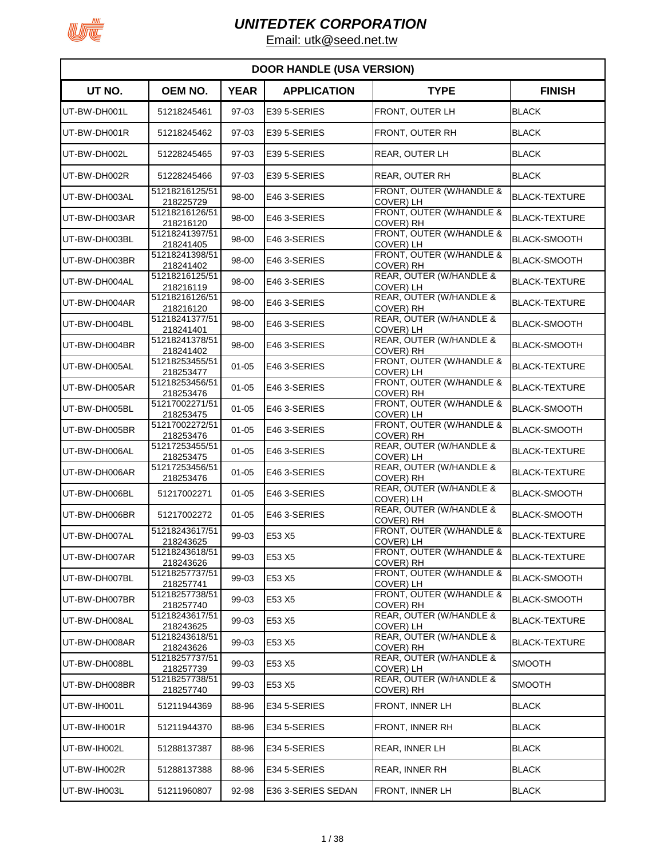

| <b>DOOR HANDLE (USA VERSION)</b> |                             |             |                    |                                              |                      |  |
|----------------------------------|-----------------------------|-------------|--------------------|----------------------------------------------|----------------------|--|
| UT NO.                           | OEM NO.                     | <b>YEAR</b> | <b>APPLICATION</b> | <b>TYPE</b>                                  | <b>FINISH</b>        |  |
| UT-BW-DH001L                     | 51218245461                 | 97-03       | E39 5-SERIES       | FRONT, OUTER LH                              | <b>BLACK</b>         |  |
| UT-BW-DH001R                     | 51218245462                 | 97-03       | E39 5-SERIES       | FRONT, OUTER RH                              | <b>BLACK</b>         |  |
| UT-BW-DH002L                     | 51228245465                 | 97-03       | E39 5-SERIES       | <b>REAR, OUTER LH</b>                        | <b>BLACK</b>         |  |
| UT-BW-DH002R                     | 51228245466                 | 97-03       | E39 5-SERIES       | REAR, OUTER RH                               | <b>BLACK</b>         |  |
| UT-BW-DH003AL                    | 51218216125/51<br>218225729 | 98-00       | E46 3-SERIES       | FRONT, OUTER (W/HANDLE &<br>COVER) LH        | <b>BLACK-TEXTURE</b> |  |
| UT-BW-DH003AR                    | 51218216126/51<br>218216120 | 98-00       | E46 3-SERIES       | FRONT, OUTER (W/HANDLE &<br>COVER) RH        | <b>BLACK-TEXTURE</b> |  |
| UT-BW-DH003BL                    | 51218241397/51<br>218241405 | 98-00       | E46 3-SERIES       | FRONT, OUTER (W/HANDLE &<br>COVER) LH        | <b>BLACK-SMOOTH</b>  |  |
| UT-BW-DH003BR                    | 51218241398/51<br>218241402 | 98-00       | E46 3-SERIES       | FRONT, OUTER (W/HANDLE &<br><b>COVER) RH</b> | <b>BLACK-SMOOTH</b>  |  |
| UT-BW-DH004AL                    | 51218216125/51<br>218216119 | 98-00       | E46 3-SERIES       | REAR, OUTER (W/HANDLE &<br>COVER) LH         | <b>BLACK-TEXTURE</b> |  |
| UT-BW-DH004AR                    | 51218216126/51<br>218216120 | 98-00       | E46 3-SERIES       | REAR, OUTER (W/HANDLE &<br><b>COVER) RH</b>  | <b>BLACK-TEXTURE</b> |  |
| UT-BW-DH004BL                    | 51218241377/51<br>218241401 | 98-00       | E46 3-SERIES       | REAR, OUTER (W/HANDLE &<br>COVER) LH         | <b>BLACK-SMOOTH</b>  |  |
| UT-BW-DH004BR                    | 51218241378/51<br>218241402 | 98-00       | E46 3-SERIES       | REAR, OUTER (W/HANDLE &<br>COVER) RH         | BLACK-SMOOTH         |  |
| UT-BW-DH005AL                    | 51218253455/51<br>218253477 | $01 - 05$   | E46 3-SERIES       | FRONT, OUTER (W/HANDLE &<br>COVER) LH        | <b>BLACK-TEXTURE</b> |  |
| UT-BW-DH005AR                    | 51218253456/51<br>218253476 | $01 - 05$   | E46 3-SERIES       | FRONT, OUTER (W/HANDLE &<br><b>COVER) RH</b> | <b>BLACK-TEXTURE</b> |  |
| UT-BW-DH005BL                    | 51217002271/51<br>218253475 | $01 - 05$   | E46 3-SERIES       | FRONT, OUTER (W/HANDLE &<br>COVER) LH        | <b>BLACK-SMOOTH</b>  |  |
| UT-BW-DH005BR                    | 51217002272/51<br>218253476 | $01 - 05$   | E46 3-SERIES       | FRONT, OUTER (W/HANDLE &<br>COVER) RH        | <b>BLACK-SMOOTH</b>  |  |
| UT-BW-DH006AL                    | 51217253455/51<br>218253475 | $01 - 05$   | E46 3-SERIES       | REAR, OUTER (W/HANDLE &<br>COVER) LH         | <b>BLACK-TEXTURE</b> |  |
| UT-BW-DH006AR                    | 51217253456/51<br>218253476 | $01 - 05$   | E46 3-SERIES       | REAR, OUTER (W/HANDLE &<br>COVER) RH         | <b>BLACK-TEXTURE</b> |  |
| UT-BW-DH006BL                    | 51217002271                 | $01 - 05$   | E46 3-SERIES       | REAR, OUTER (W/HANDLE &<br><b>COVER) LH</b>  | <b>BLACK-SMOOTH</b>  |  |
| UT-BW-DH006BR                    | 51217002272                 | $01 - 05$   | E46 3-SERIES       | REAR, OUTER (W/HANDLE &<br>COVER) RH         | <b>BLACK-SMOOTH</b>  |  |
| UT-BW-DH007AL                    | 51218243617/51<br>218243625 | 99-03       | E53 X5             | FRONT, OUTER (W/HANDLE &<br>COVER) LH        | <b>BLACK-TEXTURE</b> |  |
| UT-BW-DH007AR                    | 51218243618/51<br>218243626 | 99-03       | E53 X5             | FRONT, OUTER (W/HANDLE &<br>COVER) RH        | <b>BLACK-TEXTURE</b> |  |
| UT-BW-DH007BL                    | 51218257737/51<br>218257741 | 99-03       | E53 X5             | FRONT, OUTER (W/HANDLE &<br>COVER) LH        | <b>BLACK-SMOOTH</b>  |  |
| UT-BW-DH007BR                    | 51218257738/51<br>218257740 | 99-03       | E53 X5             | FRONT, OUTER (W/HANDLE &<br><b>COVER) RH</b> | <b>BLACK-SMOOTH</b>  |  |
| UT-BW-DH008AL                    | 51218243617/51<br>218243625 | 99-03       | E53 X5             | REAR, OUTER (W/HANDLE &<br>COVER) LH         | <b>BLACK-TEXTURE</b> |  |
| UT-BW-DH008AR                    | 51218243618/51<br>218243626 | 99-03       | E53 X5             | REAR, OUTER (W/HANDLE &<br>COVER) RH         | <b>BLACK-TEXTURE</b> |  |
| UT-BW-DH008BL                    | 51218257737/51<br>218257739 | 99-03       | E53 X5             | REAR, OUTER (W/HANDLE &<br>COVER) LH         | <b>SMOOTH</b>        |  |
| UT-BW-DH008BR                    | 51218257738/51<br>218257740 | 99-03       | E53 X5             | REAR, OUTER (W/HANDLE &<br><b>COVER) RH</b>  | SMOOTH               |  |
| UT-BW-IH001L                     | 51211944369                 | 88-96       | E34 5-SERIES       | FRONT, INNER LH                              | <b>BLACK</b>         |  |
| UT-BW-IH001R                     | 51211944370                 | 88-96       | E34 5-SERIES       | FRONT, INNER RH                              | <b>BLACK</b>         |  |
| UT-BW-IH002L                     | 51288137387                 | 88-96       | E34 5-SERIES       | REAR, INNER LH                               | <b>BLACK</b>         |  |
| UT-BW-IH002R                     | 51288137388                 | 88-96       | E34 5-SERIES       | <b>REAR, INNER RH</b>                        | <b>BLACK</b>         |  |
| UT-BW-IH003L                     | 51211960807                 | 92-98       | E36 3-SERIES SEDAN | <b>FRONT, INNER LH</b>                       | <b>BLACK</b>         |  |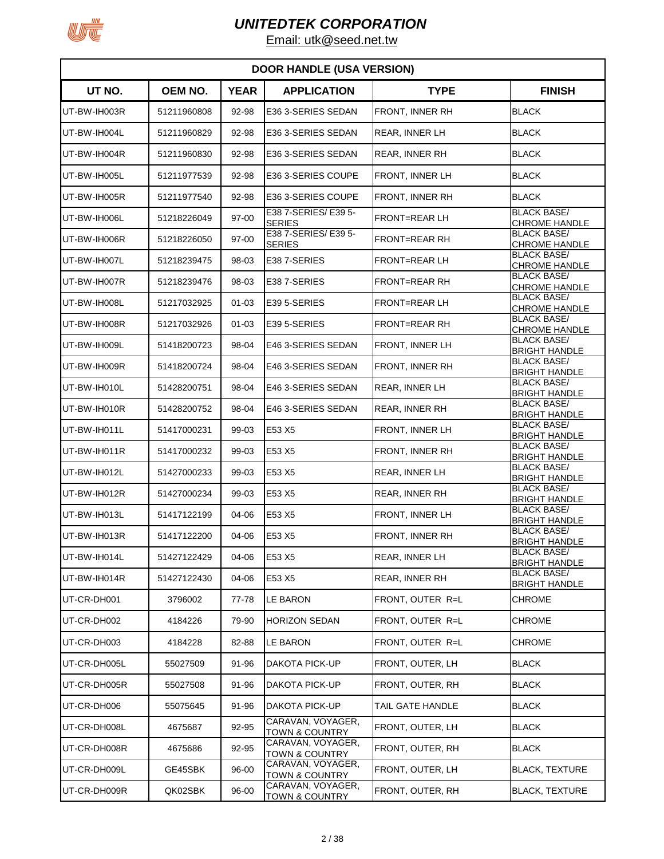

|              | <b>DOOR HANDLE (USA VERSION)</b> |             |                                                |                       |                                            |  |  |
|--------------|----------------------------------|-------------|------------------------------------------------|-----------------------|--------------------------------------------|--|--|
| UT NO.       | <b>OEM NO.</b>                   | <b>YEAR</b> | <b>APPLICATION</b>                             | <b>TYPE</b>           | <b>FINISH</b>                              |  |  |
| UT-BW-IH003R | 51211960808                      | 92-98       | E36 3-SERIES SEDAN                             | FRONT, INNER RH       | <b>BLACK</b>                               |  |  |
| UT-BW-IH004L | 51211960829                      | 92-98       | E36 3-SERIES SEDAN                             | REAR, INNER LH        | <b>BLACK</b>                               |  |  |
| UT-BW-IH004R | 51211960830                      | 92-98       | E36 3-SERIES SEDAN                             | <b>REAR, INNER RH</b> | <b>BLACK</b>                               |  |  |
| UT-BW-IH005L | 51211977539                      | 92-98       | E36 3-SERIES COUPE                             | FRONT, INNER LH       | <b>BLACK</b>                               |  |  |
| UT-BW-IH005R | 51211977540                      | 92-98       | E36 3-SERIES COUPE                             | FRONT, INNER RH       | <b>BLACK</b>                               |  |  |
| UT-BW-IH006L | 51218226049                      | 97-00       | E38 7-SERIES/ E39 5-<br><b>SERIES</b>          | FRONT=REAR LH         | <b>BLACK BASE/</b><br><b>CHROME HANDLE</b> |  |  |
| UT-BW-IH006R | 51218226050                      | 97-00       | E38 7-SERIES/E39 5-<br><b>SERIES</b>           | <b>FRONT=REAR RH</b>  | <b>BLACK BASE/</b><br><b>CHROME HANDLE</b> |  |  |
| UT-BW-IH007L | 51218239475                      | 98-03       | E38 7-SERIES                                   | FRONT=REAR LH         | <b>BLACK BASE/</b><br><b>CHROME HANDLE</b> |  |  |
| UT-BW-IH007R | 51218239476                      | 98-03       | E38 7-SERIES                                   | <b>FRONT=REAR RH</b>  | <b>BLACK BASE/</b><br><b>CHROME HANDLE</b> |  |  |
| UT-BW-IH008L | 51217032925                      | $01 - 03$   | E39 5-SERIES                                   | <b>FRONT=REAR LH</b>  | <b>BLACK BASE/</b><br><b>CHROME HANDLE</b> |  |  |
| UT-BW-IH008R | 51217032926                      | $01 - 03$   | E39 5-SERIES                                   | <b>FRONT=REAR RH</b>  | <b>BLACK BASE/</b><br><b>CHROME HANDLE</b> |  |  |
| UT-BW-IH009L | 51418200723                      | 98-04       | E46 3-SERIES SEDAN                             | FRONT, INNER LH       | <b>BLACK BASE/</b>                         |  |  |
| UT-BW-IH009R | 51418200724                      | 98-04       | E46 3-SERIES SEDAN                             | FRONT, INNER RH       | <b>BRIGHT HANDLE</b><br><b>BLACK BASE/</b> |  |  |
| UT-BW-IH010L | 51428200751                      | 98-04       | E46 3-SERIES SEDAN                             | REAR, INNER LH        | <b>BRIGHT HANDLE</b><br><b>BLACK BASE/</b> |  |  |
| UT-BW-IH010R | 51428200752                      | 98-04       | E46 3-SERIES SEDAN                             | <b>REAR, INNER RH</b> | <b>BRIGHT HANDLE</b><br><b>BLACK BASE/</b> |  |  |
| UT-BW-IH011L | 51417000231                      | 99-03       | E53 X5                                         | FRONT, INNER LH       | <b>BRIGHT HANDLE</b><br><b>BLACK BASE/</b> |  |  |
| UT-BW-IH011R | 51417000232                      | 99-03       | E53 X5                                         | FRONT, INNER RH       | <b>BRIGHT HANDLE</b><br><b>BLACK BASE/</b> |  |  |
| UT-BW-IH012L | 51427000233                      | 99-03       | E53 X5                                         | REAR, INNER LH        | <b>BRIGHT HANDLE</b><br><b>BLACK BASE/</b> |  |  |
| UT-BW-IH012R | 51427000234                      | 99-03       | E53 X5                                         | <b>REAR, INNER RH</b> | <b>BRIGHT HANDLE</b><br><b>BLACK BASE/</b> |  |  |
| UT-BW-IH013L | 51417122199                      | 04-06       | E53 X5                                         | FRONT, INNER LH       | <b>BRIGHT HANDLE</b><br><b>BLACK BASE/</b> |  |  |
| UT-BW-IH013R | 51417122200                      | 04-06       | E53 X5                                         | FRONT, INNER RH       | <b>BRIGHT HANDLE</b><br><b>BLACK BASE/</b> |  |  |
| UT-BW-IH014L | 51427122429                      | 04-06       | E53 X5                                         | REAR, INNER LH        | <b>BRIGHT HANDLE</b><br><b>BLACK BASE/</b> |  |  |
| UT-BW-IH014R | 51427122430                      | 04-06       | E53 X5                                         | <b>REAR, INNER RH</b> | <b>BRIGHT HANDLE</b><br><b>BLACK BASE/</b> |  |  |
| UT-CR-DH001  | 3796002                          | 77-78       | <b>LE BARON</b>                                | FRONT, OUTER R=L      | <b>BRIGHT HANDLE</b><br><b>CHROME</b>      |  |  |
| UT-CR-DH002  | 4184226                          | 79-90       | <b>HORIZON SEDAN</b>                           | FRONT, OUTER R=L      | <b>CHROME</b>                              |  |  |
| UT-CR-DH003  | 4184228                          | 82-88       | LE BARON                                       | FRONT, OUTER R=L      | <b>CHROME</b>                              |  |  |
| UT-CR-DH005L | 55027509                         | 91-96       | DAKOTA PICK-UP                                 | FRONT, OUTER, LH      | <b>BLACK</b>                               |  |  |
| UT-CR-DH005R | 55027508                         | 91-96       | DAKOTA PICK-UP                                 | FRONT, OUTER, RH      | <b>BLACK</b>                               |  |  |
| UT-CR-DH006  | 55075645                         | 91-96       | DAKOTA PICK-UP                                 | TAIL GATE HANDLE      | <b>BLACK</b>                               |  |  |
| UT-CR-DH008L | 4675687                          | 92-95       | CARAVAN, VOYAGER,                              | FRONT, OUTER, LH      | <b>BLACK</b>                               |  |  |
| UT-CR-DH008R | 4675686                          | 92-95       | TOWN & COUNTRY<br>CARAVAN, VOYAGER,            | FRONT, OUTER, RH      | <b>BLACK</b>                               |  |  |
| UT-CR-DH009L | GE45SBK                          | 96-00       | TOWN & COUNTRY<br>CARAVAN, VOYAGER,            | FRONT, OUTER, LH      | <b>BLACK, TEXTURE</b>                      |  |  |
| UT-CR-DH009R | QK02SBK                          | 96-00       | <b>TOWN &amp; COUNTRY</b><br>CARAVAN, VOYAGER, | FRONT, OUTER, RH      | <b>BLACK, TEXTURE</b>                      |  |  |
|              |                                  |             | <b>TOWN &amp; COUNTRY</b>                      |                       |                                            |  |  |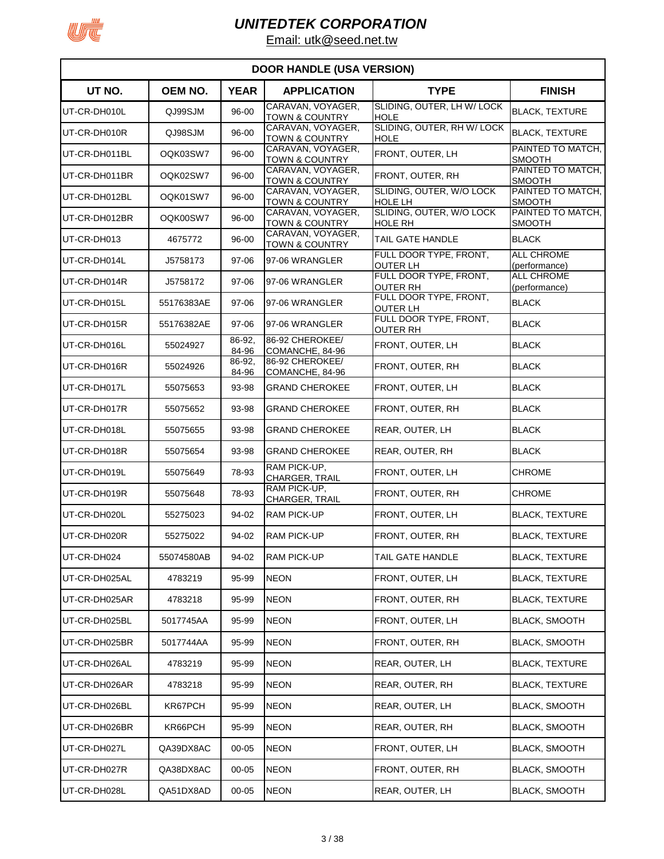

| <b>DOOR HANDLE (USA VERSION)</b> |                |                 |                                                |                                            |                                    |  |
|----------------------------------|----------------|-----------------|------------------------------------------------|--------------------------------------------|------------------------------------|--|
| UT NO.                           | <b>OEM NO.</b> | <b>YEAR</b>     | <b>APPLICATION</b>                             | <b>TYPE</b>                                | <b>FINISH</b>                      |  |
| UT-CR-DH010L                     | QJ99SJM        | 96-00           | CARAVAN, VOYAGER,<br><b>TOWN &amp; COUNTRY</b> | SLIDING, OUTER, LH W/ LOCK<br><b>HOLE</b>  | <b>BLACK, TEXTURE</b>              |  |
| UT-CR-DH010R                     | QJ98SJM        | 96-00           | CARAVAN, VOYAGER,<br><b>TOWN &amp; COUNTRY</b> | SLIDING, OUTER, RH W/ LOCK<br><b>HOLE</b>  | <b>BLACK, TEXTURE</b>              |  |
| UT-CR-DH011BL                    | OQK03SW7       | 96-00           | CARAVAN, VOYAGER,<br><b>TOWN &amp; COUNTRY</b> | FRONT, OUTER, LH                           | PAINTED TO MATCH,<br><b>SMOOTH</b> |  |
| UT-CR-DH011BR                    | OQK02SW7       | 96-00           | CARAVAN, VOYAGER,<br>TOWN & COUNTRY            | FRONT, OUTER, RH                           | PAINTED TO MATCH,<br><b>SMOOTH</b> |  |
| UT-CR-DH012BL                    | OQK01SW7       | 96-00           | CARAVAN, VOYAGER.<br>TOWN & COUNTRY            | SLIDING, OUTER, W/O LOCK<br><b>HOLE LH</b> | PAINTED TO MATCH,<br><b>SMOOTH</b> |  |
| UT-CR-DH012BR                    | OQK00SW7       | 96-00           | CARAVAN, VOYAGER,<br><b>TOWN &amp; COUNTRY</b> | SLIDING, OUTER, W/O LOCK<br><b>HOLE RH</b> | PAINTED TO MATCH,<br><b>SMOOTH</b> |  |
| UT-CR-DH013                      | 4675772        | 96-00           | CARAVAN, VOYAGER,<br><b>TOWN &amp; COUNTRY</b> | TAIL GATE HANDLE                           | <b>BLACK</b>                       |  |
| UT-CR-DH014L                     | J5758173       | 97-06           | 97-06 WRANGLER                                 | FULL DOOR TYPE, FRONT,<br><b>OUTER LH</b>  | <b>ALL CHROME</b><br>(performance) |  |
| UT-CR-DH014R                     | J5758172       | 97-06           | 97-06 WRANGLER                                 | FULL DOOR TYPE, FRONT,<br><b>OUTER RH</b>  | <b>ALL CHROME</b><br>(performance) |  |
| UT-CR-DH015L                     | 55176383AE     | 97-06           | 97-06 WRANGLER                                 | FULL DOOR TYPE, FRONT,                     | <b>BLACK</b>                       |  |
| UT-CR-DH015R                     | 55176382AE     | 97-06           | 97-06 WRANGLER                                 | OUTER LH<br>FULL DOOR TYPE, FRONT,         | <b>BLACK</b>                       |  |
| UT-CR-DH016L                     | 55024927       | 86-92,          | 86-92 CHEROKEE/                                | <b>OUTER RH</b><br>FRONT, OUTER, LH        | <b>BLACK</b>                       |  |
| UT-CR-DH016R                     | 55024926       | 84-96<br>86-92, | COMANCHE, 84-96<br>86-92 CHEROKEE/             | FRONT, OUTER, RH                           | <b>BLACK</b>                       |  |
| UT-CR-DH017L                     | 55075653       | 84-96<br>93-98  | COMANCHE, 84-96<br><b>GRAND CHEROKEE</b>       | FRONT, OUTER, LH                           | <b>BLACK</b>                       |  |
| UT-CR-DH017R                     | 55075652       | 93-98           | <b>GRAND CHEROKEE</b>                          | FRONT, OUTER, RH                           | <b>BLACK</b>                       |  |
| UT-CR-DH018L                     | 55075655       | 93-98           | <b>GRAND CHEROKEE</b>                          | REAR, OUTER, LH                            | <b>BLACK</b>                       |  |
| UT-CR-DH018R                     | 55075654       | 93-98           | <b>GRAND CHEROKEE</b>                          | REAR, OUTER, RH                            | <b>BLACK</b>                       |  |
| UT-CR-DH019L                     | 55075649       | 78-93           | RAM PICK-UP,<br>CHARGER, TRAIL                 | FRONT, OUTER, LH                           | CHROME                             |  |
| UT-CR-DH019R                     | 55075648       | 78-93           | RAM PICK-UP,<br>CHARGER, TRAIL                 | FRONT, OUTER, RH                           | <b>CHROME</b>                      |  |
| UT-CR-DH020L                     | 55275023       | 94-02           | <b>RAM PICK-UP</b>                             | FRONT, OUTER, LH                           | <b>BLACK, TEXTURE</b>              |  |
| UT-CR-DH020R                     | 55275022       | 94-02           | <b>RAM PICK-UP</b>                             | FRONT, OUTER, RH                           | <b>BLACK, TEXTURE</b>              |  |
| UT-CR-DH024                      | 55074580AB     | 94-02           | <b>RAM PICK-UP</b>                             | TAIL GATE HANDLE                           | <b>BLACK, TEXTURE</b>              |  |
| UT-CR-DH025AL                    | 4783219        | 95-99           | <b>NEON</b>                                    | FRONT, OUTER, LH                           | <b>BLACK, TEXTURE</b>              |  |
| UT-CR-DH025AR                    | 4783218        | 95-99           | <b>NEON</b>                                    | FRONT, OUTER, RH                           | <b>BLACK, TEXTURE</b>              |  |
| UT-CR-DH025BL                    | 5017745AA      | 95-99           | <b>NEON</b>                                    | FRONT, OUTER, LH                           | <b>BLACK, SMOOTH</b>               |  |
| UT-CR-DH025BR                    | 5017744AA      | 95-99           | <b>NEON</b>                                    | FRONT, OUTER, RH                           | <b>BLACK, SMOOTH</b>               |  |
| UT-CR-DH026AL                    | 4783219        | 95-99           | <b>NEON</b>                                    | REAR, OUTER, LH                            | <b>BLACK, TEXTURE</b>              |  |
| UT-CR-DH026AR                    | 4783218        | 95-99           | <b>NEON</b>                                    | REAR, OUTER, RH                            | <b>BLACK, TEXTURE</b>              |  |
| UT-CR-DH026BL                    | KR67PCH        | 95-99           | <b>NEON</b>                                    | REAR, OUTER, LH                            | <b>BLACK, SMOOTH</b>               |  |
| UT-CR-DH026BR                    | KR66PCH        | 95-99           | <b>NEON</b>                                    | REAR, OUTER, RH                            | <b>BLACK, SMOOTH</b>               |  |
| UT-CR-DH027L                     | QA39DX8AC      | $00 - 05$       | <b>NEON</b>                                    | FRONT, OUTER, LH                           | <b>BLACK, SMOOTH</b>               |  |
| UT-CR-DH027R                     | QA38DX8AC      | $00 - 05$       | <b>NEON</b>                                    | FRONT, OUTER, RH                           | <b>BLACK, SMOOTH</b>               |  |
| UT-CR-DH028L                     | QA51DX8AD      | 00-05           | <b>NEON</b>                                    | REAR, OUTER, LH                            | <b>BLACK, SMOOTH</b>               |  |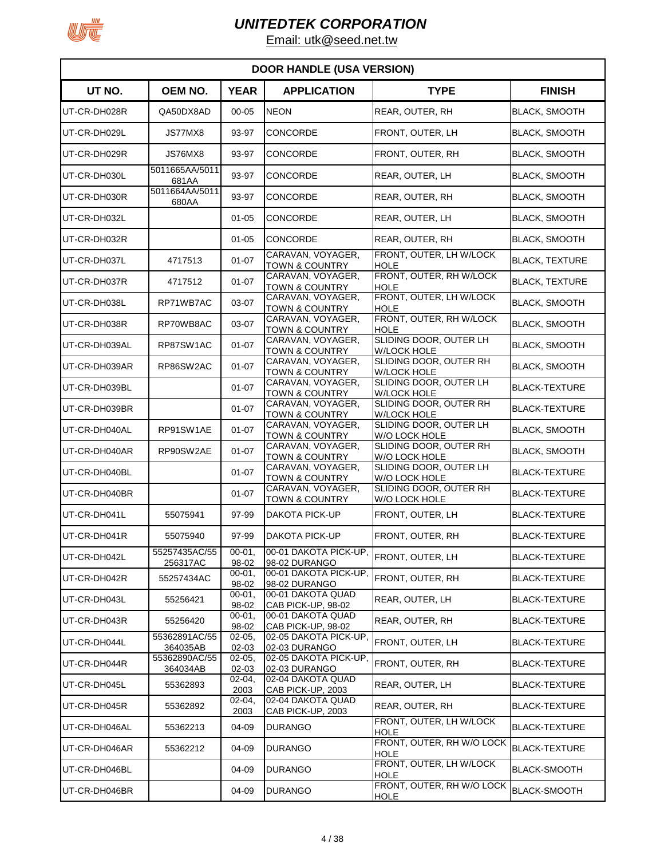

| <b>DOOR HANDLE (USA VERSION)</b> |                           |                         |                                                    |                                                          |                       |  |
|----------------------------------|---------------------------|-------------------------|----------------------------------------------------|----------------------------------------------------------|-----------------------|--|
| UT NO.                           | OEM NO.                   | <b>YEAR</b>             | <b>APPLICATION</b>                                 | <b>TYPE</b>                                              | <b>FINISH</b>         |  |
| UT-CR-DH028R                     | QA50DX8AD                 | 00-05                   | <b>NEON</b>                                        | REAR, OUTER, RH                                          | <b>BLACK, SMOOTH</b>  |  |
| UT-CR-DH029L                     | JS77MX8                   | 93-97                   | CONCORDE                                           | FRONT, OUTER, LH                                         | <b>BLACK, SMOOTH</b>  |  |
| UT-CR-DH029R                     | JS76MX8                   | 93-97                   | <b>CONCORDE</b>                                    | FRONT, OUTER, RH                                         | <b>BLACK, SMOOTH</b>  |  |
| UT-CR-DH030L                     | 5011665AA/5011<br>681AA   | 93-97                   | CONCORDE                                           | REAR, OUTER, LH                                          | <b>BLACK, SMOOTH</b>  |  |
| UT-CR-DH030R                     | 5011664AA/5011<br>680AA   | 93-97                   | CONCORDE                                           | REAR, OUTER, RH                                          | <b>BLACK, SMOOTH</b>  |  |
| UT-CR-DH032L                     |                           | $01 - 05$               | <b>CONCORDE</b>                                    | REAR, OUTER, LH                                          | <b>BLACK, SMOOTH</b>  |  |
| UT-CR-DH032R                     |                           | $01 - 05$               | <b>CONCORDE</b>                                    | <b>REAR, OUTER, RH</b>                                   | <b>BLACK, SMOOTH</b>  |  |
| UT-CR-DH037L                     | 4717513                   | $01 - 07$               | CARAVAN, VOYAGER,<br><b>TOWN &amp; COUNTRY</b>     | FRONT, OUTER, LH W/LOCK<br><b>HOLE</b>                   | <b>BLACK, TEXTURE</b> |  |
| UT-CR-DH037R                     | 4717512                   | $01 - 07$               | CARAVAN, VOYAGER,<br><b>TOWN &amp; COUNTRY</b>     | FRONT, OUTER, RH W/LOCK<br>HOLE                          | <b>BLACK. TEXTURE</b> |  |
| UT-CR-DH038L                     | RP71WB7AC                 | 03-07                   | CARAVAN, VOYAGER,<br><b>TOWN &amp; COUNTRY</b>     | FRONT, OUTER, LH W/LOCK<br><b>HOLE</b>                   | <b>BLACK, SMOOTH</b>  |  |
| UT-CR-DH038R                     | RP70WB8AC                 | 03-07                   | CARAVAN, VOYAGER,<br><b>TOWN &amp; COUNTRY</b>     | FRONT, OUTER, RH W/LOCK<br><b>HOLE</b>                   | <b>BLACK, SMOOTH</b>  |  |
| UT-CR-DH039AL                    | RP87SW1AC                 | $01 - 07$               | CARAVAN, VOYAGER,<br><b>TOWN &amp; COUNTRY</b>     | SLIDING DOOR, OUTER LH<br><b>W/LOCK HOLE</b>             | <b>BLACK, SMOOTH</b>  |  |
| UT-CR-DH039AR                    | RP86SW2AC                 | $01 - 07$               | CARAVAN, VOYAGER,<br>TOWN & COUNTRY                | SLIDING DOOR, OUTER RH<br><b>W/LOCK HOLE</b>             | <b>BLACK, SMOOTH</b>  |  |
| UT-CR-DH039BL                    |                           | $01 - 07$               | CARAVAN, VOYAGER,<br><b>TOWN &amp; COUNTRY</b>     | SLIDING DOOR, OUTER LH<br><b>W/LOCK HOLE</b>             | <b>BLACK-TEXTURE</b>  |  |
| UT-CR-DH039BR                    |                           | $01 - 07$               | CARAVAN, VOYAGER,<br><b>TOWN &amp; COUNTRY</b>     | SLIDING DOOR, OUTER RH<br><b>W/LOCK HOLE</b>             | <b>BLACK-TEXTURE</b>  |  |
| UT-CR-DH040AL                    | RP91SW1AE                 | $01 - 07$               | CARAVAN, VOYAGER,<br><b>TOWN &amp; COUNTRY</b>     | SLIDING DOOR, OUTER LH<br><b>W/O LOCK HOLE</b>           | <b>BLACK, SMOOTH</b>  |  |
| UT-CR-DH040AR                    | RP90SW2AE                 | $01 - 07$               | CARAVAN, VOYAGER,                                  | SLIDING DOOR, OUTER RH                                   | <b>BLACK, SMOOTH</b>  |  |
| UT-CR-DH040BL                    |                           | $01 - 07$               | <b>TOWN &amp; COUNTRY</b><br>CARAVAN, VOYAGER,     | W/O LOCK HOLE<br>SLIDING DOOR, OUTER LH<br>W/O LOCK HOLE | <b>BLACK-TEXTURE</b>  |  |
| UT-CR-DH040BR                    |                           | $01 - 07$               | <b>TOWN &amp; COUNTRY</b><br>CARAVAN, VOYAGER,     | SLIDING DOOR, OUTER RH                                   | <b>BLACK-TEXTURE</b>  |  |
| UT-CR-DH041L                     | 55075941                  | 97-99                   | <b>TOWN &amp; COUNTRY</b><br><b>DAKOTA PICK-UP</b> | W/O LOCK HOLE<br>FRONT, OUTER, LH                        | <b>BLACK-TEXTURE</b>  |  |
| UT-CR-DH041R                     | 55075940                  | 97-99                   | DAKOTA PICK-UP                                     | FRONT, OUTER, RH                                         | <b>BLACK-TEXTURE</b>  |  |
| UT-CR-DH042L                     | 55257435AC/55             | $00 - 01$ ,             | 00-01 DAKOTA PICK-UP,                              | FRONT, OUTER, LH                                         | <b>BLACK-TEXTURE</b>  |  |
| UT-CR-DH042R                     | 256317AC<br>55257434AC    | 98-02<br>$00 - 01$ ,    | 98-02 DURANGO<br>00-01 DAKOTA PICK-UP,             | FRONT, OUTER, RH                                         | <b>BLACK-TEXTURE</b>  |  |
| UT-CR-DH043L                     | 55256421                  | 98-02<br>$00 - 01$ ,    | 98-02 DURANGO<br>00-01 DAKOTA QUAD                 | REAR, OUTER, LH                                          | BLACK-TEXTURE         |  |
| UT-CR-DH043R                     | 55256420                  | 98-02<br>$00 - 01$ ,    | CAB PICK-UP, 98-02<br>00-01 DAKOTA QUAD            | REAR, OUTER, RH                                          | <b>BLACK-TEXTURE</b>  |  |
| UT-CR-DH044L                     | 55362891AC/55             | 98-02<br>$02 - 05,$     | CAB PICK-UP, 98-02<br>02-05 DAKOTA PICK-UP,        | FRONT, OUTER, LH                                         | <b>BLACK-TEXTURE</b>  |  |
| UT-CR-DH044R                     | 364035AB<br>55362890AC/55 | $02 - 03$<br>$02 - 05,$ | 02-03 DURANGO<br>02-05 DAKOTA PICK-UP,             | FRONT, OUTER, RH                                         | <b>BLACK-TEXTURE</b>  |  |
| UT-CR-DH045L                     | 364034AB<br>55362893      | $02 - 03$<br>$02 - 04,$ | 02-03 DURANGO<br>02-04 DAKOTA QUAD                 | REAR, OUTER, LH                                          | <b>BLACK-TEXTURE</b>  |  |
| UT-CR-DH045R                     | 55362892                  | 2003<br>$02 - 04,$      | CAB PICK-UP, 2003<br>02-04 DAKOTA QUAD             | REAR, OUTER, RH                                          | <b>BLACK-TEXTURE</b>  |  |
| UT-CR-DH046AL                    | 55362213                  | 2003<br>04-09           | CAB PICK-UP, 2003<br><b>DURANGO</b>                | FRONT, OUTER, LH W/LOCK                                  | <b>BLACK-TEXTURE</b>  |  |
| UT-CR-DH046AR                    | 55362212                  | 04-09                   | DURANGO                                            | <b>HOLE</b><br>FRONT, OUTER, RH W/O LOCK                 | <b>BLACK-TEXTURE</b>  |  |
| UT-CR-DH046BL                    |                           | 04-09                   | <b>DURANGO</b>                                     | HOLE<br>FRONT, OUTER, LH W/LOCK                          | <b>BLACK-SMOOTH</b>   |  |
| UT-CR-DH046BR                    |                           | 04-09                   | <b>DURANGO</b>                                     | <b>HOLE</b><br>FRONT, OUTER, RH W/O LOCK                 | <b>BLACK-SMOOTH</b>   |  |
|                                  |                           |                         |                                                    | <b>HOLE</b>                                              |                       |  |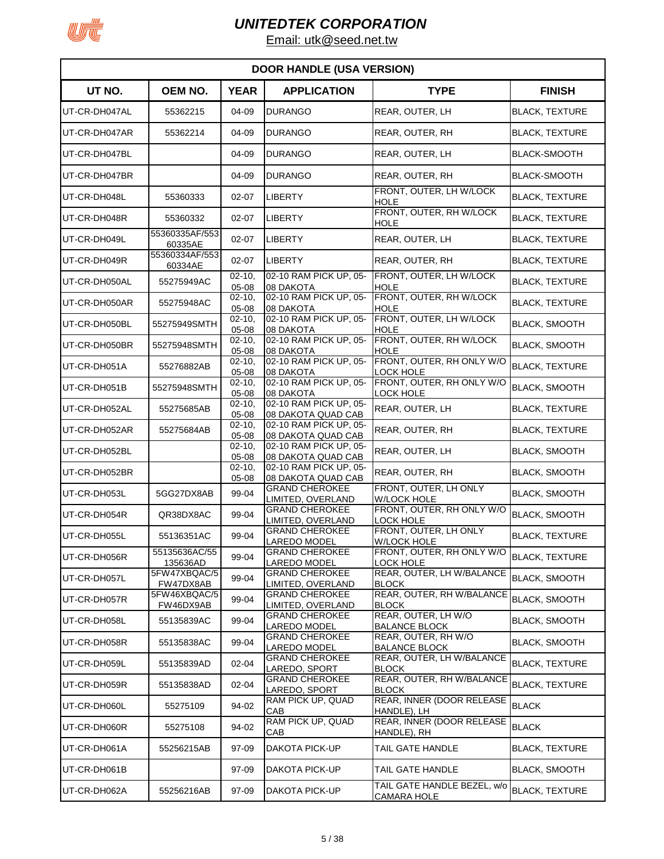

| <b>DOOR HANDLE (USA VERSION)</b> |                           |                         |                                              |                                                   |                       |  |
|----------------------------------|---------------------------|-------------------------|----------------------------------------------|---------------------------------------------------|-----------------------|--|
| UT NO.                           | OEM NO.                   | <b>YEAR</b>             | <b>APPLICATION</b>                           | <b>TYPE</b>                                       | <b>FINISH</b>         |  |
| UT-CR-DH047AL                    | 55362215                  | 04-09                   | <b>DURANGO</b>                               | REAR, OUTER, LH                                   | <b>BLACK, TEXTURE</b> |  |
| UT-CR-DH047AR                    | 55362214                  | 04-09                   | <b>DURANGO</b>                               | REAR, OUTER, RH                                   | <b>BLACK, TEXTURE</b> |  |
| UT-CR-DH047BL                    |                           | 04-09                   | <b>DURANGO</b>                               | REAR, OUTER, LH                                   | <b>BLACK-SMOOTH</b>   |  |
| UT-CR-DH047BR                    |                           | 04-09                   | <b>DURANGO</b>                               | REAR, OUTER, RH                                   | <b>BLACK-SMOOTH</b>   |  |
| UT-CR-DH048L                     | 55360333                  | $02 - 07$               | <b>LIBERTY</b>                               | FRONT, OUTER, LH W/LOCK<br>HOLE                   | <b>BLACK, TEXTURE</b> |  |
| UT-CR-DH048R                     | 55360332                  | $02 - 07$               | LIBERTY                                      | FRONT, OUTER, RH W/LOCK<br>HOLE                   | <b>BLACK, TEXTURE</b> |  |
| UT-CR-DH049L                     | 55360335AF/553<br>60335AE | $02 - 07$               | <b>LIBERTY</b>                               | REAR, OUTER, LH                                   | <b>BLACK, TEXTURE</b> |  |
| UT-CR-DH049R                     | 55360334AF/553<br>60334AE | $02 - 07$               | <b>LIBERTY</b>                               | REAR, OUTER, RH                                   | <b>BLACK, TEXTURE</b> |  |
| UT-CR-DH050AL                    | 55275949AC                | $02 - 10$<br>05-08      | 02-10 RAM PICK UP, 05-<br>08 DAKOTA          | FRONT, OUTER, LH W/LOCK<br><b>HOLE</b>            | <b>BLACK, TEXTURE</b> |  |
| UT-CR-DH050AR                    | 55275948AC                | $02 - 10$<br>05-08      | 02-10 RAM PICK UP, 05-<br>08 DAKOTA          | FRONT, OUTER, RH W/LOCK<br>HOLE                   | <b>BLACK, TEXTURE</b> |  |
| UT-CR-DH050BL                    | 55275949SMTH              | $02 - 10$<br>05-08      | 02-10 RAM PICK UP, 05-<br>08 DAKOTA          | FRONT, OUTER, LH W/LOCK<br><b>HOLE</b>            | <b>BLACK, SMOOTH</b>  |  |
| UT-CR-DH050BR                    | 55275948SMTH              | $02 - 10,$<br>05-08     | 02-10 RAM PICK UP, 05-<br>08 DAKOTA          | FRONT, OUTER, RH W/LOCK<br><b>HOLE</b>            | <b>BLACK, SMOOTH</b>  |  |
| UT-CR-DH051A                     | 55276882AB                | $02 - 10,$<br>$05 - 08$ | 02-10 RAM PICK UP, 05-<br>08 DAKOTA          | FRONT, OUTER, RH ONLY W/O<br>LOCK HOLE            | <b>BLACK, TEXTURE</b> |  |
| UT-CR-DH051B                     | 55275948SMTH              | $02 - 10$<br>05-08      | 02-10 RAM PICK UP, 05-<br>08 DAKOTA          | FRONT, OUTER, RH ONLY W/O<br><b>LOCK HOLE</b>     | <b>BLACK, SMOOTH</b>  |  |
| UT-CR-DH052AL                    | 55275685AB                | $02 - 10$<br>05-08      | 02-10 RAM PICK UP, 05-<br>08 DAKOTA QUAD CAB | REAR, OUTER, LH                                   | <b>BLACK, TEXTURE</b> |  |
| UT-CR-DH052AR                    | 55275684AB                | $02 - 10,$<br>$05 - 08$ | 02-10 RAM PICK UP, 05-<br>08 DAKOTA QUAD CAB | REAR, OUTER, RH                                   | <b>BLACK, TEXTURE</b> |  |
| UT-CR-DH052BL                    |                           | $02 - 10$<br>$05 - 08$  | 02-10 RAM PICK UP, 05-<br>08 DAKOTA QUAD CAB | REAR, OUTER, LH                                   | <b>BLACK, SMOOTH</b>  |  |
| UT-CR-DH052BR                    |                           | $02 - 10$<br>05-08      | 02-10 RAM PICK UP, 05-<br>08 DAKOTA QUAD CAB | REAR, OUTER, RH                                   | <b>BLACK, SMOOTH</b>  |  |
| UT-CR-DH053L                     | 5GG27DX8AB                | 99-04                   | <b>GRAND CHEROKEE</b><br>LIMITED, OVERLAND   | FRONT, OUTER, LH ONLY<br><b>W/LOCK HOLE</b>       | <b>BLACK, SMOOTH</b>  |  |
| UT-CR-DH054R                     | QR38DX8AC                 | 99-04                   | <b>GRAND CHEROKEE</b><br>LIMITED, OVERLAND   | FRONT, OUTER, RH ONLY W/O<br>LOCK HOLE            | <b>BLACK, SMOOTH</b>  |  |
| UT-CR-DH055L                     | 55136351AC                | 99-04                   | <b>GRAND CHEROKEE</b><br><b>LAREDO MODEL</b> | FRONT, OUTER, LH ONLY<br><b>W/LOCK HOLE</b>       | <b>BLACK, TEXTURE</b> |  |
| UT-CR-DH056R                     | 55135636AC/55<br>135636AD | 99-04                   | <b>GRAND CHEROKEE</b><br>LAREDO MODEL        | FRONT, OUTER, RH ONLY W/O<br><b>LOCK HOLE</b>     | <b>BLACK, TEXTURE</b> |  |
| UT-CR-DH057L                     | 5FW47XBQAC/5<br>FW47DX8AB | 99-04                   | <b>GRAND CHEROKEE</b><br>LIMITED, OVERLAND   | REAR, OUTER, LH W/BALANCE<br><b>BLOCK</b>         | <b>BLACK, SMOOTH</b>  |  |
| UT-CR-DH057R                     | 5FW46XBQAC/5<br>FW46DX9AB | 99-04                   | <b>GRAND CHEROKEE</b><br>LIMITED, OVERLAND   | REAR, OUTER, RH W/BALANCE<br><b>BLOCK</b>         | <b>BLACK, SMOOTH</b>  |  |
| UT-CR-DH058L                     | 55135839AC                | 99-04                   | <b>GRAND CHEROKEE</b><br>LAREDO MODEL        | REAR, OUTER, LH W/O<br><b>BALANCE BLOCK</b>       | <b>BLACK, SMOOTH</b>  |  |
| UT-CR-DH058R                     | 55135838AC                | 99-04                   | <b>GRAND CHEROKEE</b><br><b>LAREDO MODEL</b> | REAR, OUTER, RH W/O<br><b>BALANCE BLOCK</b>       | <b>BLACK, SMOOTH</b>  |  |
| UT-CR-DH059L                     | 55135839AD                | $02 - 04$               | <b>GRAND CHEROKEE</b><br>LAREDO, SPORT       | REAR, OUTER, LH W/BALANCE<br><b>BLOCK</b>         | <b>BLACK, TEXTURE</b> |  |
| UT-CR-DH059R                     | 55135838AD                | 02-04                   | <b>GRAND CHEROKEE</b><br>LAREDO, SPORT       | REAR, OUTER, RH W/BALANCE<br><b>BLOCK</b>         | <b>BLACK, TEXTURE</b> |  |
| UT-CR-DH060L                     | 55275109                  | 94-02                   | RAM PICK UP, QUAD<br>CAB                     | REAR, INNER (DOOR RELEASE<br>HANDLE), LH          | <b>BLACK</b>          |  |
| UT-CR-DH060R                     | 55275108                  | 94-02                   | <b>RAM PICK UP, QUAD</b><br>CAB              | REAR, INNER (DOOR RELEASE<br>HANDLE), RH          | <b>BLACK</b>          |  |
| UT-CR-DH061A                     | 55256215AB                | 97-09                   | DAKOTA PICK-UP                               | TAIL GATE HANDLE                                  | <b>BLACK, TEXTURE</b> |  |
| UT-CR-DH061B                     |                           | 97-09                   | DAKOTA PICK-UP                               | TAIL GATE HANDLE                                  | <b>BLACK, SMOOTH</b>  |  |
| UT-CR-DH062A                     | 55256216AB                | 97-09                   | DAKOTA PICK-UP                               | TAIL GATE HANDLE BEZEL, w/o<br><b>CAMARA HOLE</b> | <b>BLACK, TEXTURE</b> |  |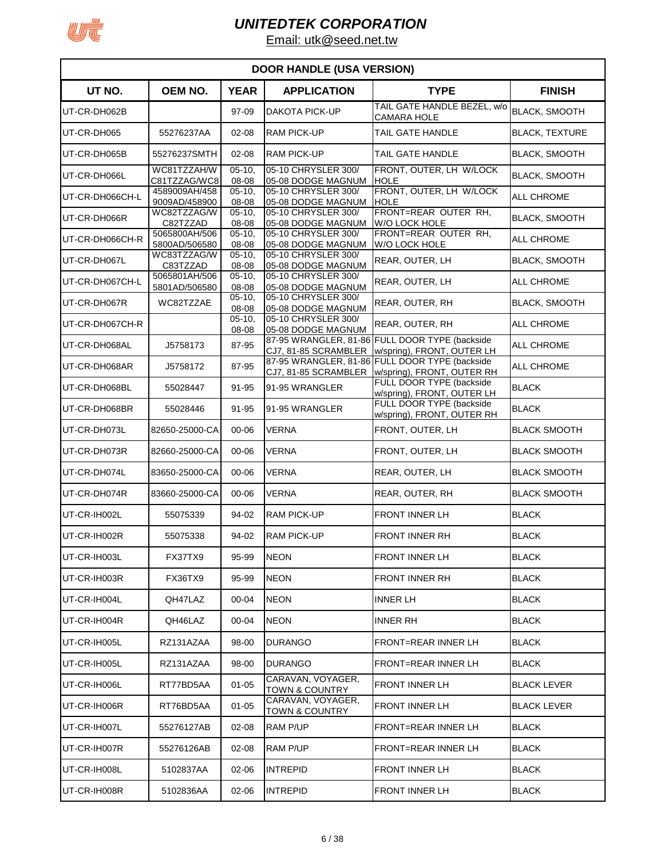

| <b>DOOR HANDLE (USA VERSION)</b> |                                |                     |                                                |                                                                              |                       |  |  |
|----------------------------------|--------------------------------|---------------------|------------------------------------------------|------------------------------------------------------------------------------|-----------------------|--|--|
| UT NO.                           | <b>OEM NO.</b>                 | <b>YEAR</b>         | <b>APPLICATION</b>                             | <b>TYPE</b>                                                                  | <b>FINISH</b>         |  |  |
| UT-CR-DH062B                     |                                | 97-09               | DAKOTA PICK-UP                                 | TAIL GATE HANDLE BEZEL, w/o<br><b>CAMARA HOLE</b>                            | <b>BLACK, SMOOTH</b>  |  |  |
| UT-CR-DH065                      | 55276237AA                     | $02 - 08$           | <b>RAM PICK-UP</b>                             | TAIL GATE HANDLE                                                             | <b>BLACK, TEXTURE</b> |  |  |
| UT-CR-DH065B                     | 55276237SMTH                   | $02 - 08$           | <b>RAM PICK-UP</b>                             | TAIL GATE HANDLE                                                             | <b>BLACK, SMOOTH</b>  |  |  |
| UT-CR-DH066L                     | WC81TZZAH/W<br>C81TZZAG/WC8    | $05 - 10$<br>08-08  | 05-10 CHRYSLER 300/<br>05-08 DODGE MAGNUM      | FRONT, OUTER, LH W/LOCK<br><b>HOLE</b>                                       | <b>BLACK, SMOOTH</b>  |  |  |
| UT-CR-DH066CH-L                  | 4589009AH/458<br>9009AD/458900 | $05 - 10$<br>08-08  | 05-10 CHRYSLER 300/<br>05-08 DODGE MAGNUM      | FRONT. OUTER. LH W/LOCK<br><b>HOLE</b>                                       | ALL CHROME            |  |  |
| UT-CR-DH066R                     | WC82TZZAG/W<br>C82TZZAD        | $05 - 10.$<br>08-08 | 05-10 CHRYSLER 300/<br>05-08 DODGE MAGNUM      | FRONT=REAR OUTER RH,<br>W/O LOCK HOLE                                        | <b>BLACK, SMOOTH</b>  |  |  |
| UT-CR-DH066CH-R                  | 5065800AH/506<br>5800AD/506580 | $05 - 10$<br>08-08  | 05-10 CHRYSLER 300/<br>05-08 DODGE MAGNUM      | FRONT=REAR OUTER RH,<br><b>W/O LOCK HOLE</b>                                 | <b>ALL CHROME</b>     |  |  |
| UT-CR-DH067L                     | WC83TZZAG/W<br>C83TZZAD        | $05 - 10$<br>08-08  | 05-10 CHRYSLER 300/<br>05-08 DODGE MAGNUM      | REAR, OUTER, LH                                                              | <b>BLACK, SMOOTH</b>  |  |  |
| UT-CR-DH067CH-L                  | 5065801AH/506<br>5801AD/506580 | $05 - 10$<br>08-08  | 05-10 CHRYSLER 300/<br>05-08 DODGE MAGNUM      | REAR, OUTER, LH                                                              | ALL CHROME            |  |  |
| UT-CR-DH067R                     | WC82TZZAE                      | $05 - 10$<br>08-08  | 05-10 CHRYSLER 300/<br>05-08 DODGE MAGNUM      | REAR, OUTER, RH                                                              | <b>BLACK, SMOOTH</b>  |  |  |
| UT-CR-DH067CH-R                  |                                | $05-10,$<br>08-08   | 05-10 CHRYSLER 300/<br>05-08 DODGE MAGNUM      | REAR, OUTER, RH                                                              | <b>ALL CHROME</b>     |  |  |
| UT-CR-DH068AL                    | J5758173                       | 87-95               | CJ7, 81-85 SCRAMBLER                           | 87-95 WRANGLER, 81-86 FULL DOOR TYPE (backside<br>w/spring), FRONT, OUTER LH | <b>ALL CHROME</b>     |  |  |
| UT-CR-DH068AR                    | J5758172                       | 87-95               | CJ7, 81-85 SCRAMBLER                           | 87-95 WRANGLER, 81-86 FULL DOOR TYPE (backside<br>w/spring), FRONT, OUTER RH | ALL CHROME            |  |  |
| UT-CR-DH068BL                    | 55028447                       | 91-95               | 91-95 WRANGLER                                 | FULL DOOR TYPE (backside<br>w/spring), FRONT, OUTER LH                       | <b>BLACK</b>          |  |  |
| UT-CR-DH068BR                    | 55028446                       | 91-95               | 91-95 WRANGLER                                 | FULL DOOR TYPE (backside<br>w/spring), FRONT, OUTER RH                       | <b>BLACK</b>          |  |  |
| UT-CR-DH073L                     | 82650-25000-CA                 | 00-06               | <b>VERNA</b>                                   | FRONT, OUTER, LH                                                             | <b>BLACK SMOOTH</b>   |  |  |
| UT-CR-DH073R                     | 82660-25000-CA                 | 00-06               | VERNA                                          | FRONT, OUTER, LH                                                             | <b>BLACK SMOOTH</b>   |  |  |
| UT-CR-DH074L                     | 83650-25000-CA                 | 00-06               | <b>VERNA</b>                                   | REAR, OUTER, LH                                                              | <b>BLACK SMOOTH</b>   |  |  |
| UT-CR-DH074R                     | 83660-25000-CA                 | 00-06               | <b>VERNA</b>                                   | REAR, OUTER, RH                                                              | <b>BLACK SMOOTH</b>   |  |  |
| UT-CR-IH002L                     | 55075339                       | 94-02               | <b>RAM PICK-UP</b>                             | <b>FRONT INNER LH</b>                                                        | <b>BLACK</b>          |  |  |
| UT-CR-IH002R                     | 55075338                       | 94-02               | <b>RAM PICK-UP</b>                             | <b>FRONT INNER RH</b>                                                        | <b>BLACK</b>          |  |  |
| UT-CR-IH003L                     | FX37TX9                        | 95-99               | <b>NEON</b>                                    | FRONT INNER LH                                                               | <b>BLACK</b>          |  |  |
| UT-CR-IH003R                     | <b>FX36TX9</b>                 | 95-99               | <b>NEON</b>                                    | <b>FRONT INNER RH</b>                                                        | <b>BLACK</b>          |  |  |
| UT-CR-IH004L                     | QH47LAZ                        | 00-04               | <b>NEON</b>                                    | <b>INNER LH</b>                                                              | <b>BLACK</b>          |  |  |
| UT-CR-IH004R                     | QH46LAZ                        | 00-04               | <b>NEON</b>                                    | <b>INNER RH</b>                                                              | <b>BLACK</b>          |  |  |
| UT-CR-IH005L                     | RZ131AZAA                      | 98-00               | <b>DURANGO</b>                                 | <b>FRONT=REAR INNER LH</b>                                                   | <b>BLACK</b>          |  |  |
| UT-CR-IH005L                     | RZ131AZAA                      | 98-00               | <b>DURANGO</b>                                 | <b>FRONT=REAR INNER LH</b>                                                   | <b>BLACK</b>          |  |  |
| UT-CR-IH006L                     | RT77BD5AA                      | $01 - 05$           | CARAVAN, VOYAGER,<br>TOWN & COUNTRY            | FRONT INNER LH                                                               | <b>BLACK LEVER</b>    |  |  |
| UT-CR-IH006R                     | RT76BD5AA                      | $01 - 05$           | CARAVAN, VOYAGER,<br><b>TOWN &amp; COUNTRY</b> | FRONT INNER LH                                                               | <b>BLACK LEVER</b>    |  |  |
| UT-CR-IH007L                     | 55276127AB                     | $02 - 08$           | RAM P/UP                                       | FRONT=REAR INNER LH                                                          | <b>BLACK</b>          |  |  |
| UT-CR-IH007R                     | 55276126AB                     | 02-08               | RAM P/UP                                       | <b>FRONT=REAR INNER LH</b>                                                   | <b>BLACK</b>          |  |  |
| UT-CR-IH008L                     | 5102837AA                      | 02-06               | <b>INTREPID</b>                                | FRONT INNER LH                                                               | <b>BLACK</b>          |  |  |
| UT-CR-IH008R                     | 5102836AA                      | 02-06               | <b>INTREPID</b>                                | FRONT INNER LH                                                               | <b>BLACK</b>          |  |  |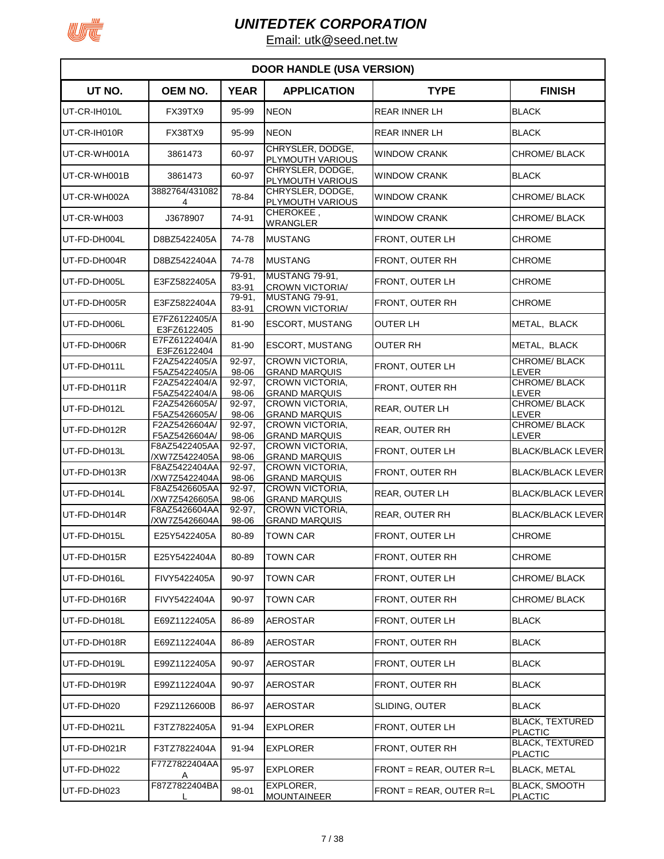

| <b>DOOR HANDLE (USA VERSION)</b> |                                |                    |                                                |                         |                                          |  |  |
|----------------------------------|--------------------------------|--------------------|------------------------------------------------|-------------------------|------------------------------------------|--|--|
| UT NO.                           | OEM NO.                        | <b>YEAR</b>        | <b>APPLICATION</b>                             | <b>TYPE</b>             | <b>FINISH</b>                            |  |  |
| UT-CR-IH010L                     | <b>FX39TX9</b>                 | 95-99              | <b>NEON</b>                                    | <b>REAR INNER LH</b>    | <b>BLACK</b>                             |  |  |
| UT-CR-IH010R                     | FX38TX9                        | 95-99              | <b>NEON</b>                                    | <b>REAR INNER LH</b>    | <b>BLACK</b>                             |  |  |
| UT-CR-WH001A                     | 3861473                        | 60-97              | CHRYSLER, DODGE,<br>PLYMOUTH VARIOUS           | <b>WINDOW CRANK</b>     | CHROME/BLACK                             |  |  |
| UT-CR-WH001B                     | 3861473                        | 60-97              | CHRYSLER, DODGE,<br>PLYMOUTH VARIOUS           | <b>WINDOW CRANK</b>     | <b>BLACK</b>                             |  |  |
| UT-CR-WH002A                     | 3882764/431082<br>4            | 78-84              | CHRYSLER, DODGE,<br>PLYMOUTH VARIOUS           | <b>WINDOW CRANK</b>     | CHROME/BLACK                             |  |  |
| UT-CR-WH003                      | J3678907                       | 74-91              | CHEROKEE,<br>WRANGLER                          | <b>WINDOW CRANK</b>     | CHROME/ BLACK                            |  |  |
| UT-FD-DH004L                     | D8BZ5422405A                   | 74-78              | <b>MUSTANG</b>                                 | FRONT, OUTER LH         | <b>CHROME</b>                            |  |  |
| UT-FD-DH004R                     | D8BZ5422404A                   | 74-78              | <b>MUSTANG</b>                                 | FRONT, OUTER RH         | <b>CHROME</b>                            |  |  |
| UT-FD-DH005L                     | E3FZ5822405A                   | 79-91,<br>83-91    | MUSTANG 79-91,<br><b>CROWN VICTORIA/</b>       | FRONT, OUTER LH         | <b>CHROME</b>                            |  |  |
| UT-FD-DH005R                     | E3FZ5822404A                   | 79-91.<br>83-91    | MUSTANG 79-91.<br><b>CROWN VICTORIA/</b>       | FRONT, OUTER RH         | CHROME                                   |  |  |
| UT-FD-DH006L                     | E7FZ6122405/A<br>E3FZ6122405   | 81-90              | <b>ESCORT. MUSTANG</b>                         | OUTER LH                | METAL, BLACK                             |  |  |
| UT-FD-DH006R                     | E7FZ6122404/A<br>E3FZ6122404   | 81-90              | <b>ESCORT, MUSTANG</b>                         | <b>OUTER RH</b>         | METAL, BLACK                             |  |  |
| UT-FD-DH011L                     | F2AZ5422405/A<br>F5AZ5422405/A | $92-97$ ,<br>98-06 | <b>CROWN VICTORIA.</b><br><b>GRAND MARQUIS</b> | FRONT, OUTER LH         | CHROME/BLACK<br>LEVER                    |  |  |
| UT-FD-DH011R                     | F2AZ5422404/A<br>F5AZ5422404/A | $92-97$ ,<br>98-06 | <b>CROWN VICTORIA,</b><br><b>GRAND MARQUIS</b> | FRONT, OUTER RH         | <b>CHROME/BLACK</b><br>LEVER             |  |  |
| UT-FD-DH012L                     | F2AZ5426605A/<br>F5AZ5426605A/ | $92-97$ ,<br>98-06 | CROWN VICTORIA.<br><b>GRAND MARQUIS</b>        | REAR, OUTER LH          | <b>CHROME/BLACK</b><br><b>LEVER</b>      |  |  |
| UT-FD-DH012R                     | F2AZ5426604A/                  | $92-97$ ,          | <b>CROWN VICTORIA,</b>                         | <b>REAR, OUTER RH</b>   | CHROME/ BLACK                            |  |  |
| UT-FD-DH013L                     | F5AZ5426604A/<br>F8AZ5422405AA | 98-06<br>$92-97,$  | <b>GRAND MARQUIS</b><br><b>CROWN VICTORIA,</b> | FRONT, OUTER LH         | LEVER<br><b>BLACK/BLACK LEVER</b>        |  |  |
| UT-FD-DH013R                     | /XW7Z5422405A<br>F8AZ5422404AA | 98-06<br>$92-97$ , | <b>GRAND MARQUIS</b><br>CROWN VICTORIA.        | FRONT, OUTER RH         | <b>BLACK/BLACK LEVER</b>                 |  |  |
| UT-FD-DH014L                     | /XW7Z5422404A<br>F8AZ5426605AA | 98-06<br>$92-97,$  | <b>GRAND MARQUIS</b><br><b>CROWN VICTORIA,</b> | <b>REAR, OUTER LH</b>   | <b>BLACK/BLACK LEVER</b>                 |  |  |
| UT-FD-DH014R                     | /XW7Z5426605A<br>F8AZ5426604AA | 98-06<br>$92-97,$  | <b>GRAND MARQUIS</b><br>CROWN VICTORIA.        | REAR, OUTER RH          | <b>BLACK/BLACK LEVER</b>                 |  |  |
| UT-FD-DH015L                     | /XW7Z5426604A<br>E25Y5422405A  | 98-06<br>80-89     | <b>GRAND MARQUIS</b><br><b>TOWN CAR</b>        | FRONT, OUTER LH         | <b>CHROME</b>                            |  |  |
| UT-FD-DH015R                     | E25Y5422404A                   | 80-89              | <b>TOWN CAR</b>                                | FRONT, OUTER RH         | CHROME                                   |  |  |
| UT-FD-DH016L                     | FIVY5422405A                   | 90-97              | <b>TOWN CAR</b>                                | FRONT, OUTER LH         | CHROME/ BLACK                            |  |  |
| UT-FD-DH016R                     | FIVY5422404A                   | 90-97              | <b>TOWN CAR</b>                                | FRONT, OUTER RH         | CHROME/ BLACK                            |  |  |
| UT-FD-DH018L                     | E69Z1122405A                   | 86-89              | <b>AEROSTAR</b>                                | FRONT, OUTER LH         | <b>BLACK</b>                             |  |  |
| UT-FD-DH018R                     | E69Z1122404A                   | 86-89              | <b>AEROSTAR</b>                                | FRONT, OUTER RH         | <b>BLACK</b>                             |  |  |
| UT-FD-DH019L                     | E99Z1122405A                   | 90-97              | <b>AEROSTAR</b>                                | FRONT, OUTER LH         | <b>BLACK</b>                             |  |  |
| UT-FD-DH019R                     | E99Z1122404A                   | 90-97              | <b>AEROSTAR</b>                                | FRONT, OUTER RH         | <b>BLACK</b>                             |  |  |
| UT-FD-DH020                      | F29Z1126600B                   | 86-97              | <b>AEROSTAR</b>                                | SLIDING, OUTER          | <b>BLACK</b>                             |  |  |
| UT-FD-DH021L                     | F3TZ7822405A                   | 91-94              | <b>EXPLORER</b>                                | FRONT, OUTER LH         | <b>BLACK, TEXTURED</b>                   |  |  |
| UT-FD-DH021R                     | F3TZ7822404A                   | 91-94              | <b>EXPLORER</b>                                | FRONT, OUTER RH         | <b>PLACTIC</b><br><b>BLACK, TEXTURED</b> |  |  |
| UT-FD-DH022                      | F77Z7822404AA                  | 95-97              | <b>EXPLORER</b>                                | FRONT = REAR, OUTER R=L | <b>PLACTIC</b><br><b>BLACK, METAL</b>    |  |  |
| UT-FD-DH023                      | Α<br>F87Z7822404BA             | 98-01              | EXPLORER,                                      | FRONT = REAR, OUTER R=L | <b>BLACK, SMOOTH</b>                     |  |  |
|                                  |                                |                    | <b>MOUNTAINEER</b>                             |                         | <b>PLACTIC</b>                           |  |  |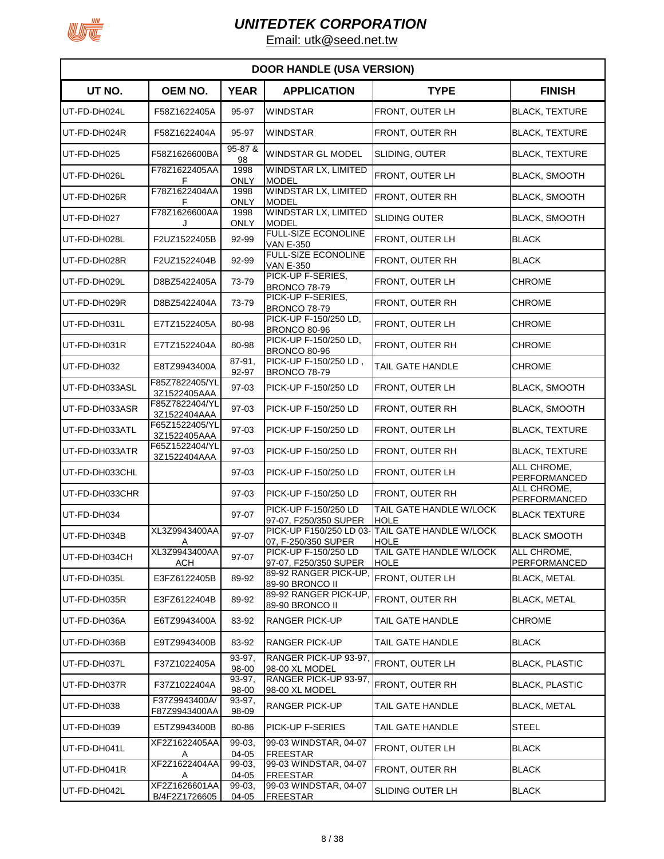

| <b>DOOR HANDLE (USA VERSION)</b> |                                |                     |                                                |                                                                |                                    |  |  |
|----------------------------------|--------------------------------|---------------------|------------------------------------------------|----------------------------------------------------------------|------------------------------------|--|--|
| UT NO.                           | OEM NO.                        | <b>YEAR</b>         | <b>APPLICATION</b>                             | <b>TYPE</b>                                                    | <b>FINISH</b>                      |  |  |
| UT-FD-DH024L                     | F58Z1622405A                   | 95-97               | <b>WINDSTAR</b>                                | FRONT, OUTER LH                                                | <b>BLACK, TEXTURE</b>              |  |  |
| UT-FD-DH024R                     | F58Z1622404A                   | 95-97               | WINDSTAR                                       | FRONT, OUTER RH                                                | <b>BLACK, TEXTURE</b>              |  |  |
| UT-FD-DH025                      | F58Z1626600BA                  | 95-87 &<br>98       | WINDSTAR GL MODEL                              | SLIDING, OUTER                                                 | <b>BLACK, TEXTURE</b>              |  |  |
| UT-FD-DH026L                     | F78Z1622405AA<br>F             | 1998<br><b>ONLY</b> | WINDSTAR LX, LIMITED<br><b>MODEL</b>           | FRONT, OUTER LH                                                | <b>BLACK, SMOOTH</b>               |  |  |
| UT-FD-DH026R                     | F78Z1622404AA<br>F             | 1998<br><b>ONLY</b> | <b>WINDSTAR LX, LIMITED</b><br><b>MODEL</b>    | FRONT, OUTER RH                                                | <b>BLACK, SMOOTH</b>               |  |  |
| UT-FD-DH027                      | F78Z1626600AA<br>. J           | 1998<br><b>ONLY</b> | <b>WINDSTAR LX, LIMITED</b><br><b>MODEL</b>    | <b>SLIDING OUTER</b>                                           | <b>BLACK, SMOOTH</b>               |  |  |
| UT-FD-DH028L                     | F2UZ1522405B                   | 92-99               | <b>FULL-SIZE ECONOLINE</b><br><b>VAN E-350</b> | FRONT, OUTER LH                                                | <b>BLACK</b>                       |  |  |
| UT-FD-DH028R                     | F2UZ1522404B                   | 92-99               | FULL-SIZE ECONOLINE<br><b>VAN E-350</b>        | FRONT, OUTER RH                                                | <b>BLACK</b>                       |  |  |
| UT-FD-DH029L                     | D8BZ5422405A                   | 73-79               | PICK-UP F-SERIES.<br><b>BRONCO 78-79</b>       | FRONT, OUTER LH                                                | <b>CHROME</b>                      |  |  |
| UT-FD-DH029R                     | D8BZ5422404A                   | 73-79               | PICK-UP F-SERIES.<br>BRONCO 78-79              | FRONT, OUTER RH                                                | <b>CHROME</b>                      |  |  |
| UT-FD-DH031L                     | E7TZ1522405A                   | 80-98               | PICK-UP F-150/250 LD,<br><b>BRONCO 80-96</b>   | <b>FRONT, OUTER LH</b>                                         | <b>CHROME</b>                      |  |  |
| UT-FD-DH031R                     | E7TZ1522404A                   | 80-98               | PICK-UP F-150/250 LD.<br><b>BRONCO 80-96</b>   | FRONT, OUTER RH                                                | <b>CHROME</b>                      |  |  |
| UT-FD-DH032                      | E8TZ9943400A                   | 87-91,<br>92-97     | PICK-UP F-150/250 LD,<br><b>BRONCO 78-79</b>   | TAIL GATE HANDLE                                               | <b>CHROME</b>                      |  |  |
| UT-FD-DH033ASL                   | F85Z7822405/YL<br>3Z1522405AAA | 97-03               | PICK-UP F-150/250 LD                           | FRONT, OUTER LH                                                | <b>BLACK, SMOOTH</b>               |  |  |
| UT-FD-DH033ASR                   | F85Z7822404/YL<br>3Z1522404AAA | 97-03               | PICK-UP F-150/250 LD                           | <b>FRONT, OUTER RH</b>                                         | <b>BLACK, SMOOTH</b>               |  |  |
| UT-FD-DH033ATL                   | F65Z1522405/YL<br>3Z1522405AAA | 97-03               | PICK-UP F-150/250 LD                           | <b>FRONT, OUTER LH</b>                                         | <b>BLACK, TEXTURE</b>              |  |  |
| UT-FD-DH033ATR                   | F65Z1522404/YL<br>3Z1522404AAA | 97-03               | PICK-UP F-150/250 LD                           | FRONT, OUTER RH                                                | <b>BLACK, TEXTURE</b>              |  |  |
| UT-FD-DH033CHL                   |                                | 97-03               | PICK-UP F-150/250 LD                           | FRONT, OUTER LH                                                | ALL CHROME,<br>PERFORMANCED        |  |  |
| UT-FD-DH033CHR                   |                                | 97-03               | PICK-UP F-150/250 LD                           | <b>FRONT, OUTER RH</b>                                         | ALL CHROME.<br><b>PERFORMANCED</b> |  |  |
| UT-FD-DH034                      |                                | 97-07               | PICK-UP F-150/250 LD<br>97-07, F250/350 SUPER  | TAIL GATE HANDLE W/LOCK<br><b>HOLE</b>                         | <b>BLACK TEXTURE</b>               |  |  |
| UT-FD-DH034B                     | XL3Z9943400AA<br>A             | 97-07               | 07, F-250/350 SUPER                            | PICK-UP F150/250 LD 03- TAIL GATE HANDLE W/LOCK<br><b>HOLE</b> | <b>BLACK SMOOTH</b>                |  |  |
| UT-FD-DH034CH                    | XL3Z9943400AA<br>ACH           | 97-07               | PICK-UP F-150/250 LD<br>97-07, F250/350 SUPER  | TAIL GATE HANDLE W/LOCK<br><b>HOLE</b>                         | ALL CHROME,<br><b>PERFORMANCED</b> |  |  |
| UT-FD-DH035L                     | E3FZ6122405B                   | 89-92               | 89-92 RANGER PICK-UP,<br>89-90 BRONCO II       | FRONT, OUTER LH                                                | <b>BLACK, METAL</b>                |  |  |
| UT-FD-DH035R                     | E3FZ6122404B                   | 89-92               | 89-92 RANGER PICK-UP,<br>89-90 BRONCO II       | FRONT, OUTER RH                                                | <b>BLACK, METAL</b>                |  |  |
| UT-FD-DH036A                     | E6TZ9943400A                   | 83-92               | RANGER PICK-UP                                 | TAIL GATE HANDLE                                               | <b>CHROME</b>                      |  |  |
| UT-FD-DH036B                     | E9TZ9943400B                   | 83-92               | RANGER PICK-UP                                 | TAIL GATE HANDLE                                               | <b>BLACK</b>                       |  |  |
| UT-FD-DH037L                     | F37Z1022405A                   | 93-97,<br>98-00     | RANGER PICK-UP 93-97,<br>98-00 XL MODEL        | FRONT, OUTER LH                                                | <b>BLACK, PLASTIC</b>              |  |  |
| UT-FD-DH037R                     | F37Z1022404A                   | 93-97,<br>98-00     | RANGER PICK-UP 93-97.<br>98-00 XL MODEL        | FRONT, OUTER RH                                                | <b>BLACK, PLASTIC</b>              |  |  |
| UT-FD-DH038                      | F37Z9943400A/<br>F87Z9943400AA | 93-97,<br>98-09     | <b>RANGER PICK-UP</b>                          | TAIL GATE HANDLE                                               | <b>BLACK, METAL</b>                |  |  |
| UT-FD-DH039                      | E5TZ9943400B                   | 80-86               | PICK-UP F-SERIES                               | TAIL GATE HANDLE                                               | <b>STEEL</b>                       |  |  |
| UT-FD-DH041L                     | XF2Z1622405AA<br>A             | 99-03.<br>04-05     | 99-03 WINDSTAR, 04-07<br><b>FREESTAR</b>       | FRONT, OUTER LH                                                | <b>BLACK</b>                       |  |  |
| UT-FD-DH041R                     | XF2Z1622404AA<br>A             | 99-03,<br>04-05     | 99-03 WINDSTAR, 04-07<br><b>FREESTAR</b>       | FRONT, OUTER RH                                                | <b>BLACK</b>                       |  |  |
| UT-FD-DH042L                     | XF2Z1626601AA<br>B/4F2Z1726605 | 99-03,<br>04-05     | 99-03 WINDSTAR, 04-07<br><b>FREESTAR</b>       | SLIDING OUTER LH                                               | <b>BLACK</b>                       |  |  |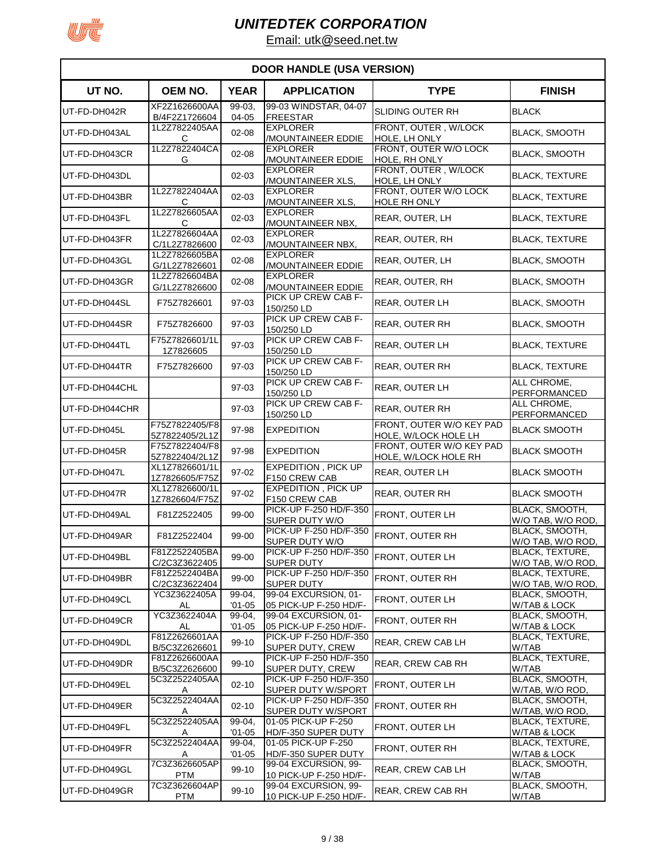

| <b>DOOR HANDLE (USA VERSION)</b> |                                  |                      |                                                         |                                                  |                                             |  |
|----------------------------------|----------------------------------|----------------------|---------------------------------------------------------|--------------------------------------------------|---------------------------------------------|--|
| UT NO.                           | OEM NO.                          | <b>YEAR</b>          | <b>APPLICATION</b>                                      | <b>TYPE</b>                                      | <b>FINISH</b>                               |  |
| UT-FD-DH042R                     | XF2Z1626600AA<br>B/4F2Z1726604   | 99-03.<br>04-05      | 99-03 WINDSTAR, 04-07<br><b>FREESTAR</b>                | <b>SLIDING OUTER RH</b>                          | <b>BLACK</b>                                |  |
| UT-FD-DH043AL                    | 1L2Z7822405AA<br>С               | $02 - 08$            | <b>EXPLORER</b><br><b>MOUNTAINEER EDDIE</b>             | FRONT, OUTER, W/LOCK<br>HOLE, LH ONLY            | <b>BLACK, SMOOTH</b>                        |  |
| UT-FD-DH043CR                    | 1L2Z7822404CA<br>G               | $02 - 08$            | <b>EXPLORER</b><br>/MOUNTAINEER EDDIE                   | FRONT, OUTER W/O LOCK<br>HOLE, RH ONLY           | <b>BLACK, SMOOTH</b>                        |  |
| UT-FD-DH043DL                    |                                  | $02 - 03$            | <b>EXPLORER</b><br>/MOUNTAINEER XLS,                    | FRONT, OUTER, W/LOCK<br>HOLE, LH ONLY            | <b>BLACK, TEXTURE</b>                       |  |
| UT-FD-DH043BR                    | 1L2Z7822404AA<br>C               | $02 - 03$            | <b>EXPLORER</b><br>/MOUNTAINEER XLS,                    | FRONT, OUTER W/O LOCK<br>HOLE RH ONLY            | <b>BLACK, TEXTURE</b>                       |  |
| UT-FD-DH043FL                    | 1L2Z7826605AA<br>C               | $02 - 03$            | <b>EXPLORER</b><br>/MOUNTAINEER NBX,                    | REAR, OUTER, LH                                  | <b>BLACK, TEXTURE</b>                       |  |
| UT-FD-DH043FR                    | 1L2Z7826604AA<br>C/1L2Z7826600   | 02-03                | <b>EXPLORER</b><br>/MOUNTAINEER NBX,                    | REAR, OUTER, RH                                  | <b>BLACK, TEXTURE</b>                       |  |
| UT-FD-DH043GL                    | 1L2Z7826605BA<br>G/1L2Z7826601   | $02 - 08$            | <b>EXPLORER</b><br>/MOUNTAINEER EDDIE                   | REAR, OUTER, LH                                  | <b>BLACK, SMOOTH</b>                        |  |
| UT-FD-DH043GR                    | 1L2Z7826604BA<br>G/1L2Z7826600   | $02 - 08$            | <b>EXPLORER</b><br><b>/MOUNTAINEER EDDIE</b>            | REAR, OUTER, RH                                  | <b>BLACK, SMOOTH</b>                        |  |
| UT-FD-DH044SL                    | F75Z7826601                      | 97-03                | PICK UP CREW CAB F-<br>150/250 LD                       | REAR, OUTER LH                                   | <b>BLACK, SMOOTH</b>                        |  |
| UT-FD-DH044SR                    | F75Z7826600                      | 97-03                | PICK UP CREW CAB F-<br>150/250 LD                       | <b>REAR, OUTER RH</b>                            | <b>BLACK, SMOOTH</b>                        |  |
| UT-FD-DH044TL                    | F75Z7826601/1L<br>1Z7826605      | 97-03                | PICK UP CREW CAB F-<br>150/250 LD                       | REAR, OUTER LH                                   | <b>BLACK, TEXTURE</b>                       |  |
| UT-FD-DH044TR                    | F75Z7826600                      | 97-03                | PICK UP CREW CAB F-<br>150/250 LD                       | REAR, OUTER RH                                   | <b>BLACK, TEXTURE</b>                       |  |
| UT-FD-DH044CHL                   |                                  | 97-03                | PICK UP CREW CAB F-<br>150/250 LD                       | REAR, OUTER LH                                   | ALL CHROME,<br>PERFORMANCED                 |  |
| UT-FD-DH044CHR                   |                                  | 97-03                | PICK UP CREW CAB F-<br>150/250 LD                       | REAR, OUTER RH                                   | ALL CHROME,<br>PERFORMANCED                 |  |
| UT-FD-DH045L                     | F75Z7822405/F8<br>5Z7822405/2L1Z | 97-98                | <b>EXPEDITION</b>                                       | FRONT, OUTER W/O KEY PAD<br>HOLE, W/LOCK HOLE LH | <b>BLACK SMOOTH</b>                         |  |
| UT-FD-DH045R                     | F75Z7822404/F8<br>5Z7822404/2L1Z | 97-98                | <b>EXPEDITION</b>                                       | FRONT, OUTER W/O KEY PAD<br>HOLE, W/LOCK HOLE RH | <b>BLACK SMOOTH</b>                         |  |
| UT-FD-DH047L                     | XL1Z7826601/1L<br>1Z7826605/F75Z | 97-02                | <b>EXPEDITION, PICK UP</b><br>F150 CREW CAB             | REAR, OUTER LH                                   | <b>BLACK SMOOTH</b>                         |  |
| UT-FD-DH047R                     | XL1Z7826600/1L<br>1Z7826604/F75Z | 97-02                | <b>EXPEDITION, PICK UP</b><br>F <sub>150</sub> CREW CAB | REAR, OUTER RH                                   | <b>BLACK SMOOTH</b>                         |  |
| UT-FD-DH049AL                    | F81Z2522405                      | 99-00                | PICK-UP F-250 HD/F-350<br>SUPER DUTY W/O                | FRONT, OUTER LH                                  | <b>BLACK, SMOOTH,</b><br>W/O TAB, W/O ROD,  |  |
| UT-FD-DH049AR                    | F81Z2522404                      | 99-00                | PICK-UP F-250 HD/F-350<br>SUPER DUTY W/O                | FRONT, OUTER RH                                  | BLACK, SMOOTH,<br>W/O TAB, W/O ROD,         |  |
| UT-FD-DH049BL                    | F81Z2522405BA<br>C/2C3Z3622405   | 99-00                | PICK-UP F-250 HD/F-350<br><b>SUPER DUTY</b>             | FRONT, OUTER LH                                  | <b>BLACK, TEXTURE,</b><br>W/O TAB, W/O ROD, |  |
| UT-FD-DH049BR                    | F81Z2522404BA<br>C/2C3Z3622404   | 99-00                | PICK-UP F-250 HD/F-350<br><b>SUPER DUTY</b>             | <b>FRONT, OUTER RH</b>                           | BLACK, TEXTURE,<br>W/O TAB, W/O ROD,        |  |
| UT-FD-DH049CL                    | YC3Z3622405A<br>AL               | 99-04.<br>$'01 - 05$ | 99-04 EXCURSION, 01-<br>05 PICK-UP F-250 HD/F-          | FRONT, OUTER LH                                  | BLACK, SMOOTH,<br>W/TAB & LOCK              |  |
| UT-FD-DH049CR                    | YC3Z3622404A<br>AL               | 99-04,<br>$'01 - 05$ | 99-04 EXCURSION, 01-<br>05 PICK-UP F-250 HD/F-          | FRONT, OUTER RH                                  | BLACK, SMOOTH,<br>W/TAB & LOCK              |  |
| UT-FD-DH049DL                    | F81Z2626601AA<br>B/5C3Z2626601   | 99-10                | PICK-UP F-250 HD/F-350<br>SUPER DUTY, CREW              | <b>REAR, CREW CAB LH</b>                         | BLACK, TEXTURE,<br>W/TAB                    |  |
| UT-FD-DH049DR                    | F81Z2626600AA<br>B/5C3Z2626600   | 99-10                | PICK-UP F-250 HD/F-350<br>SUPER DUTY, CREW              | REAR, CREW CAB RH                                | <b>BLACK, TEXTURE,</b><br>W/TAB             |  |
| UT-FD-DH049EL                    | 5C3Z2522405AA<br>A               | $02 - 10$            | PICK-UP F-250 HD/F-350<br>SUPER DUTY W/SPORT            | FRONT, OUTER LH                                  | BLACK, SMOOTH,<br>W/TAB, W/O ROD,           |  |
| UT-FD-DH049ER                    | 5C3Z2522404AA                    | $02 - 10$            | PICK-UP F-250 HD/F-350<br>SUPER DUTY W/SPORT            | FRONT, OUTER RH                                  | BLACK, SMOOTH,<br>W/TAB, W/O ROD,           |  |
| UT-FD-DH049FL                    | 5C3Z2522405AA<br>Α               | $99-04,$<br>$'01-05$ | 01-05 PICK-UP F-250<br>HD/F-350 SUPER DUTY              | FRONT, OUTER LH                                  | <b>BLACK, TEXTURE,</b><br>W/TAB & LOCK      |  |
| UT-FD-DH049FR                    | 5C3Z2522404AA<br>Α               | 99-04,<br>$'01-05$   | 01-05 PICK-UP F-250<br>HD/F-350 SUPER DUTY              | FRONT, OUTER RH                                  | BLACK, TEXTURE,<br>W/TAB & LOCK             |  |
| UT-FD-DH049GL                    | 7C3Z3626605AP<br>PTM             | 99-10                | 99-04 EXCURSION, 99-<br>10 PICK-UP F-250 HD/F-          | REAR, CREW CAB LH                                | BLACK, SMOOTH,<br>W/TAB                     |  |
| UT-FD-DH049GR                    | 7C3Z3626604AP<br>PTM             | 99-10                | 99-04 EXCURSION, 99-<br>10 PICK-UP F-250 HD/F-          | REAR, CREW CAB RH                                | BLACK, SMOOTH,<br>W/TAB                     |  |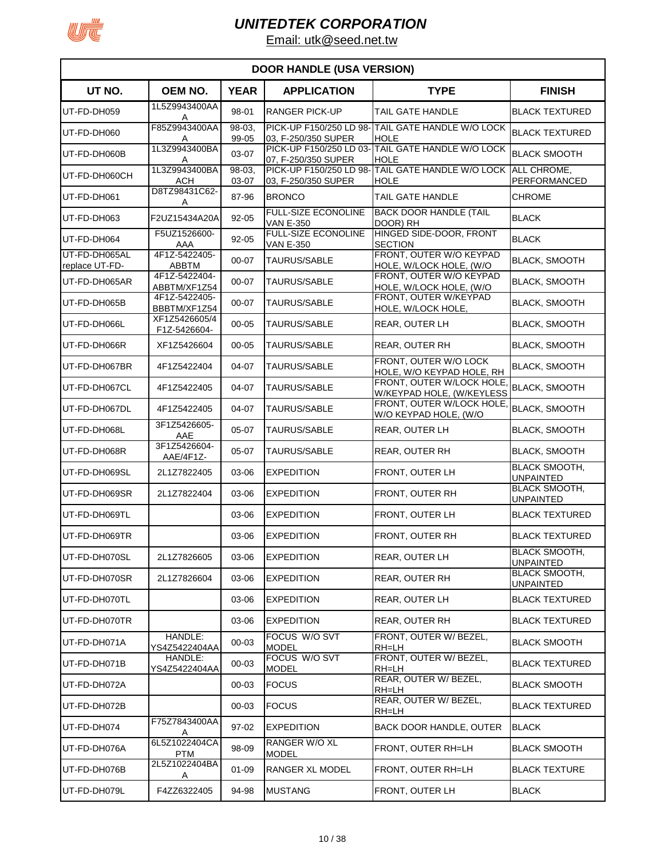

| <b>DOOR HANDLE (USA VERSION)</b> |                               |                 |                                                |                                                                  |                                          |  |  |
|----------------------------------|-------------------------------|-----------------|------------------------------------------------|------------------------------------------------------------------|------------------------------------------|--|--|
| UT NO.                           | <b>OEM NO.</b>                | <b>YEAR</b>     | <b>APPLICATION</b>                             | <b>TYPE</b>                                                      | <b>FINISH</b>                            |  |  |
| UT-FD-DH059                      | 1L5Z9943400AA<br>Α            | 98-01           | <b>RANGER PICK-UP</b>                          | TAIL GATE HANDLE                                                 | <b>BLACK TEXTURED</b>                    |  |  |
| UT-FD-DH060                      | F85Z9943400AA<br>A            | 98-03,<br>99-05 | 03, F-250/350 SUPER                            | PICK-UP F150/250 LD 98-TAIL GATE HANDLE W/O LOCK<br><b>HOLE</b>  | <b>BLACK TEXTURED</b>                    |  |  |
| UT-FD-DH060B                     | 1L3Z9943400BA                 | 03-07           | 07, F-250/350 SUPER                            | PICK-UP F150/250 LD 03- TAIL GATE HANDLE W/O LOCK<br><b>HOLE</b> | <b>BLACK SMOOTH</b>                      |  |  |
| UT-FD-DH060CH                    | 1L3Z9943400BA<br>ACH          | 98-03.<br>03-07 | 03, F-250/350 SUPER                            | PICK-UP F150/250 LD 98- TAIL GATE HANDLE W/O LOCK<br><b>HOLE</b> | ALL CHROME,<br>PERFORMANCED              |  |  |
| UT-FD-DH061                      | D8TZ98431C62-<br>A            | 87-96           | <b>BRONCO</b>                                  | TAIL GATE HANDLE                                                 | <b>CHROME</b>                            |  |  |
| UT-FD-DH063                      | F2UZ15434A20A                 | $92 - 05$       | <b>FULL-SIZE ECONOLINE</b><br><b>VAN E-350</b> | <b>BACK DOOR HANDLE (TAIL</b><br>DOOR) RH                        | <b>BLACK</b>                             |  |  |
| UT-FD-DH064                      | F5UZ1526600-<br>AAA           | $92 - 05$       | <b>FULL-SIZE ECONOLINE</b><br><b>VAN E-350</b> | HINGED SIDE-DOOR, FRONT<br><b>SECTION</b>                        | <b>BLACK</b>                             |  |  |
| UT-FD-DH065AL<br>replace UT-FD-  | 4F1Z-5422405-<br><b>ABBTM</b> | 00-07           | <b>TAURUS/SABLE</b>                            | FRONT, OUTER W/O KEYPAD<br>HOLE, W/LOCK HOLE, (W/O               | <b>BLACK, SMOOTH</b>                     |  |  |
| UT-FD-DH065AR                    | 4F1Z-5422404-<br>ABBTM/XF1Z54 | 00-07           | <b>TAURUS/SABLE</b>                            | FRONT, OUTER W/O KEYPAD<br>HOLE, W/LOCK HOLE, (W/O               | <b>BLACK, SMOOTH</b>                     |  |  |
| UT-FD-DH065B                     | 4F1Z-5422405-<br>BBBTM/XF1Z54 | 00-07           | <b>TAURUS/SABLE</b>                            | FRONT. OUTER W/KEYPAD<br>HOLE, W/LOCK HOLE,                      | <b>BLACK, SMOOTH</b>                     |  |  |
| UT-FD-DH066L                     | XF1Z5426605/4<br>F1Z-5426604- | $00 - 05$       | <b>TAURUS/SABLE</b>                            | <b>REAR, OUTER LH</b>                                            | <b>BLACK, SMOOTH</b>                     |  |  |
| UT-FD-DH066R                     | XF1Z5426604                   | $00 - 05$       | <b>TAURUS/SABLE</b>                            | <b>REAR, OUTER RH</b>                                            | <b>BLACK, SMOOTH</b>                     |  |  |
| UT-FD-DH067BR                    | 4F1Z5422404                   | 04-07           | <b>TAURUS/SABLE</b>                            | FRONT, OUTER W/O LOCK<br>HOLE. W/O KEYPAD HOLE. RH               | <b>BLACK, SMOOTH</b>                     |  |  |
| UT-FD-DH067CL                    | 4F1Z5422405                   | 04-07           | TAURUS/SABLE                                   | FRONT, OUTER W/LOCK HOLE<br>W/KEYPAD HOLE, (W/KEYLESS            | <b>BLACK, SMOOTH</b>                     |  |  |
| UT-FD-DH067DL                    | 4F1Z5422405                   | 04-07           | <b>TAURUS/SABLE</b>                            | FRONT, OUTER W/LOCK HOLE<br>W/O KEYPAD HOLE, (W/O                | <b>BLACK, SMOOTH</b>                     |  |  |
| UT-FD-DH068L                     | 3F1Z5426605-<br>AAE           | $05 - 07$       | TAURUS/SABLE                                   | <b>REAR, OUTER LH</b>                                            | <b>BLACK, SMOOTH</b>                     |  |  |
| UT-FD-DH068R                     | 3F1Z5426604-<br>AAE/4F1Z-     | $05 - 07$       | TAURUS/SABLE                                   | REAR, OUTER RH                                                   | <b>BLACK, SMOOTH</b>                     |  |  |
| UT-FD-DH069SL                    | 2L1Z7822405                   | 03-06           | <b>EXPEDITION</b>                              | FRONT, OUTER LH                                                  | <b>BLACK SMOOTH,</b><br><b>UNPAINTED</b> |  |  |
| UT-FD-DH069SR                    | 2L1Z7822404                   | 03-06           | <b>EXPEDITION</b>                              | FRONT, OUTER RH                                                  | <b>BLACK SMOOTH,</b><br><b>UNPAINTED</b> |  |  |
| UT-FD-DH069TL                    |                               | 03-06           | <b>EXPEDITION</b>                              | FRONT, OUTER LH                                                  | <b>BLACK TEXTURED</b>                    |  |  |
| UT-FD-DH069TR                    |                               | 03-06           | EXPEDITION                                     | <b>FRONT, OUTER RH</b>                                           | <b>BLACK TEXTURED</b>                    |  |  |
| UT-FD-DH070SL                    | 2L1Z7826605                   | 03-06           | <b>EXPEDITION</b>                              | REAR, OUTER LH                                                   | <b>BLACK SMOOTH,</b><br><b>UNPAINTED</b> |  |  |
| UT-FD-DH070SR                    | 2L1Z7826604                   | 03-06           | <b>EXPEDITION</b>                              | REAR, OUTER RH                                                   | <b>BLACK SMOOTH,</b><br><b>UNPAINTED</b> |  |  |
| UT-FD-DH070TL                    |                               | 03-06           | <b>EXPEDITION</b>                              | REAR, OUTER LH                                                   | <b>BLACK TEXTURED</b>                    |  |  |
| UT-FD-DH070TR                    |                               | 03-06           | <b>EXPEDITION</b>                              | REAR, OUTER RH                                                   | <b>BLACK TEXTURED</b>                    |  |  |
| UT-FD-DH071A                     | HANDLE:<br>YS4Z5422404AA      | 00-03           | FOCUS W/O SVT<br><b>MODEL</b>                  | FRONT, OUTER W/ BEZEL,<br>RH=LH                                  | <b>BLACK SMOOTH</b>                      |  |  |
| UT-FD-DH071B                     | HANDLE:<br>YS4Z5422404AA      | 00-03           | FOCUS W/O SVT<br><b>MODEL</b>                  | FRONT, OUTER W/ BEZEL,<br>RH=LH                                  | <b>BLACK TEXTURED</b>                    |  |  |
| UT-FD-DH072A                     |                               | 00-03           | <b>FOCUS</b>                                   | REAR, OUTER W/ BEZEL,<br>RH=LH                                   | <b>BLACK SMOOTH</b>                      |  |  |
| UT-FD-DH072B                     |                               | $00 - 03$       | <b>FOCUS</b>                                   | REAR, OUTER W/ BEZEL,<br>RH=LH                                   | <b>BLACK TEXTURED</b>                    |  |  |
| UT-FD-DH074                      | F75Z7843400AA<br>Α            | 97-02           | <b>EXPEDITION</b>                              | BACK DOOR HANDLE, OUTER                                          | <b>BLACK</b>                             |  |  |
| UT-FD-DH076A                     | 6L5Z1022404CA<br><b>PTM</b>   | 98-09           | RANGER W/O XL<br><b>MODEL</b>                  | FRONT, OUTER RH=LH                                               | <b>BLACK SMOOTH</b>                      |  |  |
| UT-FD-DH076B                     | 2L5Z1022404BA<br>Α            | $01 - 09$       | <b>RANGER XL MODEL</b>                         | FRONT, OUTER RH=LH                                               | <b>BLACK TEXTURE</b>                     |  |  |
| UT-FD-DH079L                     | F4ZZ6322405                   | 94-98           | <b>MUSTANG</b>                                 | FRONT, OUTER LH                                                  | <b>BLACK</b>                             |  |  |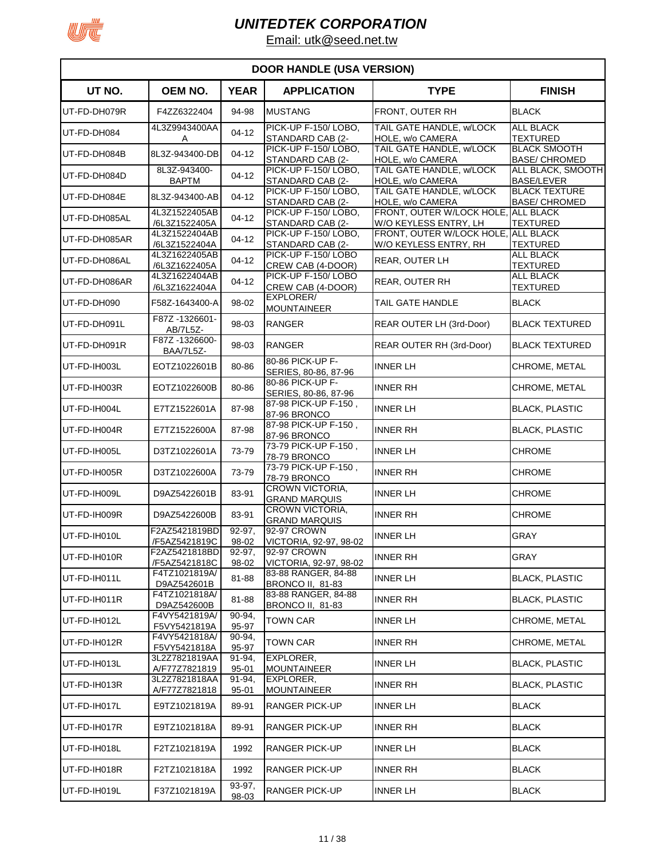

| <b>DOOR HANDLE (USA VERSION)</b> |                                |                      |                                                |                                                    |                                              |  |
|----------------------------------|--------------------------------|----------------------|------------------------------------------------|----------------------------------------------------|----------------------------------------------|--|
| UT NO.                           | <b>OEM NO.</b>                 | <b>YEAR</b>          | <b>APPLICATION</b>                             | <b>TYPE</b>                                        | <b>FINISH</b>                                |  |
| UT-FD-DH079R                     | F4ZZ6322404                    | 94-98                | <b>MUSTANG</b>                                 | FRONT, OUTER RH                                    | <b>BLACK</b>                                 |  |
| UT-FD-DH084                      | 4L3Z9943400AA<br>Α             | $04 - 12$            | PICK-UP F-150/LOBO,<br>STANDARD CAB (2-        | TAIL GATE HANDLE, w/LOCK<br>HOLE, w/o CAMERA       | ALL BLACK<br><b>TEXTURED</b>                 |  |
| UT-FD-DH084B                     | 8L3Z-943400-DB                 | $04-12$              | PICK-UP F-150/LOBO,<br>STANDARD CAB (2-        | TAIL GATE HANDLE, w/LOCK<br>HOLE, w/o CAMERA       | <b>BLACK SMOOTH</b><br><b>BASE/ CHROMED</b>  |  |
| UT-FD-DH084D                     | 8L3Z-943400-<br><b>BAPTM</b>   | $04 - 12$            | PICK-UP F-150/LOBO.<br>STANDARD CAB (2-        | TAIL GATE HANDLE, w/LOCK<br>HOLE, w/o CAMERA       | ALL BLACK, SMOOTH<br><b>BASE/LEVER</b>       |  |
| UT-FD-DH084E                     | 8L3Z-943400-AB                 | $04 - 12$            | PICK-UP F-150/LOBO,<br>STANDARD CAB (2-        | TAIL GATE HANDLE, w/LOCK<br>HOLE, w/o CAMERA       | <b>BLACK TEXTURE</b><br><b>BASE/ CHROMED</b> |  |
| UT-FD-DH085AL                    | 4L3Z1522405AB<br>/6L3Z1522405A | $04 - 12$            | PICK-UP F-150/LOBO,<br>STANDARD CAB (2-        | FRONT, OUTER W/LOCK HOLE<br>W/O KEYLESS ENTRY, LH  | <b>ALL BLACK</b><br><b>TEXTURED</b>          |  |
| UT-FD-DH085AR                    | 4L3Z1522404AB<br>/6L3Z1522404A | $04 - 12$            | PICK-UP F-150/LOBO,<br>STANDARD CAB (2-        | FRONT, OUTER W/LOCK HOLE.<br>W/O KEYLESS ENTRY, RH | <b>ALL BLACK</b><br>TEXTURED                 |  |
| UT-FD-DH086AL                    | 4L3Z1622405AB<br>/6L3Z1622405A | $04 - 12$            | PICK-UP F-150/LOBO<br>CREW CAB (4-DOOR)        | <b>REAR, OUTER LH</b>                              | <b>ALL BLACK</b><br><b>TEXTURED</b>          |  |
| UT-FD-DH086AR                    | 4L3Z1622404AB<br>/6L3Z1622404A | $04 - 12$            | PICK-UP F-150/LOBO<br>CREW CAB (4-DOOR)        | REAR, OUTER RH                                     | <b>ALL BLACK</b><br><b>TEXTURED</b>          |  |
| UT-FD-DH090                      | F58Z-1643400-A                 | 98-02                | EXPLORER/<br><b>MOUNTAINEER</b>                | TAIL GATE HANDLE                                   | <b>BLACK</b>                                 |  |
| UT-FD-DH091L                     | F87Z-1326601-<br>AB/7L5Z-      | 98-03                | <b>RANGER</b>                                  | REAR OUTER LH (3rd-Door)                           | <b>BLACK TEXTURED</b>                        |  |
| UT-FD-DH091R                     | F87Z-1326600-<br>BAA/7L5Z-     | 98-03                | <b>RANGER</b>                                  | REAR OUTER RH (3rd-Door)                           | <b>BLACK TEXTURED</b>                        |  |
| UT-FD-IH003L                     | EOTZ1022601B                   | 80-86                | 80-86 PICK-UP F-<br>SERIES, 80-86, 87-96       | <b>INNER LH</b>                                    | CHROME, METAL                                |  |
| UT-FD-IH003R                     | EOTZ1022600B                   | 80-86                | 80-86 PICK-UP F-<br>SERIES, 80-86, 87-96       | <b>INNER RH</b>                                    | CHROME, METAL                                |  |
| UT-FD-IH004L                     | E7TZ1522601A                   | 87-98                | 87-98 PICK-UP F-150,<br>87-96 BRONCO           | <b>INNER LH</b>                                    | <b>BLACK, PLASTIC</b>                        |  |
| UT-FD-IH004R                     | E7TZ1522600A                   | 87-98                | 87-98 PICK-UP F-150,<br>87-96 BRONCO           | <b>INNER RH</b>                                    | <b>BLACK, PLASTIC</b>                        |  |
| UT-FD-IH005L                     | D3TZ1022601A                   | 73-79                | 73-79 PICK-UP F-150,<br>78-79 BRONCO           | <b>INNER LH</b>                                    | <b>CHROME</b>                                |  |
| UT-FD-IH005R                     | D3TZ1022600A                   | 73-79                | 73-79 PICK-UP F-150,<br>78-79 BRONCO           | <b>INNER RH</b>                                    | <b>CHROME</b>                                |  |
| UT-FD-IH009L                     | D9AZ5422601B                   | 83-91                | <b>CROWN VICTORIA.</b><br><b>GRAND MARQUIS</b> | <b>INNER LH</b>                                    | <b>CHROME</b>                                |  |
| UT-FD-IH009R                     | D9AZ5422600B                   | 83-91                | <b>CROWN VICTORIA,</b><br><b>GRAND MARQUIS</b> | <b>INNER RH</b>                                    | <b>CHROME</b>                                |  |
| UT-FD-IH010L                     | F2AZ5421819BD<br>/F5AZ5421819C | $92 - 97$ ,<br>98-02 | 92-97 CROWN<br>VICTORIA, 92-97, 98-02          | <b>INNER LH</b>                                    | <b>GRAY</b>                                  |  |
| UT-FD-IH010R                     | F2AZ5421818BD<br>/F5AZ5421818C | $92-97,$<br>98-02    | 92-97 CROWN<br>VICTORIA, 92-97, 98-02          | <b>INNER RH</b>                                    | <b>GRAY</b>                                  |  |
| UT-FD-IH011L                     | F4TZ1021819A/<br>D9AZ542601B   | 81-88                | 83-88 RANGER, 84-88<br><b>BRONCO II, 81-83</b> | <b>INNER LH</b>                                    | <b>BLACK, PLASTIC</b>                        |  |
| UT-FD-IH011R                     | F4TZ1021818A/<br>D9AZ542600B   | 81-88                | 83-88 RANGER, 84-88<br>BRONCO II, 81-83        | <b>INNER RH</b>                                    | <b>BLACK, PLASTIC</b>                        |  |
| UT-FD-IH012L                     | F4VY5421819A/<br>F5VY5421819A  | 90-94,<br>95-97      | <b>TOWN CAR</b>                                | <b>INNER LH</b>                                    | CHROME, METAL                                |  |
| UT-FD-IH012R                     | F4VY5421818A/<br>F5VY5421818A  | 90-94,<br>95-97      | <b>TOWN CAR</b>                                | <b>INNER RH</b>                                    | CHROME, METAL                                |  |
| UT-FD-IH013L                     | 3L2Z7821819AA<br>A/F77Z7821819 | 91-94,<br>$95 - 01$  | <b>EXPLORER,</b><br><b>MOUNTAINEER</b>         | <b>INNER LH</b>                                    | <b>BLACK, PLASTIC</b>                        |  |
| UT-FD-IH013R                     | 3L2Z7821818AA<br>A/F77Z7821818 | 91-94,<br>$95 - 01$  | <b>EXPLORER,</b><br><b>MOUNTAINEER</b>         | <b>INNER RH</b>                                    | <b>BLACK, PLASTIC</b>                        |  |
| UT-FD-IH017L                     | E9TZ1021819A                   | 89-91                | <b>RANGER PICK-UP</b>                          | <b>INNER LH</b>                                    | <b>BLACK</b>                                 |  |
| UT-FD-IH017R                     | E9TZ1021818A                   | 89-91                | <b>RANGER PICK-UP</b>                          | <b>INNER RH</b>                                    | <b>BLACK</b>                                 |  |
| UT-FD-IH018L                     | F2TZ1021819A                   | 1992                 | <b>RANGER PICK-UP</b>                          | <b>INNER LH</b>                                    | <b>BLACK</b>                                 |  |
| UT-FD-IH018R                     | F2TZ1021818A                   | 1992                 | <b>RANGER PICK-UP</b>                          | <b>INNER RH</b>                                    | <b>BLACK</b>                                 |  |
| UT-FD-IH019L                     | F37Z1021819A                   | 93-97,<br>98-03      | RANGER PICK-UP                                 | <b>INNER LH</b>                                    | <b>BLACK</b>                                 |  |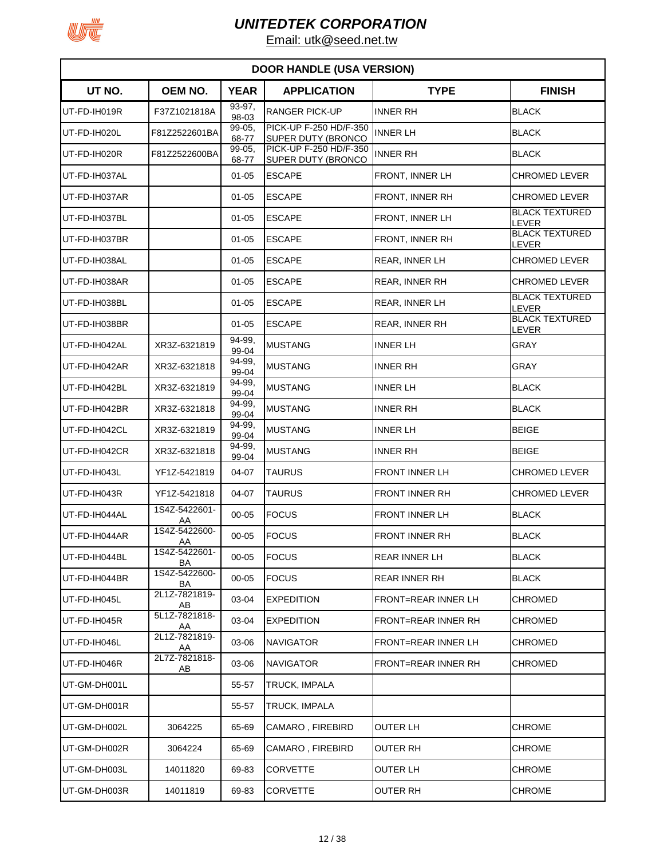

| <b>DOOR HANDLE (USA VERSION)</b> |                     |                 |                                                     |                            |                                |  |  |
|----------------------------------|---------------------|-----------------|-----------------------------------------------------|----------------------------|--------------------------------|--|--|
| UT NO.                           | <b>OEM NO.</b>      | <b>YEAR</b>     | <b>APPLICATION</b>                                  | <b>TYPE</b>                | <b>FINISH</b>                  |  |  |
| UT-FD-IH019R                     | F37Z1021818A        | 93-97,<br>98-03 | <b>RANGER PICK-UP</b>                               | <b>INNER RH</b>            | <b>BLACK</b>                   |  |  |
| UT-FD-IH020L                     | F81Z2522601BA       | 99-05,<br>68-77 | PICK-UP F-250 HD/F-350<br>SUPER DUTY (BRONCO        | <b>INNER LH</b>            | <b>BLACK</b>                   |  |  |
| UT-FD-IH020R                     | F81Z2522600BA       | 99-05,<br>68-77 | PICK-UP F-250 HD/F-350<br><b>SUPER DUTY (BRONCO</b> | <b>INNER RH</b>            | <b>BLACK</b>                   |  |  |
| UT-FD-IH037AL                    |                     | $01 - 05$       | <b>ESCAPE</b>                                       | FRONT, INNER LH            | <b>CHROMED LEVER</b>           |  |  |
| UT-FD-IH037AR                    |                     | $01 - 05$       | <b>ESCAPE</b>                                       | <b>FRONT, INNER RH</b>     | CHROMED LEVER                  |  |  |
| UT-FD-IH037BL                    |                     | $01 - 05$       | <b>ESCAPE</b>                                       | FRONT, INNER LH            | <b>BLACK TEXTURED</b><br>LEVER |  |  |
| UT-FD-IH037BR                    |                     | $01 - 05$       | <b>ESCAPE</b>                                       | <b>FRONT, INNER RH</b>     | <b>BLACK TEXTURED</b><br>LEVER |  |  |
| UT-FD-IH038AL                    |                     | $01 - 05$       | <b>ESCAPE</b>                                       | <b>REAR, INNER LH</b>      | <b>CHROMED LEVER</b>           |  |  |
| UT-FD-IH038AR                    |                     | $01 - 05$       | <b>ESCAPE</b>                                       | <b>REAR, INNER RH</b>      | <b>CHROMED LEVER</b>           |  |  |
| UT-FD-IH038BL                    |                     | $01 - 05$       | <b>ESCAPE</b>                                       | <b>REAR, INNER LH</b>      | <b>BLACK TEXTURED</b><br>LEVER |  |  |
| UT-FD-IH038BR                    |                     | $01 - 05$       | <b>ESCAPE</b>                                       | <b>REAR, INNER RH</b>      | <b>BLACK TEXTURED</b><br>LEVER |  |  |
| UT-FD-IH042AL                    | XR3Z-6321819        | 94-99,<br>99-04 | <b>MUSTANG</b>                                      | <b>INNER LH</b>            | GRAY                           |  |  |
| UT-FD-IH042AR                    | XR3Z-6321818        | 94-99,<br>99-04 | <b>MUSTANG</b>                                      | <b>INNER RH</b>            | GRAY                           |  |  |
| UT-FD-IH042BL                    | XR3Z-6321819        | 94-99.<br>99-04 | <b>MUSTANG</b>                                      | <b>INNER LH</b>            | <b>BLACK</b>                   |  |  |
| UT-FD-IH042BR                    | XR3Z-6321818        | 94-99.<br>99-04 | <b>MUSTANG</b>                                      | <b>INNER RH</b>            | <b>BLACK</b>                   |  |  |
| UT-FD-IH042CL                    | XR3Z-6321819        | 94-99,<br>99-04 | <b>MUSTANG</b>                                      | <b>INNER LH</b>            | <b>BEIGE</b>                   |  |  |
| UT-FD-IH042CR                    | XR3Z-6321818        | 94-99.<br>99-04 | <b>MUSTANG</b>                                      | <b>INNER RH</b>            | <b>BEIGE</b>                   |  |  |
| UT-FD-IH043L                     | YF1Z-5421819        | 04-07           | <b>TAURUS</b>                                       | <b>FRONT INNER LH</b>      | CHROMED LEVER                  |  |  |
| UT-FD-IH043R                     | YF1Z-5421818        | 04-07           | <b>TAURUS</b>                                       | <b>FRONT INNER RH</b>      | <b>CHROMED LEVER</b>           |  |  |
| UT-FD-IH044AL                    | 1S4Z-5422601-<br>AA | $00 - 05$       | <b>FOCUS</b>                                        | <b>FRONT INNER LH</b>      | <b>BLACK</b>                   |  |  |
| UT-FD-IH044AR                    | 1S4Z-5422600-<br>AA | $00 - 05$       | <b>FOCUS</b>                                        | <b>FRONT INNER RH</b>      | <b>BLACK</b>                   |  |  |
| UT-FD-IH044BL                    | 1S4Z-5422601-<br>BA | $00 - 05$       | <b>FOCUS</b>                                        | <b>REAR INNER LH</b>       | <b>BLACK</b>                   |  |  |
| UT-FD-IH044BR                    | 1S4Z-5422600-<br>BA | $00 - 05$       | <b>FOCUS</b>                                        | <b>REAR INNER RH</b>       | <b>BLACK</b>                   |  |  |
| UT-FD-IH045L                     | 2L1Z-7821819-<br>AB | 03-04           | <b>EXPEDITION</b>                                   | FRONT=REAR INNER LH        | <b>CHROMED</b>                 |  |  |
| UT-FD-IH045R                     | 5L1Z-7821818-<br>AA | 03-04           | <b>EXPEDITION</b>                                   | <b>FRONT=REAR INNER RH</b> | CHROMED                        |  |  |
| UT-FD-IH046L                     | 2L1Z-7821819-<br>AA | 03-06           | <b>NAVIGATOR</b>                                    | FRONT=REAR INNER LH        | CHROMED                        |  |  |
| UT-FD-IH046R                     | 2L7Z-7821818-<br>AB | 03-06           | <b>NAVIGATOR</b>                                    | <b>FRONT=REAR INNER RH</b> | CHROMED                        |  |  |
| UT-GM-DH001L                     |                     | 55-57           | TRUCK, IMPALA                                       |                            |                                |  |  |
| UT-GM-DH001R                     |                     | 55-57           | TRUCK, IMPALA                                       |                            |                                |  |  |
| UT-GM-DH002L                     | 3064225             | 65-69           | CAMARO, FIREBIRD                                    | <b>OUTER LH</b>            | <b>CHROME</b>                  |  |  |
| UT-GM-DH002R                     | 3064224             | 65-69           | CAMARO, FIREBIRD                                    | <b>OUTER RH</b>            | <b>CHROME</b>                  |  |  |
| UT-GM-DH003L                     | 14011820            | 69-83           | <b>CORVETTE</b>                                     | <b>OUTER LH</b>            | <b>CHROME</b>                  |  |  |
| UT-GM-DH003R                     | 14011819            | 69-83           | CORVETTE                                            | <b>OUTER RH</b>            | <b>CHROME</b>                  |  |  |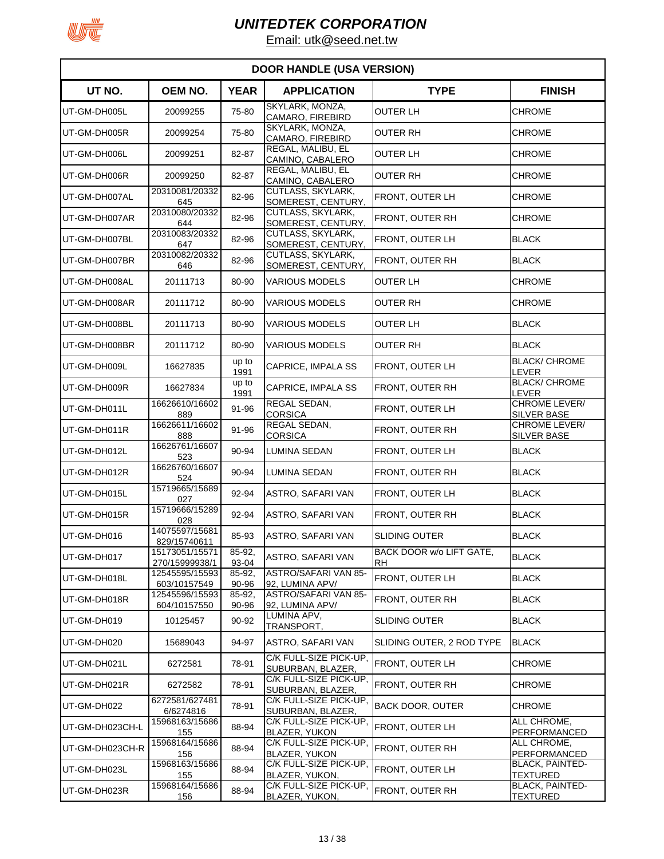

| <b>DOOR HANDLE (USA VERSION)</b> |                                  |                 |                                                |                                       |                                            |  |  |
|----------------------------------|----------------------------------|-----------------|------------------------------------------------|---------------------------------------|--------------------------------------------|--|--|
| UT NO.                           | OEM NO.                          | <b>YEAR</b>     | <b>APPLICATION</b>                             | <b>TYPE</b>                           | <b>FINISH</b>                              |  |  |
| UT-GM-DH005L                     | 20099255                         | 75-80           | SKYLARK, MONZA,<br>CAMARO, FIREBIRD            | <b>OUTER LH</b>                       | CHROME                                     |  |  |
| UT-GM-DH005R                     | 20099254                         | 75-80           | SKYLARK, MONZA,<br>CAMARO, FIREBIRD            | OUTER RH                              | <b>CHROME</b>                              |  |  |
| UT-GM-DH006L                     | 20099251                         | 82-87           | REGAL, MALIBU, EL<br>CAMINO, CABALERO          | OUTER LH                              | <b>CHROME</b>                              |  |  |
| UT-GM-DH006R                     | 20099250                         | 82-87           | REGAL, MALIBU, EL<br>CAMINO, CABALERO          | <b>OUTER RH</b>                       | <b>CHROME</b>                              |  |  |
| UT-GM-DH007AL                    | 20310081/20332<br>645            | 82-96           | CUTLASS, SKYLARK,<br>SOMEREST, CENTURY,        | FRONT, OUTER LH                       | <b>CHROME</b>                              |  |  |
| UT-GM-DH007AR                    | 20310080/20332<br>644            | 82-96           | <b>CUTLASS, SKYLARK,</b><br>SOMEREST, CENTURY, | FRONT, OUTER RH                       | <b>CHROME</b>                              |  |  |
| UT-GM-DH007BL                    | 20310083/20332<br>647            | 82-96           | CUTLASS, SKYLARK,<br>SOMEREST, CENTURY,        | FRONT, OUTER LH                       | <b>BLACK</b>                               |  |  |
| UT-GM-DH007BR                    | 20310082/20332<br>646            | 82-96           | CUTLASS, SKYLARK,<br>SOMEREST, CENTURY,        | FRONT, OUTER RH                       | <b>BLACK</b>                               |  |  |
| UT-GM-DH008AL                    | 20111713                         | 80-90           | <b>VARIOUS MODELS</b>                          | <b>OUTER LH</b>                       | <b>CHROME</b>                              |  |  |
| UT-GM-DH008AR                    | 20111712                         | 80-90           | <b>VARIOUS MODELS</b>                          | OUTER RH                              | <b>CHROME</b>                              |  |  |
| UT-GM-DH008BL                    | 20111713                         | 80-90           | <b>VARIOUS MODELS</b>                          | OUTER LH                              | <b>BLACK</b>                               |  |  |
| UT-GM-DH008BR                    | 20111712                         | 80-90           | <b>VARIOUS MODELS</b>                          | <b>OUTER RH</b>                       | <b>BLACK</b>                               |  |  |
| UT-GM-DH009L                     | 16627835                         | up to<br>1991   | CAPRICE, IMPALA SS                             | FRONT, OUTER LH                       | <b>BLACK/ CHROME</b><br>LEVER              |  |  |
| UT-GM-DH009R                     | 16627834                         | up to<br>1991   | CAPRICE, IMPALA SS                             | FRONT, OUTER RH                       | <b>BLACK/ CHROME</b><br>LEVER              |  |  |
| UT-GM-DH011L                     | 16626610/16602<br>889            | 91-96           | REGAL SEDAN,<br><b>CORSICA</b>                 | FRONT, OUTER LH                       | <b>CHROME LEVER/</b><br><b>SILVER BASE</b> |  |  |
| UT-GM-DH011R                     | 16626611/16602<br>888            | 91-96           | REGAL SEDAN,<br><b>CORSICA</b>                 | FRONT, OUTER RH                       | CHROME LEVER/<br><b>SILVER BASE</b>        |  |  |
| UT-GM-DH012L                     | 16626761/16607<br>523            | 90-94           | LUMINA SEDAN                                   | FRONT, OUTER LH                       | <b>BLACK</b>                               |  |  |
| UT-GM-DH012R                     | 16626760/16607<br>524            | 90-94           | LUMINA SEDAN                                   | FRONT, OUTER RH                       | <b>BLACK</b>                               |  |  |
| UT-GM-DH015L                     | 15719665/15689<br>027            | 92-94           | <b>ASTRO, SAFARI VAN</b>                       | FRONT, OUTER LH                       | <b>BLACK</b>                               |  |  |
| UT-GM-DH015R                     | 15719666/15289<br>028            | 92-94           | ASTRO, SAFARI VAN                              | FRONT, OUTER RH                       | <b>BLACK</b>                               |  |  |
| UT-GM-DH016                      | 14075597/15681<br>829/15740611   | 85-93           | <b>ASTRO, SAFARI VAN</b>                       | <b>SLIDING OUTER</b>                  | <b>BLACK</b>                               |  |  |
| UT-GM-DH017                      | 15173051/15571<br>270/15999938/1 | 85-92,<br>93-04 | ASTRO, SAFARI VAN                              | BACK DOOR w/o LIFT GATE,<br><b>RH</b> | <b>BLACK</b>                               |  |  |
| UT-GM-DH018L                     | 12545595/15593<br>603/10157549   | 85-92,<br>90-96 | ASTRO/SAFARI VAN 85-<br>92, LUMINA APV/        | FRONT, OUTER LH                       | <b>BLACK</b>                               |  |  |
| UT-GM-DH018R                     | 12545596/15593<br>604/10157550   | 85-92,<br>90-96 | ASTRO/SAFARI VAN 85-<br>92, LUMINA APV/        | FRONT, OUTER RH                       | <b>BLACK</b>                               |  |  |
| UT-GM-DH019                      | 10125457                         | 90-92           | LUMINA APV,<br>TRANSPORT,                      | <b>SLIDING OUTER</b>                  | <b>BLACK</b>                               |  |  |
| UT-GM-DH020                      | 15689043                         | 94-97           | ASTRO, SAFARI VAN                              | SLIDING OUTER, 2 ROD TYPE             | <b>BLACK</b>                               |  |  |
| UT-GM-DH021L                     | 6272581                          | 78-91           | C/K FULL-SIZE PICK-UP,<br>SUBURBAN, BLAZER,    | FRONT, OUTER LH                       | <b>CHROME</b>                              |  |  |
| UT-GM-DH021R                     | 6272582                          | 78-91           | C/K FULL-SIZE PICK-UP,<br>SUBURBAN, BLAZER,    | FRONT, OUTER RH                       | <b>CHROME</b>                              |  |  |
| UT-GM-DH022                      | 6272581/627481<br>6/6274816      | 78-91           | C/K FULL-SIZE PICK-UP,<br>SUBURBAN, BLAZER,    | <b>BACK DOOR, OUTER</b>               | <b>CHROME</b>                              |  |  |
| UT-GM-DH023CH-L                  | 15968163/15686<br>155            | 88-94           | C/K FULL-SIZE PICK-UP,<br>BLAZER, YUKON        | FRONT, OUTER LH                       | ALL CHROME,<br>PERFORMANCED                |  |  |
| UT-GM-DH023CH-R                  | 15968164/15686<br>156            | 88-94           | C/K FULL-SIZE PICK-UP,<br><b>BLAZER, YUKON</b> | FRONT, OUTER RH                       | ALL CHROME,<br>PERFORMANCED                |  |  |
| UT-GM-DH023L                     | 15968163/15686<br>155            | 88-94           | C/K FULL-SIZE PICK-UP,<br>BLAZER, YUKON,       | FRONT, OUTER LH                       | <b>BLACK, PAINTED-</b><br><b>TEXTURED</b>  |  |  |
| UT-GM-DH023R                     | 15968164/15686<br>156            | 88-94           | C/K FULL-SIZE PICK-UP,<br>BLAZER, YUKON,       | FRONT, OUTER RH                       | <b>BLACK, PAINTED-</b><br><b>TEXTURED</b>  |  |  |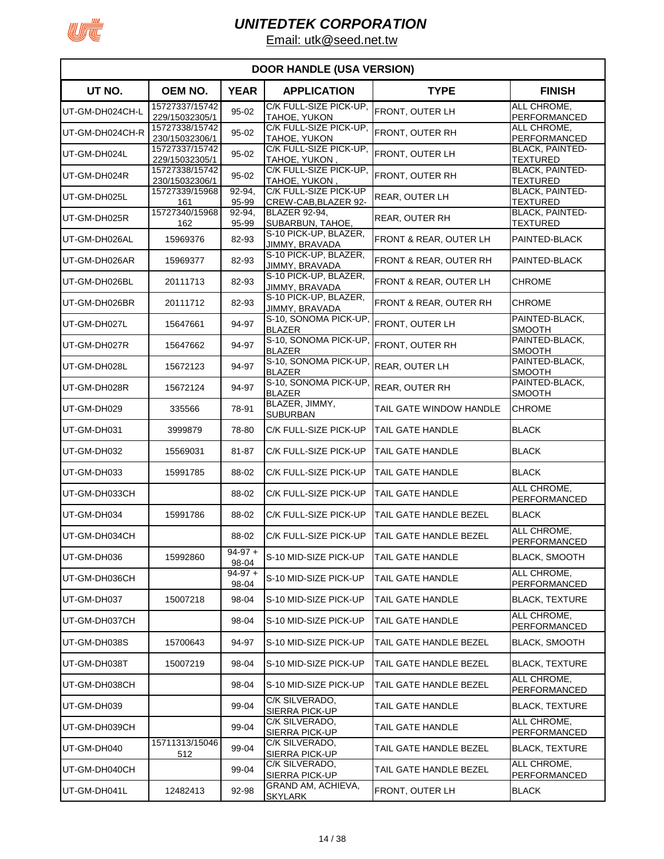

|                 | <b>DOOR HANDLE (USA VERSION)</b> |                    |                                               |                                   |                                           |  |  |  |
|-----------------|----------------------------------|--------------------|-----------------------------------------------|-----------------------------------|-------------------------------------------|--|--|--|
| UT NO.          | <b>OEM NO.</b>                   | <b>YEAR</b>        | <b>APPLICATION</b>                            | <b>TYPE</b>                       | <b>FINISH</b>                             |  |  |  |
| UT-GM-DH024CH-L | 15727337/15742<br>229/15032305/1 | 95-02              | C/K FULL-SIZE PICK-UP,<br>TAHOE, YUKON        | FRONT, OUTER LH                   | ALL CHROME,<br>PERFORMANCED               |  |  |  |
| UT-GM-DH024CH-R | 15727338/15742<br>230/15032306/1 | 95-02              | C/K FULL-SIZE PICK-UP,<br>TAHOE, YUKON        | FRONT, OUTER RH                   | ALL CHROME,<br><b>PERFORMANCED</b>        |  |  |  |
| UT-GM-DH024L    | 15727337/15742<br>229/15032305/1 | 95-02              | C/K FULL-SIZE PICK-UP,<br>TAHOE, YUKON        | FRONT, OUTER LH                   | <b>BLACK, PAINTED-</b><br><b>TEXTURED</b> |  |  |  |
| UT-GM-DH024R    | 15727338/15742<br>230/15032306/1 | 95-02              | C/K FULL-SIZE PICK-UP.<br>TAHOE, YUKON,       | FRONT, OUTER RH                   | <b>BLACK, PAINTED-</b><br><b>TEXTURED</b> |  |  |  |
| UT-GM-DH025L    | 15727339/15968<br>161            | 92-94,<br>95-99    | C/K FULL-SIZE PICK-UP<br>CREW-CAB, BLAZER 92- | REAR, OUTER LH                    | <b>BLACK, PAINTED-</b><br><b>TEXTURED</b> |  |  |  |
| UT-GM-DH025R    | 15727340/15968<br>162            | 92-94,<br>95-99    | <b>BLAZER 92-94,</b><br>SUBARBUN, TAHOE,      | REAR, OUTER RH                    | <b>BLACK, PAINTED-</b><br><b>TEXTURED</b> |  |  |  |
| UT-GM-DH026AL   | 15969376                         | 82-93              | S-10 PICK-UP, BLAZER,<br>JIMMY, BRAVADA       | FRONT & REAR, OUTER LH            | PAINTED-BLACK                             |  |  |  |
| UT-GM-DH026AR   | 15969377                         | 82-93              | S-10 PICK-UP, BLAZER,<br>JIMMY, BRAVADA       | FRONT & REAR, OUTER RH            | PAINTED-BLACK                             |  |  |  |
| UT-GM-DH026BL   | 20111713                         | 82-93              | S-10 PICK-UP, BLAZER,<br>JIMMY, BRAVADA       | FRONT & REAR, OUTER LH            | <b>CHROME</b>                             |  |  |  |
| UT-GM-DH026BR   | 20111712                         | 82-93              | S-10 PICK-UP, BLAZER,<br>JIMMY, BRAVADA       | <b>FRONT &amp; REAR, OUTER RH</b> | <b>CHROME</b>                             |  |  |  |
| UT-GM-DH027L    | 15647661                         | 94-97              | S-10, SONOMA PICK-UP,<br><b>BLAZER</b>        | FRONT, OUTER LH                   | PAINTED-BLACK,<br><b>SMOOTH</b>           |  |  |  |
| UT-GM-DH027R    | 15647662                         | 94-97              | S-10, SONOMA PICK-UP<br><b>BLAZER</b>         | FRONT, OUTER RH                   | PAINTED-BLACK,<br><b>SMOOTH</b>           |  |  |  |
| UT-GM-DH028L    | 15672123                         | 94-97              | S-10, SONOMA PICK-UP<br><b>BLAZER</b>         | REAR, OUTER LH                    | PAINTED-BLACK,<br><b>SMOOTH</b>           |  |  |  |
| UT-GM-DH028R    | 15672124                         | 94-97              | S-10, SONOMA PICK-UP<br><b>BLAZER</b>         | <b>REAR, OUTER RH</b>             | PAINTED-BLACK,<br><b>SMOOTH</b>           |  |  |  |
| UT-GM-DH029     | 335566                           | 78-91              | BLAZER, JIMMY,<br><b>SUBURBAN</b>             | TAIL GATE WINDOW HANDLE           | <b>CHROME</b>                             |  |  |  |
| UT-GM-DH031     | 3999879                          | 78-80              | C/K FULL-SIZE PICK-UP                         | <b>TAIL GATE HANDLE</b>           | <b>BLACK</b>                              |  |  |  |
| UT-GM-DH032     | 15569031                         | 81-87              | C/K FULL-SIZE PICK-UP                         | <b>TAIL GATE HANDLE</b>           | <b>BLACK</b>                              |  |  |  |
| UT-GM-DH033     | 15991785                         | 88-02              | C/K FULL-SIZE PICK-UP                         | TAIL GATE HANDLE                  | <b>BLACK</b>                              |  |  |  |
| UT-GM-DH033CH   |                                  | 88-02              | C/K FULL-SIZE PICK-UP                         | TAIL GATE HANDLE                  | ALL CHROME,<br><b>PERFORMANCED</b>        |  |  |  |
| UT-GM-DH034     | 15991786                         | 88-02              | C/K FULL-SIZE PICK-UP                         | TAIL GATE HANDLE BEZEL            | <b>BLACK</b>                              |  |  |  |
| UT-GM-DH034CH   |                                  | 88-02              | C/K FULL-SIZE PICK-UP                         | TAIL GATE HANDLE BEZEL            | ALL CHROME,<br><b>PERFORMANCED</b>        |  |  |  |
| UT-GM-DH036     | 15992860                         | $94-97+$<br>98-04  | S-10 MID-SIZE PICK-UP                         | TAIL GATE HANDLE                  | <b>BLACK, SMOOTH</b>                      |  |  |  |
| UT-GM-DH036CH   |                                  | $94-97 +$<br>98-04 | S-10 MID-SIZE PICK-UP                         | TAIL GATE HANDLE                  | ALL CHROME,<br>PERFORMANCED               |  |  |  |
| UT-GM-DH037     | 15007218                         | 98-04              | S-10 MID-SIZE PICK-UP                         | TAIL GATE HANDLE                  | <b>BLACK, TEXTURE</b>                     |  |  |  |
| UT-GM-DH037CH   |                                  | 98-04              | S-10 MID-SIZE PICK-UP                         | TAIL GATE HANDLE                  | ALL CHROME,<br>PERFORMANCED               |  |  |  |
| UT-GM-DH038S    | 15700643                         | 94-97              | S-10 MID-SIZE PICK-UP                         | TAIL GATE HANDLE BEZEL            | <b>BLACK, SMOOTH</b>                      |  |  |  |
| UT-GM-DH038T    | 15007219                         | 98-04              | S-10 MID-SIZE PICK-UP                         | TAIL GATE HANDLE BEZEL            | <b>BLACK, TEXTURE</b>                     |  |  |  |
| UT-GM-DH038CH   |                                  | 98-04              | S-10 MID-SIZE PICK-UP                         | TAIL GATE HANDLE BEZEL            | ALL CHROME.<br>PERFORMANCED               |  |  |  |
| UT-GM-DH039     |                                  | 99-04              | C/K SILVERADO,<br>SIERRA PICK-UP              | TAIL GATE HANDLE                  | <b>BLACK, TEXTURE</b>                     |  |  |  |
| UT-GM-DH039CH   |                                  | 99-04              | C/K SILVERADO,<br>SIERRA PICK-UP              | TAIL GATE HANDLE                  | ALL CHROME,<br>PERFORMANCED               |  |  |  |
| UT-GM-DH040     | 15711313/15046<br>512            | 99-04              | C/K SILVERADO,<br><b>SIERRA PICK-UP</b>       | TAIL GATE HANDLE BEZEL            | <b>BLACK, TEXTURE</b>                     |  |  |  |
| UT-GM-DH040CH   |                                  | 99-04              | C/K SILVERADO,<br>SIERRA PICK-UP              | TAIL GATE HANDLE BEZEL            | ALL CHROME,<br>PERFORMANCED               |  |  |  |
| UT-GM-DH041L    | 12482413                         | 92-98              | GRAND AM, ACHIEVA,<br><b>SKYLARK</b>          | FRONT, OUTER LH                   | <b>BLACK</b>                              |  |  |  |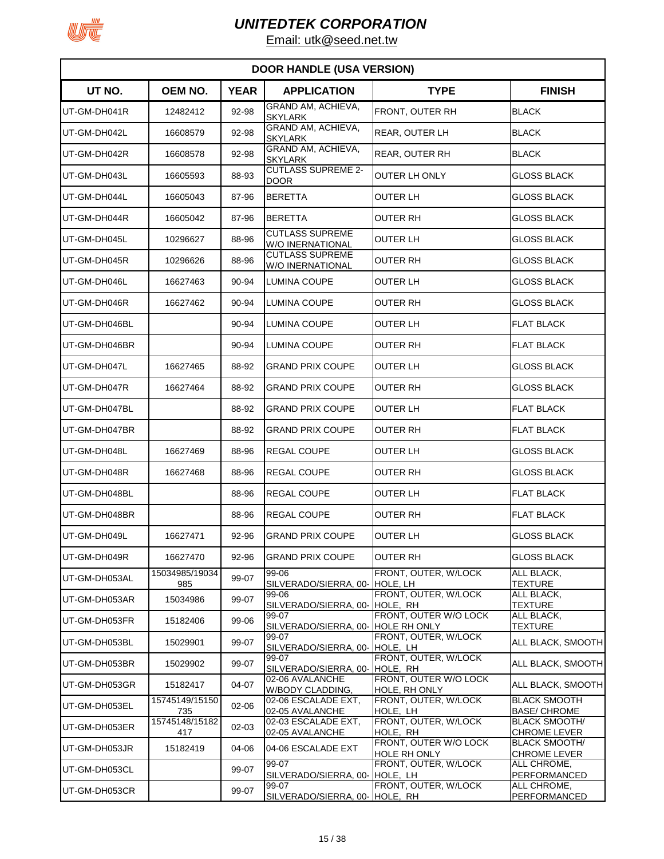

|               |                       |             | <b>DOOR HANDLE (USA VERSION)</b>            |                                        |                                             |
|---------------|-----------------------|-------------|---------------------------------------------|----------------------------------------|---------------------------------------------|
| UT NO.        | <b>OEM NO.</b>        | <b>YEAR</b> | <b>APPLICATION</b>                          | <b>TYPE</b>                            | <b>FINISH</b>                               |
| UT-GM-DH041R  | 12482412              | 92-98       | GRAND AM, ACHIEVA,<br><b>SKYLARK</b>        | FRONT, OUTER RH                        | <b>BLACK</b>                                |
| UT-GM-DH042L  | 16608579              | 92-98       | GRAND AM, ACHIEVA,<br><b>SKYLARK</b>        | <b>REAR, OUTER LH</b>                  | <b>BLACK</b>                                |
| UT-GM-DH042R  | 16608578              | 92-98       | GRAND AM, ACHIEVA,<br><b>SKYLARK</b>        | REAR, OUTER RH                         | <b>BLACK</b>                                |
| UT-GM-DH043L  | 16605593              | 88-93       | <b>CUTLASS SUPREME 2-</b><br><b>DOOR</b>    | <b>OUTER LH ONLY</b>                   | <b>GLOSS BLACK</b>                          |
| UT-GM-DH044L  | 16605043              | 87-96       | <b>BERETTA</b>                              | OUTER LH                               | <b>GLOSS BLACK</b>                          |
| UT-GM-DH044R  | 16605042              | 87-96       | <b>BERETTA</b>                              | OUTER RH                               | <b>GLOSS BLACK</b>                          |
| UT-GM-DH045L  | 10296627              | 88-96       | <b>CUTLASS SUPREME</b><br>W/O INERNATIONAL  | OUTER LH                               | <b>GLOSS BLACK</b>                          |
| UT-GM-DH045R  | 10296626              | 88-96       | <b>CUTLASS SUPREME</b><br>W/O INERNATIONAL  | <b>OUTER RH</b>                        | <b>GLOSS BLACK</b>                          |
| UT-GM-DH046L  | 16627463              | 90-94       | LUMINA COUPE                                | OUTER LH                               | <b>GLOSS BLACK</b>                          |
| UT-GM-DH046R  | 16627462              | 90-94       | LUMINA COUPE                                | OUTER RH                               | GLOSS BLACK                                 |
| UT-GM-DH046BL |                       | 90-94       | LUMINA COUPE                                | OUTER LH                               | <b>FLAT BLACK</b>                           |
| UT-GM-DH046BR |                       | 90-94       | LUMINA COUPE                                | OUTER RH                               | <b>FLAT BLACK</b>                           |
| UT-GM-DH047L  | 16627465              | 88-92       | <b>GRAND PRIX COUPE</b>                     | OUTER LH                               | GLOSS BLACK                                 |
| UT-GM-DH047R  | 16627464              | 88-92       | <b>GRAND PRIX COUPE</b>                     | OUTER RH                               | GLOSS BLACK                                 |
| UT-GM-DH047BL |                       | 88-92       | <b>GRAND PRIX COUPE</b>                     | OUTER LH                               | <b>FLAT BLACK</b>                           |
| UT-GM-DH047BR |                       | 88-92       | <b>GRAND PRIX COUPE</b>                     | OUTER RH                               | <b>FLAT BLACK</b>                           |
| UT-GM-DH048L  | 16627469              | 88-96       | <b>REGAL COUPE</b>                          | OUTER LH                               | GLOSS BLACK                                 |
| UT-GM-DH048R  | 16627468              | 88-96       | REGAL COUPE                                 | OUTER RH                               | GLOSS BLACK                                 |
| UT-GM-DH048BL |                       | 88-96       | <b>REGAL COUPE</b>                          | OUTER LH                               | <b>FLAT BLACK</b>                           |
| UT-GM-DH048BR |                       | 88-96       | <b>REGAL COUPE</b>                          | <b>OUTER RH</b>                        | <b>FLAT BLACK</b>                           |
| UT-GM-DH049L  | 16627471              | 92-96       | <b>GRAND PRIX COUPE</b>                     | OUTER LH                               | <b>GLOSS BLACK</b>                          |
| UT-GM-DH049R  | 16627470              | 92-96       | <b>GRAND PRIX COUPE</b>                     | <b>OUTER RH</b>                        | <b>GLOSS BLACK</b>                          |
| UT-GM-DH053AL | 15034985/19034<br>985 | 99-07       | 99-06<br>SILVERADO/SIERRA, 00- HOLE, LH     | FRONT, OUTER, W/LOCK                   | ALL BLACK,<br><b>TEXTURE</b>                |
| UT-GM-DH053AR | 15034986              | 99-07       | 99-06<br>SILVERADO/SIERRA, 00- HOLE, RH     | FRONT, OUTER, W/LOCK                   | ALL BLACK,<br><b>TEXTURE</b>                |
| UT-GM-DH053FR | 15182406              | 99-06       | 99-07<br>SILVERADO/SIERRA, 00- HOLE RH ONLY | FRONT, OUTER W/O LOCK                  | ALL BLACK,<br><b>TEXTURE</b>                |
| UT-GM-DH053BL | 15029901              | 99-07       | 99-07<br>SILVERADO/SIERRA, 00- HOLE, LH     | FRONT, OUTER, W/LOCK                   | ALL BLACK, SMOOTH                           |
| UT-GM-DH053BR | 15029902              | 99-07       | 99-07<br>SILVERADO/SIERRA, 00- HOLE, RH     | FRONT, OUTER, W/LOCK                   | ALL BLACK, SMOOTH                           |
| UT-GM-DH053GR | 15182417              | 04-07       | 02-06 AVALANCHE<br>W/BODY CLADDING,         | FRONT, OUTER W/O LOCK<br>HOLE, RH ONLY | ALL BLACK, SMOOTH                           |
| UT-GM-DH053EL | 15745149/15150<br>735 | 02-06       | 02-06 ESCALADE EXT,<br>02-05 AVALANCHE      | FRONT, OUTER, W/LOCK<br>HOLE, LH       | <b>BLACK SMOOTH</b><br><b>BASE/ CHROME</b>  |
| UT-GM-DH053ER | 15745148/15182<br>417 | 02-03       | 02-03 ESCALADE EXT,<br>02-05 AVALANCHE      | FRONT, OUTER, W/LOCK<br>HOLE, RH       | <b>BLACK SMOOTH/</b><br><b>CHROME LEVER</b> |
| UT-GM-DH053JR | 15182419              | 04-06       | 04-06 ESCALADE EXT                          | FRONT, OUTER W/O LOCK<br>HOLE RH ONLY  | <b>BLACK SMOOTH/</b><br><b>CHROME LEVER</b> |
| UT-GM-DH053CL |                       | 99-07       | 99-07<br>SILVERADO/SIERRA, 00- HOLE, LH     | FRONT, OUTER, W/LOCK                   | ALL CHROME,<br>PERFORMANCED                 |
| UT-GM-DH053CR |                       | 99-07       | 99-07<br>SILVERADO/SIERRA, 00- HOLE, RH     | FRONT, OUTER, W/LOCK                   | ALL CHROME,<br>PERFORMANCED                 |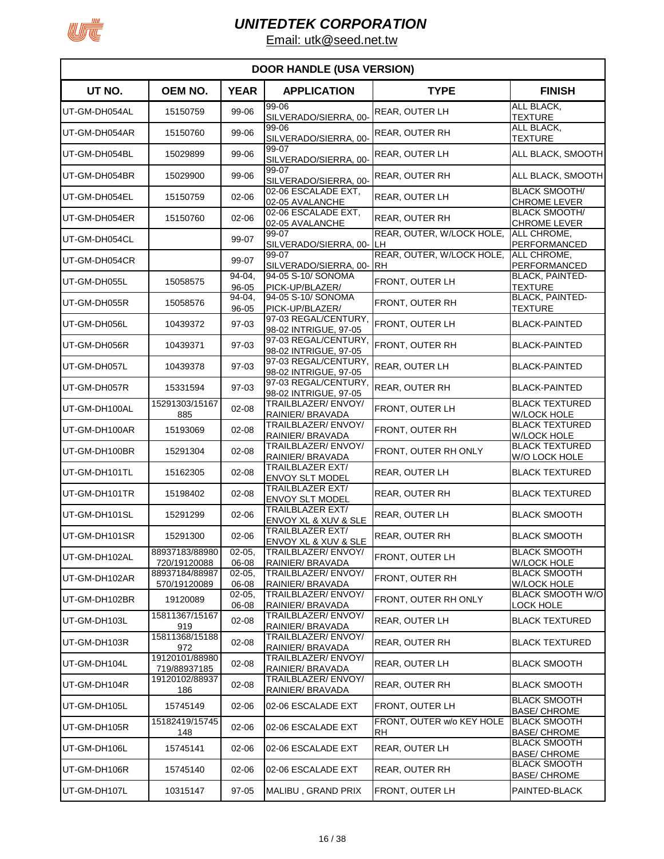

| <b>DOOR HANDLE (USA VERSION)</b> |                                |                         |                                               |                                        |                                               |  |
|----------------------------------|--------------------------------|-------------------------|-----------------------------------------------|----------------------------------------|-----------------------------------------------|--|
| UT NO.                           | OEM NO.                        | <b>YEAR</b>             | <b>APPLICATION</b>                            | <b>TYPE</b>                            | <b>FINISH</b>                                 |  |
| UT-GM-DH054AL                    | 15150759                       | 99-06                   | 99-06<br>SILVERADO/SIERRA, 00-                | REAR, OUTER LH                         | ALL BLACK,<br><b>TEXTURE</b>                  |  |
| UT-GM-DH054AR                    | 15150760                       | 99-06                   | 99-06<br>SILVERADO/SIERRA, 00-                | <b>REAR, OUTER RH</b>                  | ALL BLACK,<br><b>TEXTURE</b>                  |  |
| UT-GM-DH054BL                    | 15029899                       | 99-06                   | 99-07<br>SILVERADO/SIERRA, 00-                | REAR, OUTER LH                         | ALL BLACK, SMOOTH                             |  |
| UT-GM-DH054BR                    | 15029900                       | 99-06                   | 99-07<br>SILVERADO/SIERRA, 00-                | REAR, OUTER RH                         | ALL BLACK, SMOOTH                             |  |
| UT-GM-DH054EL                    | 15150759                       | $02 - 06$               | 02-06 ESCALADE EXT.<br>02-05 AVALANCHE        | REAR, OUTER LH                         | <b>BLACK SMOOTH/</b><br>CHROME LEVER          |  |
| UT-GM-DH054ER                    | 15150760                       | $02 - 06$               | 02-06 ESCALADE EXT.<br>02-05 AVALANCHE        | REAR, OUTER RH                         | <b>BLACK SMOOTH/</b><br><b>CHROME LEVER</b>   |  |
| UT-GM-DH054CL                    |                                | 99-07                   | 99-07<br>SILVERADO/SIERRA, 00-LH              | REAR, OUTER, W/LOCK HOLE,              | ALL CHROME,<br><b>PERFORMANCED</b>            |  |
| UT-GM-DH054CR                    |                                | 99-07                   | 99-07<br>SILVERADO/SIERRA, 00- RH             | REAR, OUTER, W/LOCK HOLE,              | ALL CHROME,<br><b>PERFORMANCED</b>            |  |
| UT-GM-DH055L                     | 15058575                       | 94-04,<br>96-05         | 94-05 S-10/ SONOMA<br>PICK-UP/BLAZER/         | FRONT, OUTER LH                        | <b>BLACK, PAINTED-</b><br><b>TEXTURE</b>      |  |
| UT-GM-DH055R                     | 15058576                       | 94-04,<br>96-05         | 94-05 S-10/ SONOMA<br>PICK-UP/BLAZER/         | FRONT, OUTER RH                        | <b>BLACK, PAINTED-</b><br><b>TEXTURE</b>      |  |
| UT-GM-DH056L                     | 10439372                       | 97-03                   | 97-03 REGAL/CENTURY,<br>98-02 INTRIGUE, 97-05 | FRONT, OUTER LH                        | <b>BLACK-PAINTED</b>                          |  |
| UT-GM-DH056R                     | 10439371                       | 97-03                   | 97-03 REGAL/CENTURY,<br>98-02 INTRIGUE, 97-05 | FRONT, OUTER RH                        | <b>BLACK-PAINTED</b>                          |  |
| UT-GM-DH057L                     | 10439378                       | 97-03                   | 97-03 REGAL/CENTURY<br>98-02 INTRIGUE, 97-05  | REAR, OUTER LH                         | <b>BLACK-PAINTED</b>                          |  |
| UT-GM-DH057R                     | 15331594                       | 97-03                   | 97-03 REGAL/CENTURY<br>98-02 INTRIGUE, 97-05  | REAR, OUTER RH                         | <b>BLACK-PAINTED</b>                          |  |
| UT-GM-DH100AL                    | 15291303/15167<br>885          | $02 - 08$               | TRAILBLAZER/ENVOY/<br>RAINIER/ BRAVADA        | FRONT, OUTER LH                        | <b>BLACK TEXTURED</b><br><b>W/LOCK HOLE</b>   |  |
| UT-GM-DH100AR                    | 15193069                       | $02 - 08$               | TRAILBLAZER/ENVOY/<br>RAINIER/ BRAVADA        | FRONT, OUTER RH                        | <b>BLACK TEXTURED</b><br><b>W/LOCK HOLE</b>   |  |
| UT-GM-DH100BR                    | 15291304                       | $02 - 08$               | TRAILBLAZER/ENVOY/<br>RAINIER/ BRAVADA        | FRONT, OUTER RH ONLY                   | <b>BLACK TEXTURED</b><br><b>W/O LOCK HOLE</b> |  |
| UT-GM-DH101TL                    | 15162305                       | $02 - 08$               | TRAILBLAZER EXT/<br><b>ENVOY SLT MODEL</b>    | <b>REAR, OUTER LH</b>                  | <b>BLACK TEXTURED</b>                         |  |
| UT-GM-DH101TR                    | 15198402                       | $02 - 08$               | TRAILBLAZER EXT/<br><b>ENVOY SLT MODEL</b>    | REAR, OUTER RH                         | <b>BLACK TEXTURED</b>                         |  |
| UT-GM-DH101SL                    | 15291299                       | $02 - 06$               | TRAILBLAZER EXT/<br>ENVOY XL & XUV & SLE      | <b>REAR, OUTER LH</b>                  | <b>BLACK SMOOTH</b>                           |  |
| UT-GM-DH101SR                    | 15291300                       | $02 - 06$               | TRAILBLAZER EXT/<br>ENVOY XL & XUV & SLE      | <b>REAR, OUTER RH</b>                  | <b>BLACK SMOOTH</b>                           |  |
| UT-GM-DH102AL                    | 88937183/88980<br>720/19120088 | $02 - 05,$<br>06-08     | TRAILBLAZER/ENVOY/<br>RAINIER/ BRAVADA        | FRONT, OUTER LH                        | <b>BLACK SMOOTH</b><br><b>W/LOCK HOLE</b>     |  |
| UT-GM-DH102AR                    | 88937184/88987<br>570/19120089 | $02 - 05,$<br>06-08     | TRAILBLAZER/ENVOY/<br>RAINIER/ BRAVADA        | FRONT, OUTER RH                        | <b>BLACK SMOOTH</b><br><b>W/LOCK HOLE</b>     |  |
| UT-GM-DH102BR                    | 19120089                       | $02 - 05,$<br>$06 - 08$ | <b>TRAILBLAZER/ENVOY/</b><br>RAINIER/ BRAVADA | FRONT, OUTER RH ONLY                   | <b>BLACK SMOOTH W/O</b><br><u>LOCK HOLE</u>   |  |
| UT-GM-DH103L                     | 15811367/15167<br>919          | 02-08                   | TRAILBLAZER/ENVOY/<br>RAINIER/ BRAVADA        | REAR, OUTER LH                         | <b>BLACK TEXTURED</b>                         |  |
| UT-GM-DH103R                     | 15811368/15188<br>972          | 02-08                   | TRAILBLAZER/ENVOY/<br>RAINIER/ BRAVADA        | REAR, OUTER RH                         | <b>BLACK TEXTURED</b>                         |  |
| UT-GM-DH104L                     | 19120101/88980<br>719/88937185 | $02 - 08$               | TRAILBLAZER/ENVOY/<br>RAINIER/ BRAVADA        | REAR, OUTER LH                         | <b>BLACK SMOOTH</b>                           |  |
| UT-GM-DH104R                     | 19120102/88937<br>186          | 02-08                   | TRAILBLAZER/ENVOY/<br>RAINIER/ BRAVADA        | REAR, OUTER RH                         | <b>BLACK SMOOTH</b>                           |  |
| UT-GM-DH105L                     | 15745149                       | $02 - 06$               | 02-06 ESCALADE EXT                            | FRONT, OUTER LH                        | <b>BLACK SMOOTH</b><br><b>BASE/ CHROME</b>    |  |
| UT-GM-DH105R                     | 15182419/15745<br>148          | 02-06                   | 02-06 ESCALADE EXT                            | FRONT, OUTER w/o KEY HOLE<br><b>RH</b> | <b>BLACK SMOOTH</b><br><b>BASE/ CHROME</b>    |  |
| UT-GM-DH106L                     | 15745141                       | $02 - 06$               | 02-06 ESCALADE EXT                            | REAR, OUTER LH                         | <b>BLACK SMOOTH</b><br><b>BASE/ CHROME</b>    |  |
| UT-GM-DH106R                     | 15745140                       | $02 - 06$               | 02-06 ESCALADE EXT                            | REAR, OUTER RH                         | <b>BLACK SMOOTH</b><br><b>BASE/ CHROME</b>    |  |
| UT-GM-DH107L                     | 10315147                       | 97-05                   | MALIBU, GRAND PRIX                            | FRONT, OUTER LH                        | PAINTED-BLACK                                 |  |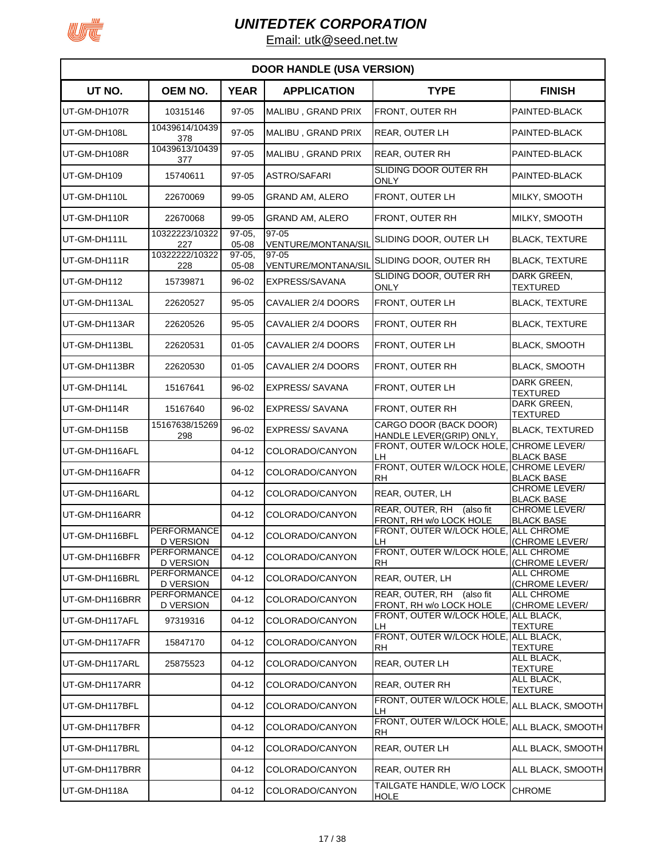

| <b>DOOR HANDLE (USA VERSION)</b> |                                        |                   |                                  |                                                         |                                           |  |
|----------------------------------|----------------------------------------|-------------------|----------------------------------|---------------------------------------------------------|-------------------------------------------|--|
| UT NO.                           | OEM NO.                                | <b>YEAR</b>       | <b>APPLICATION</b>               | <b>TYPE</b>                                             | <b>FINISH</b>                             |  |
| UT-GM-DH107R                     | 10315146                               | $97 - 05$         | MALIBU, GRAND PRIX               | FRONT, OUTER RH                                         | PAINTED-BLACK                             |  |
| UT-GM-DH108L                     | 10439614/10439<br>378                  | 97-05             | MALIBU, GRAND PRIX               | <b>REAR, OUTER LH</b>                                   | PAINTED-BLACK                             |  |
| UT-GM-DH108R                     | 10439613/10439<br>377                  | 97-05             | MALIBU, GRAND PRIX               | <b>REAR, OUTER RH</b>                                   | PAINTED-BLACK                             |  |
| UT-GM-DH109                      | 15740611                               | 97-05             | <b>ASTRO/SAFARI</b>              | SLIDING DOOR OUTER RH<br><b>ONLY</b>                    | PAINTED-BLACK                             |  |
| UT-GM-DH110L                     | 22670069                               | 99-05             | <b>GRAND AM, ALERO</b>           | FRONT, OUTER LH                                         | MILKY, SMOOTH                             |  |
| UT-GM-DH110R                     | 22670068                               | 99-05             | <b>GRAND AM, ALERO</b>           | FRONT, OUTER RH                                         | MILKY, SMOOTH                             |  |
| UT-GM-DH111L                     | 10322223/10322<br>227                  | $97-05$<br>05-08  | $97 - 05$<br>VENTURE/MONTANA/SIL | SLIDING DOOR, OUTER LH                                  | <b>BLACK, TEXTURE</b>                     |  |
| UT-GM-DH111R                     | 10322222/10322<br>228                  | $97-05,$<br>05-08 | 97-05<br>VENTURE/MONTANA/SIL     | SLIDING DOOR, OUTER RH                                  | <b>BLACK, TEXTURE</b>                     |  |
| UT-GM-DH112                      | 15739871                               | 96-02             | EXPRESS/SAVANA                   | SLIDING DOOR, OUTER RH<br><b>ONLY</b>                   | DARK GREEN.<br><b>TEXTURED</b>            |  |
| UT-GM-DH113AL                    | 22620527                               | 95-05             | CAVALIER 2/4 DOORS               | FRONT, OUTER LH                                         | <b>BLACK, TEXTURE</b>                     |  |
| UT-GM-DH113AR                    | 22620526                               | $95 - 05$         | CAVALIER 2/4 DOORS               | FRONT, OUTER RH                                         | <b>BLACK, TEXTURE</b>                     |  |
| UT-GM-DH113BL                    | 22620531                               | $01 - 05$         | CAVALIER 2/4 DOORS               | FRONT, OUTER LH                                         | <b>BLACK, SMOOTH</b>                      |  |
| UT-GM-DH113BR                    | 22620530                               | $01 - 05$         | CAVALIER 2/4 DOORS               | FRONT, OUTER RH                                         | <b>BLACK, SMOOTH</b>                      |  |
| UT-GM-DH114L                     | 15167641                               | 96-02             | <b>EXPRESS/SAVANA</b>            | <b>FRONT, OUTER LH</b>                                  | DARK GREEN,<br><b>TEXTURED</b>            |  |
| UT-GM-DH114R                     | 15167640                               | 96-02             | <b>EXPRESS/SAVANA</b>            | FRONT, OUTER RH                                         | DARK GREEN,<br><b>TEXTURED</b>            |  |
| UT-GM-DH115B                     | 15167638/15269<br>298                  | 96-02             | <b>EXPRESS/SAVANA</b>            | CARGO DOOR (BACK DOOR)<br>HANDLE LEVER(GRIP) ONLY,      | <b>BLACK, TEXTURED</b>                    |  |
| UT-GM-DH116AFL                   |                                        | 04-12             | COLORADO/CANYON                  | FRONT, OUTER W/LOCK HOLE<br>LH                          | CHROME LEVER/<br><b>BLACK BASE</b>        |  |
| UT-GM-DH116AFR                   |                                        | 04-12             | COLORADO/CANYON                  | FRONT, OUTER W/LOCK HOLE<br><b>RH</b>                   | CHROME LEVER/<br><b>BLACK BASE</b>        |  |
| UT-GM-DH116ARL                   |                                        | 04-12             | COLORADO/CANYON                  | REAR, OUTER, LH                                         | CHROME LEVER/<br><b>BLACK BASE</b>        |  |
| UT-GM-DH116ARR                   |                                        | 04-12             | COLORADO/CANYON                  | REAR, OUTER, RH<br>(also fit<br>FRONT, RH w/o LOCK HOLE | <b>CHROME LEVER/</b><br><b>BLACK BASE</b> |  |
| UT-GM-DH116BFL                   | <b>PERFORMANCE</b><br><b>D VERSION</b> | $04 - 12$         | COLORADO/CANYON                  | FRONT, OUTER W/LOCK HOLE<br>LH                          | <b>ALL CHROME</b><br>(CHROME LEVER/       |  |
| UT-GM-DH116BFR                   | <b>PERFORMANCE</b><br><b>D VERSION</b> | $04 - 12$         | COLORADO/CANYON                  | FRONT, OUTER W/LOCK HOLE, ALL CHROME<br><b>RH</b>       | (CHROME LEVER/                            |  |
| UT-GM-DH116BRL                   | <b>PERFORMANCE</b><br><b>D VERSION</b> | $04 - 12$         | COLORADO/CANYON                  | REAR, OUTER, LH                                         | ALL CHROME<br>(CHROME LEVER/              |  |
| UT-GM-DH116BRR                   | PERFORMANCE<br><b>D VERSION</b>        | $04-12$           | COLORADO/CANYON                  | REAR, OUTER, RH (also fit<br>FRONT, RH w/o LOCK HOLE    | <b>ALL CHROME</b><br>(CHROME LEVER/       |  |
| UT-GM-DH117AFL                   | 97319316                               | $04 - 12$         | COLORADO/CANYON                  | FRONT, OUTER W/LOCK HOLE,<br>LH                         | ALL BLACK,<br><b>TEXTURE</b>              |  |
| UT-GM-DH117AFR                   | 15847170                               | 04-12             | COLORADO/CANYON                  | FRONT, OUTER W/LOCK HOLE, ALL BLACK,<br>RH              | <b>TEXTURE</b>                            |  |
| UT-GM-DH117ARL                   | 25875523                               | $04 - 12$         | COLORADO/CANYON                  | REAR, OUTER LH                                          | ALL BLACK,<br><b>TEXTURE</b>              |  |
| UT-GM-DH117ARR                   |                                        | 04-12             | COLORADO/CANYON                  | <b>REAR, OUTER RH</b>                                   | ALL BLACK,<br><b>TEXTURE</b>              |  |
| UT-GM-DH117BFL                   |                                        | $04 - 12$         | COLORADO/CANYON                  | FRONT, OUTER W/LOCK HOLE<br>LН                          | ALL BLACK, SMOOTH                         |  |
| UT-GM-DH117BFR                   |                                        | 04-12             | COLORADO/CANYON                  | FRONT, OUTER W/LOCK HOLE<br><b>RH</b>                   | ALL BLACK, SMOOTH                         |  |
| UT-GM-DH117BRL                   |                                        | 04-12             | COLORADO/CANYON                  | REAR, OUTER LH                                          | ALL BLACK, SMOOTH                         |  |
| UT-GM-DH117BRR                   |                                        | 04-12             | COLORADO/CANYON                  | REAR, OUTER RH                                          | ALL BLACK, SMOOTH                         |  |
| UT-GM-DH118A                     |                                        | 04-12             | COLORADO/CANYON                  | TAILGATE HANDLE, W/O LOCK<br><b>HOLE</b>                | <b>CHROME</b>                             |  |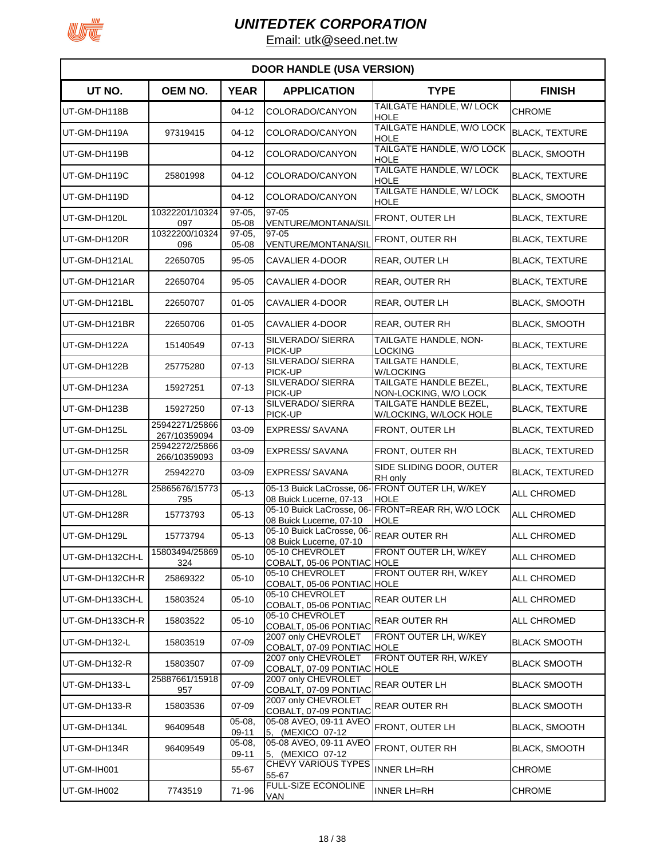

| <b>DOOR HANDLE (USA VERSION)</b> |                                |                     |                                                      |                                                                  |                        |  |  |
|----------------------------------|--------------------------------|---------------------|------------------------------------------------------|------------------------------------------------------------------|------------------------|--|--|
| UT NO.                           | OEM NO.                        | <b>YEAR</b>         | <b>APPLICATION</b>                                   | <b>TYPE</b>                                                      | <b>FINISH</b>          |  |  |
| UT-GM-DH118B                     |                                | 04-12               | COLORADO/CANYON                                      | TAILGATE HANDLE, W/ LOCK<br><b>HOLE</b>                          | CHROME                 |  |  |
| UT-GM-DH119A                     | 97319415                       | 04-12               | COLORADO/CANYON                                      | TAILGATE HANDLE, W/O LOCK<br>HOLE                                | <b>BLACK, TEXTURE</b>  |  |  |
| UT-GM-DH119B                     |                                | 04-12               | COLORADO/CANYON                                      | TAILGATE HANDLE, W/O LOCK<br><b>HOLE</b>                         | <b>BLACK, SMOOTH</b>   |  |  |
| UT-GM-DH119C                     | 25801998                       | $04 - 12$           | COLORADO/CANYON                                      | TAILGATE HANDLE, W/ LOCK<br><b>HOLE</b>                          | <b>BLACK, TEXTURE</b>  |  |  |
| UT-GM-DH119D                     |                                | $04-12$             | COLORADO/CANYON                                      | TAILGATE HANDLE, W/ LOCK<br><b>HOLE</b>                          | <b>BLACK, SMOOTH</b>   |  |  |
| UT-GM-DH120L                     | 10322201/10324<br>097          | $97-05$<br>05-08    | 97-05<br>VENTURE/MONTANA/SIL                         | FRONT, OUTER LH                                                  | <b>BLACK, TEXTURE</b>  |  |  |
| UT-GM-DH120R                     | 10322200/10324<br>096          | $97-05$<br>05-08    | 97-05<br>VENTURE/MONTANA/SIL                         | FRONT, OUTER RH                                                  | <b>BLACK, TEXTURE</b>  |  |  |
| UT-GM-DH121AL                    | 22650705                       | $95 - 05$           | CAVALIER 4-DOOR                                      | <b>REAR, OUTER LH</b>                                            | <b>BLACK, TEXTURE</b>  |  |  |
| UT-GM-DH121AR                    | 22650704                       | $95 - 05$           | CAVALIER 4-DOOR                                      | <b>REAR, OUTER RH</b>                                            | <b>BLACK, TEXTURE</b>  |  |  |
| UT-GM-DH121BL                    | 22650707                       | $01 - 05$           | CAVALIER 4-DOOR                                      | <b>REAR, OUTER LH</b>                                            | <b>BLACK, SMOOTH</b>   |  |  |
| UT-GM-DH121BR                    | 22650706                       | $01 - 05$           | <b>CAVALIER 4-DOOR</b>                               | <b>REAR, OUTER RH</b>                                            | <b>BLACK, SMOOTH</b>   |  |  |
| UT-GM-DH122A                     | 15140549                       | $07-13$             | SILVERADO/ SIERRA<br>PICK-UP                         | TAILGATE HANDLE, NON-<br>LOCKING                                 | <b>BLACK, TEXTURE</b>  |  |  |
| UT-GM-DH122B                     | 25775280                       | $07-13$             | SILVERADO/ SIERRA<br>PICK-UP                         | <b>TAILGATE HANDLE.</b><br><b>W/LOCKING</b>                      | <b>BLACK, TEXTURE</b>  |  |  |
| UT-GM-DH123A                     | 15927251                       | $07-13$             | SILVERADO/ SIERRA<br>PICK-UP                         | TAILGATE HANDLE BEZEL,<br>NON-LOCKING, W/O LOCK                  | <b>BLACK, TEXTURE</b>  |  |  |
| UT-GM-DH123B                     | 15927250                       | $07-13$             | SILVERADO/ SIERRA<br>PICK-UP                         | TAILGATE HANDLE BEZEL.<br>W/LOCKING, W/LOCK HOLE                 | <b>BLACK, TEXTURE</b>  |  |  |
| UT-GM-DH125L                     | 25942271/25866<br>267/10359094 | 03-09               | <b>EXPRESS/SAVANA</b>                                | FRONT, OUTER LH                                                  | <b>BLACK, TEXTURED</b> |  |  |
| UT-GM-DH125R                     | 25942272/25866<br>266/10359093 | 03-09               | <b>EXPRESS/SAVANA</b>                                | FRONT, OUTER RH                                                  | <b>BLACK, TEXTURED</b> |  |  |
| UT-GM-DH127R                     | 25942270                       | 03-09               | <b>EXPRESS/SAVANA</b>                                | SIDE SLIDING DOOR, OUTER<br>RH only                              | <b>BLACK, TEXTURED</b> |  |  |
| UT-GM-DH128L                     | 25865676/15773<br>795          | $05 - 13$           | 08 Buick Lucerne, 07-13                              | 05-13 Buick LaCrosse, 06- FRONT OUTER LH, W/KEY<br><b>HOLE</b>   | <b>ALL CHROMED</b>     |  |  |
| UT-GM-DH128R                     | 15773793                       | $05 - 13$           | 08 Buick Lucerne, 07-10                              | 05-10 Buick LaCrosse, 06- FRONT=REAR RH, W/O LOCK<br><b>HOLE</b> | <b>ALL CHROMED</b>     |  |  |
| UT-GM-DH129L                     | 15773794                       | $05 - 13$           | 05-10 Buick LaCrosse, 06-<br>08 Buick Lucerne, 07-10 | <b>REAR OUTER RH</b>                                             | <b>ALL CHROMED</b>     |  |  |
| UT-GM-DH132CH-L                  | 15803494/25869<br>324          | $05 - 10$           | 05-10 CHEVROLET<br>COBALT, 05-06 PONTIAC HOLE        | FRONT OUTER LH, W/KEY                                            | <b>ALL CHROMED</b>     |  |  |
| UT-GM-DH132CH-R                  | 25869322                       | $05 - 10$           | 05-10 CHEVROLET<br>COBALT, 05-06 PONTIAC HOLE        | FRONT OUTER RH, W/KEY                                            | <b>ALL CHROMED</b>     |  |  |
| UT-GM-DH133CH-L                  | 15803524                       | $05 - 10$           | 05-10 CHEVROLET<br>COBALT, 05-06 PONTIAC             | REAR OUTER LH                                                    | <b>ALL CHROMED</b>     |  |  |
| UT-GM-DH133CH-R                  | 15803522                       | $05 - 10$           | 05-10 CHEVROLET<br>COBALT, 05-06 PONTIAC             | <b>REAR OUTER RH</b>                                             | ALL CHROMED            |  |  |
| UT-GM-DH132-L                    | 15803519                       | 07-09               | 2007 only CHEVROLET<br>COBALT, 07-09 PONTIAC HOLE    | FRONT OUTER LH, W/KEY                                            | <b>BLACK SMOOTH</b>    |  |  |
| UT-GM-DH132-R                    | 15803507                       | 07-09               | 2007 only CHEVROLET<br>COBALT, 07-09 PONTIAC HOLE    | FRONT OUTER RH, W/KEY                                            | <b>BLACK SMOOTH</b>    |  |  |
| UT-GM-DH133-L                    | 25887661/15918<br>957          | 07-09               | 2007 only CHEVROLET<br>COBALT, 07-09 PONTIAC         | <b>REAR OUTER LH</b>                                             | <b>BLACK SMOOTH</b>    |  |  |
| UT-GM-DH133-R                    | 15803536                       | $07 - 09$           | 2007 only CHEVROLET<br>COBALT, 07-09 PONTIAC         | REAR OUTER RH                                                    | <b>BLACK SMOOTH</b>    |  |  |
| UT-GM-DH134L                     | 96409548                       | $05 - 08$<br>09-11  | 05-08 AVEO, 09-11 AVEO<br>5, (MEXICO 07-12           | FRONT, OUTER LH                                                  | <b>BLACK, SMOOTH</b>   |  |  |
| UT-GM-DH134R                     | 96409549                       | $05 - 08,$<br>09-11 | 05-08 AVEO, 09-11 AVEO<br>5, (MEXICO 07-12           | FRONT, OUTER RH                                                  | <b>BLACK, SMOOTH</b>   |  |  |
| UT-GM-IH001                      |                                | 55-67               | <b>CHEVY VARIOUS TYPES</b><br>55-67                  | <b>INNER LH=RH</b>                                               | <b>CHROME</b>          |  |  |
| UT-GM-IH002                      | 7743519                        | 71-96               | <b>FULL-SIZE ECONOLINE</b><br>VAN                    | <b>INNER LH=RH</b>                                               | <b>CHROME</b>          |  |  |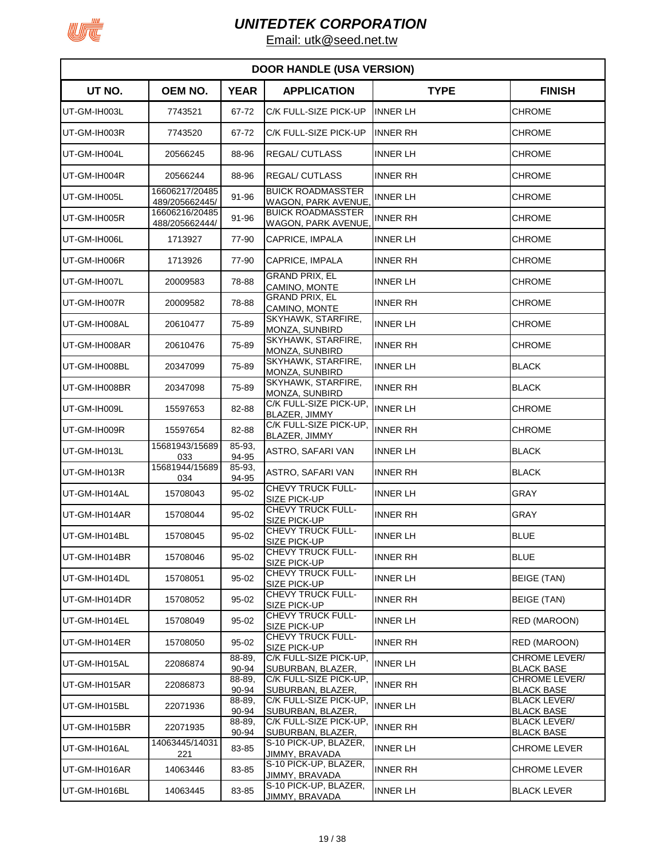

| <b>DOOR HANDLE (USA VERSION)</b> |                                  |                 |                                                       |                 |                                           |  |  |
|----------------------------------|----------------------------------|-----------------|-------------------------------------------------------|-----------------|-------------------------------------------|--|--|
| UT NO.                           | OEM NO.                          | <b>YEAR</b>     | <b>APPLICATION</b>                                    | <b>TYPE</b>     | <b>FINISH</b>                             |  |  |
| UT-GM-IH003L                     | 7743521                          | 67-72           | C/K FULL-SIZE PICK-UP                                 | <b>INNER LH</b> | <b>CHROME</b>                             |  |  |
| UT-GM-IH003R                     | 7743520                          | 67-72           | C/K FULL-SIZE PICK-UP                                 | <b>INNER RH</b> | <b>CHROME</b>                             |  |  |
| UT-GM-IH004L                     | 20566245                         | 88-96           | <b>REGAL/CUTLASS</b>                                  | <b>INNER LH</b> | <b>CHROME</b>                             |  |  |
| UT-GM-IH004R                     | 20566244                         | 88-96           | <b>REGAL/ CUTLASS</b>                                 | <b>INNER RH</b> | <b>CHROME</b>                             |  |  |
| UT-GM-IH005L                     | 16606217/20485<br>489/205662445/ | 91-96           | <b>BUICK ROADMASSTER</b><br>WAGON, PARK AVENUE,       | <b>INNER LH</b> | <b>CHROME</b>                             |  |  |
| UT-GM-IH005R                     | 16606216/20485<br>488/205662444/ | 91-96           | <b>BUICK ROADMASSTER</b><br><b>WAGON, PARK AVENUE</b> | <b>INNER RH</b> | CHROME                                    |  |  |
| UT-GM-IH006L                     | 1713927                          | 77-90           | CAPRICE, IMPALA                                       | <b>INNER LH</b> | <b>CHROME</b>                             |  |  |
| UT-GM-IH006R                     | 1713926                          | 77-90           | CAPRICE, IMPALA                                       | <b>INNER RH</b> | <b>CHROME</b>                             |  |  |
| UT-GM-IH007L                     | 20009583                         | 78-88           | <b>GRAND PRIX, EL</b><br>CAMINO, MONTE                | <b>INNER LH</b> | <b>CHROME</b>                             |  |  |
| UT-GM-IH007R                     | 20009582                         | 78-88           | <b>GRAND PRIX, EL</b><br>CAMINO, MONTE                | <b>INNER RH</b> | <b>CHROME</b>                             |  |  |
| UT-GM-IH008AL                    | 20610477                         | 75-89           | SKYHAWK, STARFIRE,<br><b>MONZA, SUNBIRD</b>           | <b>INNER LH</b> | <b>CHROME</b>                             |  |  |
| UT-GM-IH008AR                    | 20610476                         | 75-89           | SKYHAWK, STARFIRE,<br>MONZA, SUNBIRD                  | <b>INNER RH</b> | <b>CHROME</b>                             |  |  |
| UT-GM-IH008BL                    | 20347099                         | 75-89           | SKYHAWK, STARFIRE,<br>MONZA, SUNBIRD                  | <b>INNER LH</b> | <b>BLACK</b>                              |  |  |
| UT-GM-IH008BR                    | 20347098                         | 75-89           | SKYHAWK, STARFIRE,<br><b>MONZA, SUNBIRD</b>           | INNER RH        | <b>BLACK</b>                              |  |  |
| UT-GM-IH009L                     | 15597653                         | 82-88           | C/K FULL-SIZE PICK-UP,<br>BLAZER, JIMMY               | <b>INNER LH</b> | <b>CHROME</b>                             |  |  |
| UT-GM-IH009R                     | 15597654                         | 82-88           | C/K FULL-SIZE PICK-UP,<br>BLAZER, JIMMY               | <b>INNER RH</b> | <b>CHROME</b>                             |  |  |
| UT-GM-IH013L                     | 15681943/15689<br>033            | 85-93.<br>94-95 | ASTRO, SAFARI VAN                                     | INNER LH        | <b>BLACK</b>                              |  |  |
| UT-GM-IH013R                     | 15681944/15689<br>034            | 85-93,<br>94-95 | ASTRO, SAFARI VAN                                     | <b>INNER RH</b> | <b>BLACK</b>                              |  |  |
| UT-GM-IH014AL                    | 15708043                         | 95-02           | CHEVY TRUCK FULL-<br><b>SIZE PICK-UP</b>              | <b>INNER LH</b> | <b>GRAY</b>                               |  |  |
| UT-GM-IH014AR                    | 15708044                         | 95-02           | CHEVY TRUCK FULL-<br>SIZE PICK-UP                     | <b>INNER RH</b> | <b>GRAY</b>                               |  |  |
| UT-GM-IH014BL                    | 15708045                         | 95-02           | <b>CHEVY TRUCK FULL-</b><br>SIZE PICK-UP              | INNER LH        | <b>BLUE</b>                               |  |  |
| UT-GM-IH014BR                    | 15708046                         | 95-02           | CHEVY TRUCK FULL-<br><b>SIZE PICK-UP</b>              | <b>INNER RH</b> | <b>BLUE</b>                               |  |  |
| UT-GM-IH014DL                    | 15708051                         | 95-02           | CHEVY TRUCK FULL-<br><b>SIZE PICK-UP</b>              | <b>INNER LH</b> | <b>BEIGE (TAN)</b>                        |  |  |
| UT-GM-IH014DR                    | 15708052                         | 95-02           | CHEVY TRUCK FULL-<br><b>SIZE PICK-UP</b>              | <b>INNER RH</b> | <b>BEIGE (TAN)</b>                        |  |  |
| UT-GM-IH014EL                    | 15708049                         | 95-02           | CHEVY TRUCK FULL-<br>SIZE PICK-UP                     | <b>INNER LH</b> | RED (MAROON)                              |  |  |
| UT-GM-IH014ER                    | 15708050                         | 95-02           | CHEVY TRUCK FULL-<br>SIZE PICK-UP                     | <b>INNER RH</b> | RED (MAROON)                              |  |  |
| UT-GM-IH015AL                    | 22086874                         | 88-89,<br>90-94 | C/K FULL-SIZE PICK-UP,<br>SUBURBAN, BLAZER,           | <b>INNER LH</b> | <b>CHROME LEVER/</b><br><b>BLACK BASE</b> |  |  |
| UT-GM-IH015AR                    | 22086873                         | 88-89,<br>90-94 | C/K FULL-SIZE PICK-UP,<br>SUBURBAN, BLAZER,           | <b>INNER RH</b> | <b>CHROME LEVER/</b><br><b>BLACK BASE</b> |  |  |
| UT-GM-IH015BL                    | 22071936                         | 88-89,<br>90-94 | C/K FULL-SIZE PICK-UP,<br>SUBURBAN, BLAZER,           | <b>INNER LH</b> | <b>BLACK LEVER/</b><br>BLACK BASE         |  |  |
| UT-GM-IH015BR                    | 22071935                         | 88-89,<br>90-94 | C/K FULL-SIZE PICK-UP,<br>SUBURBAN, BLAZER,           | <b>INNER RH</b> | <b>BLACK LEVER/</b><br><b>BLACK BASE</b>  |  |  |
| UT-GM-IH016AL                    | 14063445/14031<br>221            | 83-85           | S-10 PICK-UP, BLAZER,<br>JIMMY, BRAVADA               | <b>INNER LH</b> | <b>CHROME LEVER</b>                       |  |  |
| UT-GM-IH016AR                    | 14063446                         | 83-85           | S-10 PICK-UP, BLAZER,<br>JIMMY, BRAVADA               | <b>INNER RH</b> | <b>CHROME LEVER</b>                       |  |  |
| UT-GM-IH016BL                    | 14063445                         | 83-85           | S-10 PICK-UP, BLAZER,<br>JIMMY, BRAVADA               | <b>INNER LH</b> | <b>BLACK LEVER</b>                        |  |  |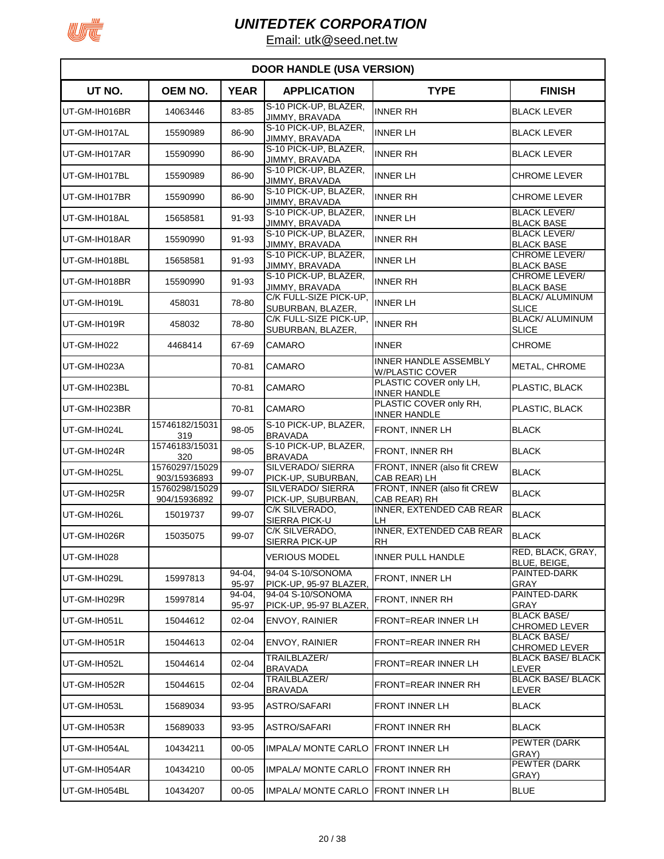

| <b>DOOR HANDLE (USA VERSION)</b> |                                |                 |                                                |                                                        |                                            |  |  |
|----------------------------------|--------------------------------|-----------------|------------------------------------------------|--------------------------------------------------------|--------------------------------------------|--|--|
| UT NO.                           | <b>OEM NO.</b>                 | <b>YEAR</b>     | <b>APPLICATION</b>                             | <b>TYPE</b>                                            | <b>FINISH</b>                              |  |  |
| UT-GM-IH016BR                    | 14063446                       | 83-85           | S-10 PICK-UP, BLAZER,<br><b>JIMMY, BRAVADA</b> | <b>INNER RH</b>                                        | <b>BLACK LEVER</b>                         |  |  |
| UT-GM-IH017AL                    | 15590989                       | 86-90           | S-10 PICK-UP, BLAZER,<br>JIMMY, BRAVADA        | <b>INNER LH</b>                                        | <b>BLACK LEVER</b>                         |  |  |
| UT-GM-IH017AR                    | 15590990                       | 86-90           | S-10 PICK-UP, BLAZER,<br>JIMMY, BRAVADA        | <b>INNER RH</b>                                        | <b>BLACK LEVER</b>                         |  |  |
| UT-GM-IH017BL                    | 15590989                       | 86-90           | S-10 PICK-UP, BLAZER,<br>JIMMY, BRAVADA        | <b>INNER LH</b>                                        | <b>CHROME LEVER</b>                        |  |  |
| UT-GM-IH017BR                    | 15590990                       | 86-90           | S-10 PICK-UP, BLAZER,<br>JIMMY, BRAVADA        | <b>INNER RH</b>                                        | <b>CHROME LEVER</b>                        |  |  |
| UT-GM-IH018AL                    | 15658581                       | 91-93           | S-10 PICK-UP, BLAZER,<br>JIMMY, BRAVADA        | <b>INNER LH</b>                                        | BLACK LEVER/<br><b>BLACK BASE</b>          |  |  |
| UT-GM-IH018AR                    | 15590990                       | 91-93           | S-10 PICK-UP, BLAZER,<br>JIMMY, BRAVADA        | <b>INNER RH</b>                                        | <b>BLACK LEVER/</b><br>BLACK BASE          |  |  |
| UT-GM-IH018BL                    | 15658581                       | 91-93           | S-10 PICK-UP, BLAZER,<br>JIMMY, BRAVADA        | <b>INNER LH</b>                                        | CHROME LEVER/<br>BLACK BASE                |  |  |
| UT-GM-IH018BR                    | 15590990                       | 91-93           | S-10 PICK-UP, BLAZER,<br>JIMMY, BRAVADA        | <b>INNER RH</b>                                        | CHROME LEVER/<br><b>BLACK BASE</b>         |  |  |
| UT-GM-IH019L                     | 458031                         | 78-80           | C/K FULL-SIZE PICK-UP,<br>SUBURBAN, BLAZER,    | <b>INNER LH</b>                                        | <b>BLACK/ ALUMINUM</b><br><b>SLICE</b>     |  |  |
| UT-GM-IH019R                     | 458032                         | 78-80           | C/K FULL-SIZE PICK-UP,<br>SUBURBAN, BLAZER,    | <b>INNER RH</b>                                        | <b>BLACK/ ALUMINUM</b><br><b>SLICE</b>     |  |  |
| UT-GM-IH022                      | 4468414                        | 67-69           | <b>CAMARO</b>                                  | <b>INNER</b>                                           | <b>CHROME</b>                              |  |  |
| UT-GM-IH023A                     |                                | 70-81           | CAMARO                                         | <b>INNER HANDLE ASSEMBLY</b><br><b>W/PLASTIC COVER</b> | METAL, CHROME                              |  |  |
| UT-GM-IH023BL                    |                                | 70-81           | CAMARO                                         | PLASTIC COVER only LH,<br><b>INNER HANDLE</b>          | PLASTIC, BLACK                             |  |  |
| UT-GM-IH023BR                    |                                | 70-81           | <b>CAMARO</b>                                  | PLASTIC COVER only RH.<br><b>INNER HANDLE</b>          | PLASTIC, BLACK                             |  |  |
| UT-GM-IH024L                     | 15746182/15031<br>319          | 98-05           | S-10 PICK-UP, BLAZER,<br><b>BRAVADA</b>        | <b>FRONT, INNER LH</b>                                 | <b>BLACK</b>                               |  |  |
| UT-GM-IH024R                     | 15746183/15031<br>320          | 98-05           | S-10 PICK-UP, BLAZER,<br><b>BRAVADA</b>        | FRONT, INNER RH                                        | <b>BLACK</b>                               |  |  |
| UT-GM-IH025L                     | 15760297/15029<br>903/15936893 | 99-07           | <b>SILVERADO/ SIERRA</b><br>PICK-UP, SUBURBAN, | FRONT, INNER (also fit CREW<br>CAB REAR) LH            | <b>BLACK</b>                               |  |  |
| UT-GM-IH025R                     | 15760298/15029<br>904/15936892 | 99-07           | SILVERADO/ SIERRA<br>PICK-UP, SUBURBAN,        | FRONT, INNER (also fit CREW<br>CAB REAR) RH            | <b>BLACK</b>                               |  |  |
| UT-GM-IH026L                     | 15019737                       | 99-07           | C/K SILVERADO,<br>SIERRA PICK-U                | INNER, EXTENDED CAB REAR<br>LH                         | <b>BLACK</b>                               |  |  |
| UT-GM-IH026R                     | 15035075                       | 99-07           | C/K SILVERADO,<br>SIERRA PICK-UP               | <b>INNER, EXTENDED CAB REAR</b><br><b>RH</b>           | <b>BLACK</b>                               |  |  |
| UT-GM-IH028                      |                                |                 | <b>VERIOUS MODEL</b>                           | <b>INNER PULL HANDLE</b>                               | RED, BLACK, GRAY,<br>BLUE, BEIGE,          |  |  |
| UT-GM-IH029L                     | 15997813                       | 94-04,<br>95-97 | 94-04 S-10/SONOMA<br>PICK-UP, 95-97 BLAZER,    | <b>FRONT, INNER LH</b>                                 | PAINTED-DARK<br>GRAY                       |  |  |
| UT-GM-IH029R                     | 15997814                       | 94-04,<br>95-97 | 94-04 S-10/SONOMA<br>PICK-UP, 95-97 BLAZER,    | FRONT, INNER RH                                        | PAINTED-DARK<br>GRAY                       |  |  |
| UT-GM-IH051L                     | 15044612                       | $02 - 04$       | <b>ENVOY, RAINIER</b>                          | FRONT=REAR INNER LH                                    | <b>BLACK BASE/</b><br><b>CHROMED LEVER</b> |  |  |
| UT-GM-IH051R                     | 15044613                       | 02-04           | <b>ENVOY, RAINIER</b>                          | <b>FRONT=REAR INNER RH</b>                             | <b>BLACK BASE/</b><br><b>CHROMED LEVER</b> |  |  |
| UT-GM-IH052L                     | 15044614                       | 02-04           | TRAILBLAZER/<br><b>BRAVADA</b>                 | <b>FRONT=REAR INNER LH</b>                             | <b>BLACK BASE/ BLACK</b><br>LEVER          |  |  |
| UT-GM-IH052R                     | 15044615                       | $02 - 04$       | TRAILBLAZER/<br><b>BRAVADA</b>                 | <b>FRONT=REAR INNER RH</b>                             | <b>BLACK BASE/ BLACK</b><br>LEVER          |  |  |
| UT-GM-IH053L                     | 15689034                       | 93-95           | <b>ASTRO/SAFARI</b>                            | <b>FRONT INNER LH</b>                                  | <b>BLACK</b>                               |  |  |
| UT-GM-IH053R                     | 15689033                       | 93-95           | ASTRO/SAFARI                                   | <b>FRONT INNER RH</b>                                  | BLACK                                      |  |  |
| UT-GM-IH054AL                    | 10434211                       | $00 - 05$       | <b>IMPALA/ MONTE CARLO</b>                     | <b>FRONT INNER LH</b>                                  | PEWTER (DARK<br>GRAY)                      |  |  |
| UT-GM-IH054AR                    | 10434210                       | $00 - 05$       | <b>IMPALA/ MONTE CARLO</b>                     | <b>FRONT INNER RH</b>                                  | PEWTER (DARK<br>GRAY)                      |  |  |
| UT-GM-IH054BL                    | 10434207                       | $00 - 05$       | IMPALA/ MONTE CARLO FRONT INNER LH             |                                                        | <b>BLUE</b>                                |  |  |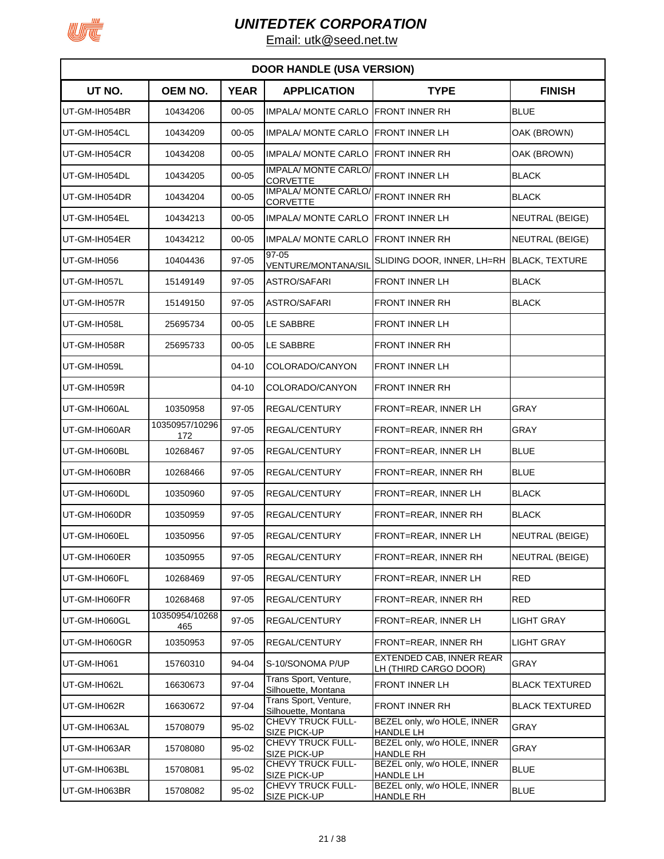

| <b>DOOR HANDLE (USA VERSION)</b> |                       |             |                                                       |                                                   |                        |  |  |
|----------------------------------|-----------------------|-------------|-------------------------------------------------------|---------------------------------------------------|------------------------|--|--|
| UT NO.                           | OEM NO.               | <b>YEAR</b> | <b>APPLICATION</b>                                    | <b>TYPE</b>                                       | <b>FINISH</b>          |  |  |
| UT-GM-IH054BR                    | 10434206              | $00 - 05$   | <b>IMPALA/ MONTE CARLO</b>                            | <b>FRONT INNER RH</b>                             | <b>BLUE</b>            |  |  |
| UT-GM-IH054CL                    | 10434209              | $00 - 05$   | <b>IMPALA/ MONTE CARLO</b>                            | <b>FRONT INNER LH</b>                             | OAK (BROWN)            |  |  |
| UT-GM-IH054CR                    | 10434208              | $00 - 05$   | <b>IMPALA/ MONTE CARLO</b>                            | <b>FRONT INNER RH</b>                             | OAK (BROWN)            |  |  |
| UT-GM-IH054DL                    | 10434205              | $00 - 05$   | IMPALA/MONTE CARLO/ FRONT INNER LH<br><b>CORVETTE</b> |                                                   | <b>BLACK</b>           |  |  |
| UT-GM-IH054DR                    | 10434204              | $00 - 05$   | <b>IMPALA/ MONTE CARLO</b><br><b>CORVETTE</b>         | FRONT INNER RH                                    | <b>BLACK</b>           |  |  |
| UT-GM-IH054EL                    | 10434213              | $00 - 05$   | <b>IMPALA/ MONTE CARLO</b>                            | <b>FRONT INNER LH</b>                             | NEUTRAL (BEIGE)        |  |  |
| UT-GM-IH054ER                    | 10434212              | $00 - 05$   | IMPALA/ MONTE CARLO                                   | <b>FRONT INNER RH</b>                             | <b>NEUTRAL (BEIGE)</b> |  |  |
| UT-GM-IH056                      | 10404436              | $97 - 05$   | 97-05<br>VENTURE/MONTANA/SIL                          | SLIDING DOOR, INNER, LH=RH                        | <b>BLACK, TEXTURE</b>  |  |  |
| UT-GM-IH057L                     | 15149149              | $97 - 05$   | <b>ASTRO/SAFARI</b>                                   | <b>FRONT INNER LH</b>                             | <b>BLACK</b>           |  |  |
| UT-GM-IH057R                     | 15149150              | $97 - 05$   | <b>ASTRO/SAFARI</b>                                   | <b>FRONT INNER RH</b>                             | <b>BLACK</b>           |  |  |
| UT-GM-IH058L                     | 25695734              | $00 - 05$   | LE SABBRE                                             | <b>FRONT INNER LH</b>                             |                        |  |  |
| UT-GM-IH058R                     | 25695733              | $00 - 05$   | LE SABBRE                                             | <b>FRONT INNER RH</b>                             |                        |  |  |
| UT-GM-IH059L                     |                       | 04-10       | COLORADO/CANYON                                       | FRONT INNER LH                                    |                        |  |  |
| UT-GM-IH059R                     |                       | 04-10       | COLORADO/CANYON                                       | <b>FRONT INNER RH</b>                             |                        |  |  |
| UT-GM-IH060AL                    | 10350958              | 97-05       | <b>REGAL/CENTURY</b>                                  | FRONT=REAR, INNER LH                              | GRAY                   |  |  |
| UT-GM-IH060AR                    | 10350957/10296<br>172 | 97-05       | <b>REGAL/CENTURY</b>                                  | FRONT=REAR, INNER RH                              | GRAY                   |  |  |
| UT-GM-IH060BL                    | 10268467              | 97-05       | <b>REGAL/CENTURY</b>                                  | FRONT=REAR, INNER LH                              | <b>BLUE</b>            |  |  |
| UT-GM-IH060BR                    | 10268466              | 97-05       | <b>REGAL/CENTURY</b>                                  | FRONT=REAR, INNER RH                              | <b>BLUE</b>            |  |  |
| UT-GM-IH060DL                    | 10350960              | 97-05       | <b>REGAL/CENTURY</b>                                  | FRONT=REAR, INNER LH                              | <b>BLACK</b>           |  |  |
| UT-GM-IH060DR                    | 10350959              | 97-05       | <b>REGAL/CENTURY</b>                                  | FRONT=REAR, INNER RH                              | <b>BLACK</b>           |  |  |
| UT-GM-IH060EL                    | 10350956              | 97-05       | <b>REGAL/CENTURY</b>                                  | FRONT=REAR, INNER LH                              | NEUTRAL (BEIGE)        |  |  |
| UT-GM-IH060ER                    | 10350955              | 97-05       | REGAL/CENTURY                                         | FRONT=REAR, INNER RH                              | <b>NEUTRAL (BEIGE)</b> |  |  |
| UT-GM-IH060FL                    | 10268469              | 97-05       | REGAL/CENTURY                                         | FRONT=REAR, INNER LH                              | <b>RED</b>             |  |  |
| UT-GM-IH060FR                    | 10268468              | 97-05       | <b>REGAL/CENTURY</b>                                  | FRONT=REAR, INNER RH                              | <b>RED</b>             |  |  |
| UT-GM-IH060GL                    | 10350954/10268<br>465 | 97-05       | REGAL/CENTURY                                         | FRONT=REAR, INNER LH                              | <b>LIGHT GRAY</b>      |  |  |
| UT-GM-IH060GR                    | 10350953              | 97-05       | REGAL/CENTURY                                         | FRONT=REAR, INNER RH                              | <b>LIGHT GRAY</b>      |  |  |
| UT-GM-IH061                      | 15760310              | 94-04       | S-10/SONOMA P/UP                                      | EXTENDED CAB, INNER REAR<br>LH (THIRD CARGO DOOR) | GRAY                   |  |  |
| UT-GM-IH062L                     | 16630673              | 97-04       | Trans Sport, Venture,<br>Silhouette, Montana          | FRONT INNER LH                                    | <b>BLACK TEXTURED</b>  |  |  |
| UT-GM-IH062R                     | 16630672              | 97-04       | Trans Sport, Venture,<br>Silhouette, Montana          | <b>FRONT INNER RH</b>                             | <b>BLACK TEXTURED</b>  |  |  |
| UT-GM-IH063AL                    | 15708079              | 95-02       | CHEVY TRUCK FULL-<br>SIZE PICK-UP                     | BEZEL only, w/o HOLE, INNER<br>HANDLE LH          | <b>GRAY</b>            |  |  |
| UT-GM-IH063AR                    | 15708080              | 95-02       | CHEVY TRUCK FULL-<br>SIZE PICK-UP                     | BEZEL only, w/o HOLE, INNER<br><b>HANDLE RH</b>   | GRAY                   |  |  |
| UT-GM-IH063BL                    | 15708081              | 95-02       | CHEVY TRUCK FULL-<br><b>SIZE PICK-UP</b>              | BEZEL only, w/o HOLE, INNER<br><b>HANDLE LH</b>   | <b>BLUE</b>            |  |  |
| UT-GM-IH063BR                    | 15708082              | 95-02       | CHEVY TRUCK FULL-<br>SIZE PICK-UP                     | BEZEL only, w/o HOLE, INNER<br><b>HANDLE RH</b>   | <b>BLUE</b>            |  |  |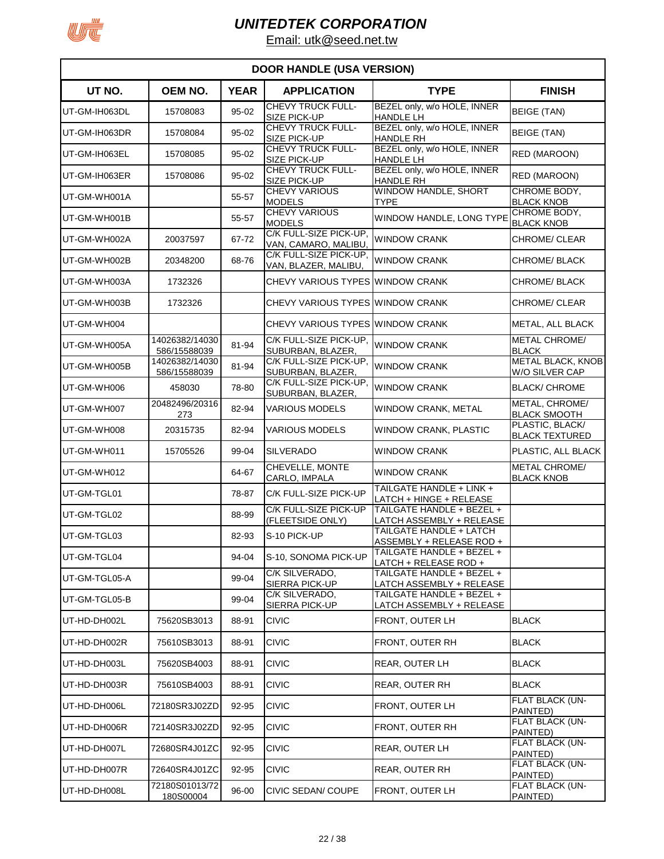

| <b>DOOR HANDLE (USA VERSION)</b> |                                |             |                                                 |                                                       |                                            |  |  |
|----------------------------------|--------------------------------|-------------|-------------------------------------------------|-------------------------------------------------------|--------------------------------------------|--|--|
| UT NO.                           | OEM NO.                        | <b>YEAR</b> | <b>APPLICATION</b>                              | <b>TYPE</b>                                           | <b>FINISH</b>                              |  |  |
| UT-GM-IH063DL                    | 15708083                       | 95-02       | <b>CHEVY TRUCK FULL-</b><br><b>SIZE PICK-UP</b> | BEZEL only, w/o HOLE, INNER<br><b>HANDLE LH</b>       | <b>BEIGE (TAN)</b>                         |  |  |
| IUT-GM-IH063DR                   | 15708084                       | 95-02       | CHEVY TRUCK FULL-<br>SIZE PICK-UP               | BEZEL only, w/o HOLE, INNER<br><b>HANDLE RH</b>       | <b>BEIGE (TAN)</b>                         |  |  |
| UT-GM-IH063EL                    | 15708085                       | 95-02       | <b>CHEVY TRUCK FULL-</b><br><b>SIZE PICK-UP</b> | BEZEL only, w/o HOLE, INNER<br>HANDLE LH              | RED (MAROON)                               |  |  |
| UT-GM-IH063ER                    | 15708086                       | 95-02       | <b>CHEVY TRUCK FULL-</b><br>SIZE PICK-UP        | BEZEL only, w/o HOLE, INNER<br><b>HANDLE RH</b>       | RED (MAROON)                               |  |  |
| UT-GM-WH001A                     |                                | 55-57       | <b>CHEVY VARIOUS</b><br><b>MODELS</b>           | WINDOW HANDLE, SHORT<br><b>TYPE</b>                   | CHROME BODY.<br><b>BLACK KNOB</b>          |  |  |
| UT-GM-WH001B                     |                                | 55-57       | <b>CHEVY VARIOUS</b><br><b>MODELS</b>           | WINDOW HANDLE, LONG TYPE                              | CHROME BODY,<br><b>BLACK KNOB</b>          |  |  |
| UT-GM-WH002A                     | 20037597                       | 67-72       | C/K FULL-SIZE PICK-UP,<br>VAN, CAMARO, MALIBU,  | <b>WINDOW CRANK</b>                                   | CHROME/ CLEAR                              |  |  |
| UT-GM-WH002B                     | 20348200                       | 68-76       | C/K FULL-SIZE PICK-UP,<br>VAN, BLAZER, MALIBU,  | <b>WINDOW CRANK</b>                                   | CHROME/BLACK                               |  |  |
| UT-GM-WH003A                     | 1732326                        |             | CHEVY VARIOUS TYPES WINDOW CRANK                |                                                       | CHROME/ BLACK                              |  |  |
| UT-GM-WH003B                     | 1732326                        |             | CHEVY VARIOUS TYPES WINDOW CRANK                |                                                       | CHROME/ CLEAR                              |  |  |
| UT-GM-WH004                      |                                |             | CHEVY VARIOUS TYPES WINDOW CRANK                |                                                       | <b>METAL, ALL BLACK</b>                    |  |  |
| UT-GM-WH005A                     | 14026382/14030<br>586/15588039 | 81-94       | C/K FULL-SIZE PICK-UP.<br>SUBURBAN, BLAZER,     | <b>WINDOW CRANK</b>                                   | <b>METAL CHROME/</b><br><b>BLACK</b>       |  |  |
| UT-GM-WH005B                     | 14026382/14030<br>586/15588039 | 81-94       | C/K FULL-SIZE PICK-UP,<br>SUBURBAN, BLAZER,     | <b>WINDOW CRANK</b>                                   | <b>METAL BLACK, KNOB</b><br>W/O SILVER CAP |  |  |
| UT-GM-WH006                      | 458030                         | 78-80       | C/K FULL-SIZE PICK-UP,<br>SUBURBAN, BLAZER,     | <b>WINDOW CRANK</b>                                   | <b>BLACK/ CHROME</b>                       |  |  |
| UT-GM-WH007                      | 20482496/20316<br>273          | 82-94       | <b>VARIOUS MODELS</b>                           | <b>WINDOW CRANK, METAL</b>                            | METAL, CHROME/<br><b>BLACK SMOOTH</b>      |  |  |
| UT-GM-WH008                      | 20315735                       | 82-94       | <b>VARIOUS MODELS</b>                           | WINDOW CRANK, PLASTIC                                 | PLASTIC, BLACK/<br><b>BLACK TEXTURED</b>   |  |  |
| UT-GM-WH011                      | 15705526                       | 99-04       | <b>SILVERADO</b>                                | <b>WINDOW CRANK</b>                                   | PLASTIC, ALL BLACK                         |  |  |
| UT-GM-WH012                      |                                | 64-67       | CHEVELLE, MONTE<br>CARLO, IMPALA                | <b>WINDOW CRANK</b>                                   | <b>METAL CHROME/</b><br><b>BLACK KNOB</b>  |  |  |
| UT-GM-TGL01                      |                                | 78-87       | C/K FULL-SIZE PICK-UP                           | TAILGATE HANDLE + LINK +<br>LATCH + HINGE + RELEASE   |                                            |  |  |
| UT-GM-TGL02                      |                                | 88-99       | C/K FULL-SIZE PICK-UP<br>(FLEETSIDE ONLY)       | TAILGATE HANDLE + BEZEL +<br>LATCH ASSEMBLY + RELEASE |                                            |  |  |
| UT-GM-TGL03                      |                                | 82-93       | S-10 PICK-UP                                    | TAILGATE HANDLE + LATCH<br>ASSEMBLY + RELEASE ROD +   |                                            |  |  |
| UT-GM-TGL04                      |                                | 94-04       | S-10, SONOMA PICK-UP                            | TAILGATE HANDLE + BEZEL +<br>LATCH + RELEASE ROD +    |                                            |  |  |
| UT-GM-TGL05-A                    |                                | 99-04       | C/K SILVERADO,<br>SIERRA PICK-UP                | TAILGATE HANDLE + BEZEL +<br>LATCH ASSEMBLY + RELEASE |                                            |  |  |
| UT-GM-TGL05-B                    |                                | 99-04       | C/K SILVERADO,<br>SIERRA PICK-UP                | TAILGATE HANDLE + BEZEL +<br>LATCH ASSEMBLY + RELEASE |                                            |  |  |
| UT-HD-DH002L                     | 75620SB3013                    | 88-91       | <b>CIVIC</b>                                    | FRONT, OUTER LH                                       | <b>BLACK</b>                               |  |  |
| UT-HD-DH002R                     | 75610SB3013                    | 88-91       | <b>CIVIC</b>                                    | <b>FRONT, OUTER RH</b>                                | <b>BLACK</b>                               |  |  |
| UT-HD-DH003L                     | 75620SB4003                    | 88-91       | <b>CIVIC</b>                                    | REAR, OUTER LH                                        | <b>BLACK</b>                               |  |  |
| UT-HD-DH003R                     | 75610SB4003                    | 88-91       | <b>CIVIC</b>                                    | REAR, OUTER RH                                        | <b>BLACK</b>                               |  |  |
| UT-HD-DH006L                     | 72180SR3J02ZD                  | 92-95       | <b>CIVIC</b>                                    | FRONT, OUTER LH                                       | FLAT BLACK (UN-<br>PAINTED)                |  |  |
| UT-HD-DH006R                     | 72140SR3J02ZD                  | 92-95       | <b>CIVIC</b>                                    | FRONT, OUTER RH                                       | FLAT BLACK (UN-<br>PAINTED)                |  |  |
| UT-HD-DH007L                     | 72680SR4J01ZC                  | 92-95       | <b>CIVIC</b>                                    | <b>REAR, OUTER LH</b>                                 | FLAT BLACK (UN-<br>PAINTED)                |  |  |
| UT-HD-DH007R                     | 72640SR4J01ZC                  | 92-95       | <b>CIVIC</b>                                    | REAR, OUTER RH                                        | FLAT BLACK (UN-<br>PAINTED)                |  |  |
| UT-HD-DH008L                     | 72180S01013/72<br>180S00004    | 96-00       | CIVIC SEDAN/ COUPE                              | FRONT, OUTER LH                                       | FLAT BLACK (UN-<br>PAINTED)                |  |  |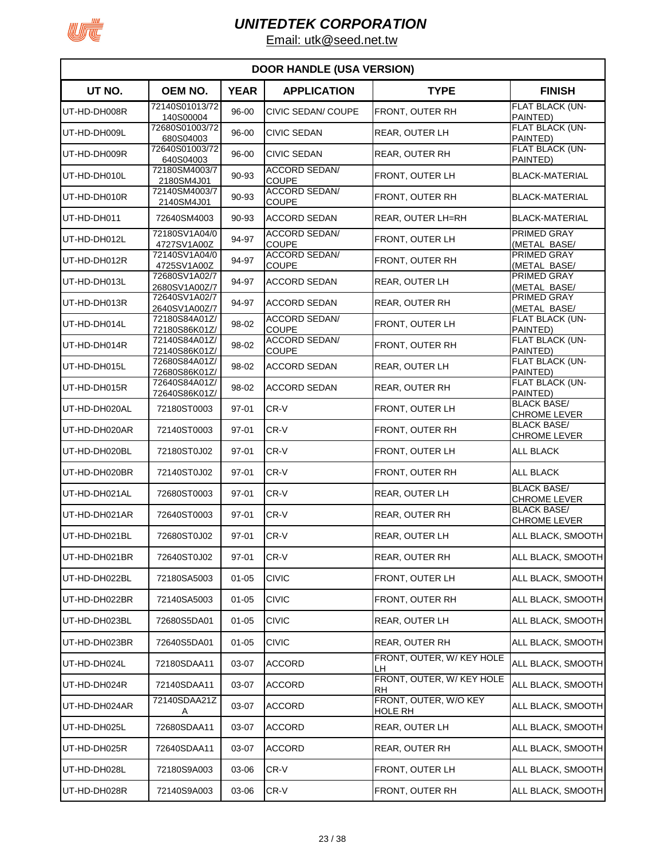

| <b>DOOR HANDLE (USA VERSION)</b> |                                |             |                                      |                                         |                                           |  |  |
|----------------------------------|--------------------------------|-------------|--------------------------------------|-----------------------------------------|-------------------------------------------|--|--|
| UT NO.                           | OEM NO.                        | <b>YEAR</b> | <b>APPLICATION</b>                   | <b>TYPE</b>                             | <b>FINISH</b>                             |  |  |
| UT-HD-DH008R                     | 72140S01013/72<br>140S00004    | 96-00       | CIVIC SEDAN/ COUPE                   | FRONT, OUTER RH                         | FLAT BLACK (UN-<br>PAINTED)               |  |  |
| UT-HD-DH009L                     | 72680S01003/72<br>680S04003    | 96-00       | <b>CIVIC SEDAN</b>                   | <b>REAR, OUTER LH</b>                   | FLAT BLACK (UN-<br>PAINTED)               |  |  |
| UT-HD-DH009R                     | 72640S01003/72<br>640S04003    | 96-00       | <b>CIVIC SEDAN</b>                   | <b>REAR, OUTER RH</b>                   | FLAT BLACK (UN-<br>PAINTED)               |  |  |
| UT-HD-DH010L                     | 72180SM4003/7<br>2180SM4J01    | 90-93       | <b>ACCORD SEDAN/</b><br><b>COUPE</b> | FRONT, OUTER LH                         | <b>BLACK-MATERIAL</b>                     |  |  |
| UT-HD-DH010R                     | 72140SM4003/7<br>2140SM4J01    | 90-93       | <b>ACCORD SEDAN/</b><br><b>COUPE</b> | FRONT, OUTER RH                         | <b>BLACK-MATERIAL</b>                     |  |  |
| UT-HD-DH011                      | 72640SM4003                    | 90-93       | <b>ACCORD SEDAN</b>                  | REAR, OUTER LH=RH                       | <b>BLACK-MATERIAL</b>                     |  |  |
| UT-HD-DH012L                     | 72180SV1A04/0<br>4727SV1A00Z   | 94-97       | <b>ACCORD SEDAN/</b><br><b>COUPE</b> | FRONT, OUTER LH                         | PRIMED GRAY<br>(METAL BASE/               |  |  |
| UT-HD-DH012R                     | 72140SV1A04/0<br>4725SV1A00Z   | 94-97       | <b>ACCORD SEDAN/</b><br><b>COUPE</b> | FRONT, OUTER RH                         | PRIMED GRAY<br>(METAL BASE/               |  |  |
| UT-HD-DH013L                     | 72680SV1A02/7<br>2680SV1A00Z/7 | 94-97       | <b>ACCORD SEDAN</b>                  | <b>REAR, OUTER LH</b>                   | PRIMED GRAY<br>(METAL BASE/               |  |  |
| UT-HD-DH013R                     | 72640SV1A02/7                  | 94-97       | <b>ACCORD SEDAN</b>                  | REAR, OUTER RH                          | PRIMED GRAY                               |  |  |
| UT-HD-DH014L                     | 2640SV1A00Z/7<br>72180S84A01Z/ | 98-02       | <b>ACCORD SEDAN/</b>                 | <b>FRONT, OUTER LH</b>                  | (METAL BASE/<br>FLAT BLACK (UN-           |  |  |
| UT-HD-DH014R                     | 72180S86K01Z/<br>72140S84A01Z/ | 98-02       | <b>COUPE</b><br><b>ACCORD SEDAN/</b> | FRONT, OUTER RH                         | PAINTED)<br>FLAT BLACK (UN-               |  |  |
| UT-HD-DH015L                     | 72140S86K01Z/<br>72680S84A01Z/ | 98-02       | <b>COUPE</b><br><b>ACCORD SEDAN</b>  | <b>REAR, OUTER LH</b>                   | PAINTED)<br>FLAT BLACK (UN-               |  |  |
| UT-HD-DH015R                     | 72680S86K01Z/<br>72640S84A01Z/ | 98-02       | <b>ACCORD SEDAN</b>                  | <b>REAR, OUTER RH</b>                   | PAINTED)<br>FLAT BLACK (UN-               |  |  |
| UT-HD-DH020AL                    | 72640S86K01Z/<br>72180ST0003   | 97-01       | CR-V                                 | FRONT, OUTER LH                         | PAINTED)<br><b>BLACK BASE/</b>            |  |  |
| UT-HD-DH020AR                    | 72140ST0003                    | 97-01       | CR-V                                 | FRONT, OUTER RH                         | <b>CHROME LEVER</b><br><b>BLACK BASE/</b> |  |  |
| UT-HD-DH020BL                    | 72180ST0J02                    | 97-01       | CR-V                                 | FRONT, OUTER LH                         | CHROME LEVER<br><b>ALL BLACK</b>          |  |  |
| UT-HD-DH020BR                    | 72140ST0J02                    | 97-01       | CR-V                                 | FRONT, OUTER RH                         | <b>ALL BLACK</b>                          |  |  |
| UT-HD-DH021AL                    | 72680ST0003                    | $97 - 01$   | CR-V                                 | REAR, OUTER LH                          | <b>BLACK BASE/</b>                        |  |  |
| UT-HD-DH021AR                    | 72640ST0003                    | 97-01       | CR-V                                 | REAR, OUTER RH                          | <b>CHROME LEVER</b><br><b>BLACK BASE/</b> |  |  |
| UT-HD-DH021BL                    | 72680ST0J02                    | $97 - 01$   | CR-V                                 | <b>REAR, OUTER LH</b>                   | <b>CHROME LEVER</b><br>ALL BLACK, SMOOTH  |  |  |
| UT-HD-DH021BR                    | 72640ST0J02                    | 97-01       | CR-V                                 | REAR, OUTER RH                          | ALL BLACK, SMOOTH                         |  |  |
| UT-HD-DH022BL                    | 72180SA5003                    | $01 - 05$   | <b>CIVIC</b>                         | FRONT, OUTER LH                         | ALL BLACK, SMOOTH                         |  |  |
| UT-HD-DH022BR                    | 72140SA5003                    | $01 - 05$   | <b>CIVIC</b>                         | FRONT, OUTER RH                         | ALL BLACK, SMOOTH                         |  |  |
| UT-HD-DH023BL                    | 72680S5DA01                    | $01 - 05$   | <b>CIVIC</b>                         | REAR, OUTER LH                          | ALL BLACK, SMOOTH                         |  |  |
| UT-HD-DH023BR                    | 72640S5DA01                    | $01 - 05$   | <b>CIVIC</b>                         | REAR, OUTER RH                          | ALL BLACK, SMOOTH                         |  |  |
| UT-HD-DH024L                     | 72180SDAA11                    | 03-07       | <b>ACCORD</b>                        | FRONT, OUTER, W/KEY HOLE<br>LH          | ALL BLACK, SMOOTH                         |  |  |
| UT-HD-DH024R                     | 72140SDAA11                    | 03-07       | <b>ACCORD</b>                        | FRONT, OUTER, W/KEY HOLE<br>RH          | ALL BLACK, SMOOTH                         |  |  |
| UT-HD-DH024AR                    | 72140SDAA21Z<br>Α              | 03-07       | <b>ACCORD</b>                        | FRONT, OUTER, W/O KEY<br><b>HOLE RH</b> | ALL BLACK, SMOOTH                         |  |  |
| UT-HD-DH025L                     | 72680SDAA11                    | 03-07       | <b>ACCORD</b>                        | REAR, OUTER LH                          | ALL BLACK, SMOOTH                         |  |  |
| UT-HD-DH025R                     | 72640SDAA11                    | 03-07       | <b>ACCORD</b>                        | REAR, OUTER RH                          | ALL BLACK, SMOOTH                         |  |  |
| UT-HD-DH028L                     | 72180S9A003                    | 03-06       | CR-V                                 | FRONT, OUTER LH                         | ALL BLACK, SMOOTH                         |  |  |
| UT-HD-DH028R                     | 72140S9A003                    | 03-06       | CR-V                                 | FRONT, OUTER RH                         | ALL BLACK, SMOOTH                         |  |  |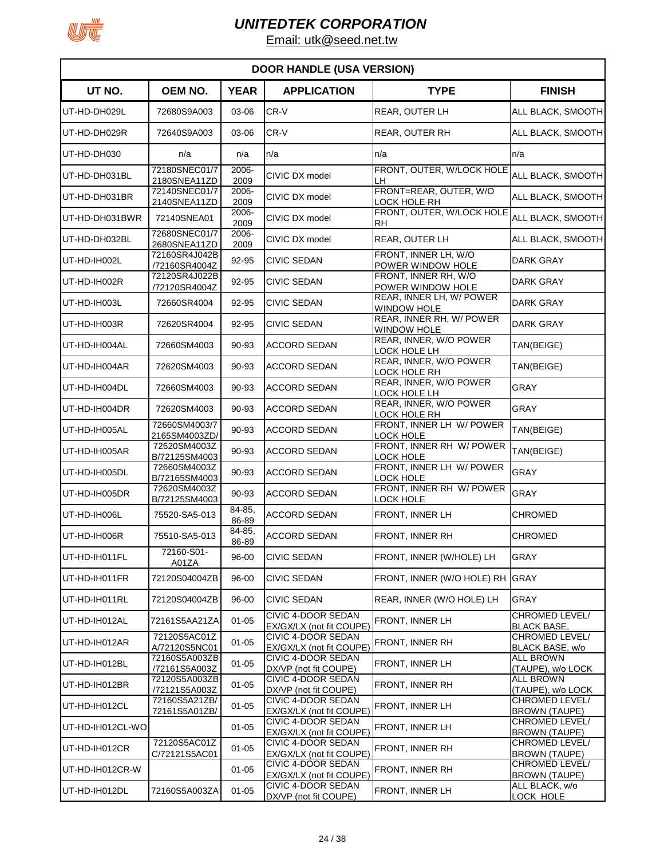

|                  | <b>DOOR HANDLE (USA VERSION)</b> |                 |                                                |                                                |                                               |  |  |
|------------------|----------------------------------|-----------------|------------------------------------------------|------------------------------------------------|-----------------------------------------------|--|--|
| UT NO.           | <b>OEM NO.</b>                   | <b>YEAR</b>     | <b>APPLICATION</b>                             | <b>TYPE</b>                                    | <b>FINISH</b>                                 |  |  |
| UT-HD-DH029L     | 72680S9A003                      | 03-06           | CR-V                                           | REAR, OUTER LH                                 | ALL BLACK, SMOOTH                             |  |  |
| UT-HD-DH029R     | 72640S9A003                      | 03-06           | CR-V                                           | <b>REAR, OUTER RH</b>                          | ALL BLACK, SMOOTH                             |  |  |
| UT-HD-DH030      | n/a                              | n/a             | n/a                                            | n/a                                            | n/a                                           |  |  |
| UT-HD-DH031BL    | 72180SNEC01/7<br>2180SNEA11ZD    | 2006-<br>2009   | CIVIC DX model                                 | FRONT, OUTER, W/LOCK HOLE<br>LН                | ALL BLACK, SMOOTH                             |  |  |
| UT-HD-DH031BR    | 72140SNEC01/7<br>2140SNEA11ZD    | 2006-<br>2009   | CIVIC DX model                                 | FRONT=REAR, OUTER, W/O<br>LOCK HOLE RH         | ALL BLACK, SMOOTH                             |  |  |
| UT-HD-DH031BWR   | 72140SNEA01                      | 2006-<br>2009   | CIVIC DX model                                 | FRONT, OUTER, W/LOCK HOLE<br>RH                | ALL BLACK, SMOOTH                             |  |  |
| UT-HD-DH032BL    | 72680SNEC01/7<br>2680SNEA11ZD    | 2006-<br>2009   | CIVIC DX model                                 | REAR, OUTER LH                                 | ALL BLACK, SMOOTH                             |  |  |
| UT-HD-IH002L     | 72160SR4J042B<br>/72160SR4004Z   | 92-95           | <b>CIVIC SEDAN</b>                             | FRONT, INNER LH, W/O<br>POWER WINDOW HOLE      | DARK GRAY                                     |  |  |
| UT-HD-IH002R     | 72120SR4J022B<br>/72120SR4004Z   | 92-95           | <b>CIVIC SEDAN</b>                             | FRONT, INNER RH, W/O<br>POWER WINDOW HOLE      | <b>DARK GRAY</b>                              |  |  |
| UT-HD-IH003L     | 72660SR4004                      | 92-95           | <b>CIVIC SEDAN</b>                             | REAR, INNER LH, W/ POWER<br><b>WINDOW HOLE</b> | DARK GRAY                                     |  |  |
| UT-HD-IH003R     | 72620SR4004                      | 92-95           | <b>CIVIC SEDAN</b>                             | REAR, INNER RH, W/ POWER<br><b>WINDOW HOLE</b> | DARK GRAY                                     |  |  |
| UT-HD-IH004AL    | 72660SM4003                      | 90-93           | <b>ACCORD SEDAN</b>                            | REAR, INNER, W/O POWER<br>LOCK HOLE LH         | TAN(BEIGE)                                    |  |  |
| UT-HD-IH004AR    | 72620SM4003                      | 90-93           | <b>ACCORD SEDAN</b>                            | REAR, INNER, W/O POWER<br>LOCK HOLE RH         | TAN(BEIGE)                                    |  |  |
| UT-HD-IH004DL    | 72660SM4003                      | 90-93           | <b>ACCORD SEDAN</b>                            | REAR, INNER, W/O POWER<br>LOCK HOLE LH         | GRAY                                          |  |  |
| UT-HD-IH004DR    | 72620SM4003                      | 90-93           | <b>ACCORD SEDAN</b>                            | REAR, INNER, W/O POWER<br>LOCK HOLE RH         | GRAY                                          |  |  |
| UT-HD-IH005AL    | 72660SM4003/7<br>2165SM4003ZD/   | 90-93           | <b>ACCORD SEDAN</b>                            | FRONT, INNER LH W/ POWER<br><b>LOCK HOLE</b>   | TAN(BEIGE)                                    |  |  |
| UT-HD-IH005AR    | 72620SM4003Z<br>B/72125SM4003    | 90-93           | <b>ACCORD SEDAN</b>                            | FRONT, INNER RH W/ POWER<br><b>LOCK HOLE</b>   | TAN(BEIGE)                                    |  |  |
| UT-HD-IH005DL    | 72660SM4003Z<br>B/72165SM4003    | 90-93           | <b>ACCORD SEDAN</b>                            | FRONT, INNER LH W/ POWER<br>LOCK HOLE          | GRAY                                          |  |  |
| UT-HD-IH005DR    | 72620SM4003Z<br>B/72125SM4003    | 90-93           | <b>ACCORD SEDAN</b>                            | FRONT, INNER RH W/ POWER<br><b>LOCK HOLE</b>   | GRAY                                          |  |  |
| UT-HD-IH006L     | 75520-SA5-013                    | 84-85,<br>86-89 | ACCORD SEDAN                                   | FRONT, INNER LH                                | <b>CHROMED</b>                                |  |  |
| UT-HD-IH006R     | 75510-SA5-013                    | 84-85,<br>86-89 | <b>ACCORD SEDAN</b>                            | <b>FRONT, INNER RH</b>                         | CHROMED                                       |  |  |
| UT-HD-IH011FL    | 72160-S01-<br>A01ZA              | 96-00           | <b>CIVIC SEDAN</b>                             | FRONT, INNER (W/HOLE) LH                       | GRAY                                          |  |  |
| UT-HD-IH011FR    | 72120S04004ZB                    | 96-00           | <b>CIVIC SEDAN</b>                             | FRONT. INNER (W/O HOLE) RH                     | <b>GRAY</b>                                   |  |  |
| UT-HD-IH011RL    | 72120S04004ZB                    | 96-00           | <b>CIVIC SEDAN</b>                             | REAR, INNER (W/O HOLE) LH                      | GRAY                                          |  |  |
| UT-HD-IH012AL    | 72161S5AA21ZA                    | $01 - 05$       | CIVIC 4-DOOR SEDAN<br>EX/GX/LX (not fit COUPE) | FRONT, INNER LH                                | CHROMED LEVEL/<br><b>BLACK BASE,</b>          |  |  |
| UT-HD-IH012AR    | 72120S5AC01Z<br>A/72120S5NC01    | $01 - 05$       | CIVIC 4-DOOR SEDAN<br>EX/GX/LX (not fit COUPE) | FRONT, INNER RH                                | CHROMED LEVEL/<br>BLACK BASE, w/o             |  |  |
| UT-HD-IH012BL    | 72160S5A003ZB<br>/72161S5A003Z   | $01 - 05$       | CIVIC 4-DOOR SEDAN<br>DX/VP (not fit COUPE)    | FRONT, INNER LH                                | ALL BROWN<br>(TAUPE), w/o LOCK                |  |  |
| UT-HD-IH012BR    | 72120S5A003ZB<br>/72121S5A003Z   | $01 - 05$       | CIVIC 4-DOOR SEDAN<br>DX/VP (not fit COUPE)    | FRONT, INNER RH                                | <b>ALL BROWN</b><br>(TAUPE), w/o LOCK         |  |  |
| UT-HD-IH012CL    | 72160S5A21ZB/<br>72161S5A01ZB/   | $01 - 05$       | CIVIC 4-DOOR SEDAN<br>EX/GX/LX (not fit COUPE) | FRONT, INNER LH                                | <b>CHROMED LEVEL/</b><br><b>BROWN (TAUPE)</b> |  |  |
| UT-HD-IH012CL-WO |                                  | $01 - 05$       | CIVIC 4-DOOR SEDAN<br>EX/GX/LX (not fit COUPE) | FRONT, INNER LH                                | CHROMED LEVEL/<br><b>BROWN (TAUPE)</b>        |  |  |
| UT-HD-IH012CR    | 72120S5AC01Z<br>C/72121S5AC01    | $01 - 05$       | CIVIC 4-DOOR SEDAN<br>EX/GX/LX (not fit COUPE) | FRONT, INNER RH                                | CHROMED LEVEL/<br><b>BROWN (TAUPE)</b>        |  |  |
| UT-HD-IH012CR-W  |                                  | $01 - 05$       | CIVIC 4-DOOR SEDAN<br>EX/GX/LX (not fit COUPE) | FRONT, INNER RH                                | CHROMED LEVEL/<br><b>BROWN (TAUPE)</b>        |  |  |
| UT-HD-IH012DL    | 72160S5A003ZA                    | $01 - 05$       | CIVIC 4-DOOR SEDAN<br>DX/VP (not fit COUPE)    | FRONT, INNER LH                                | ALL BLACK, w/o<br>LOCK HOLE                   |  |  |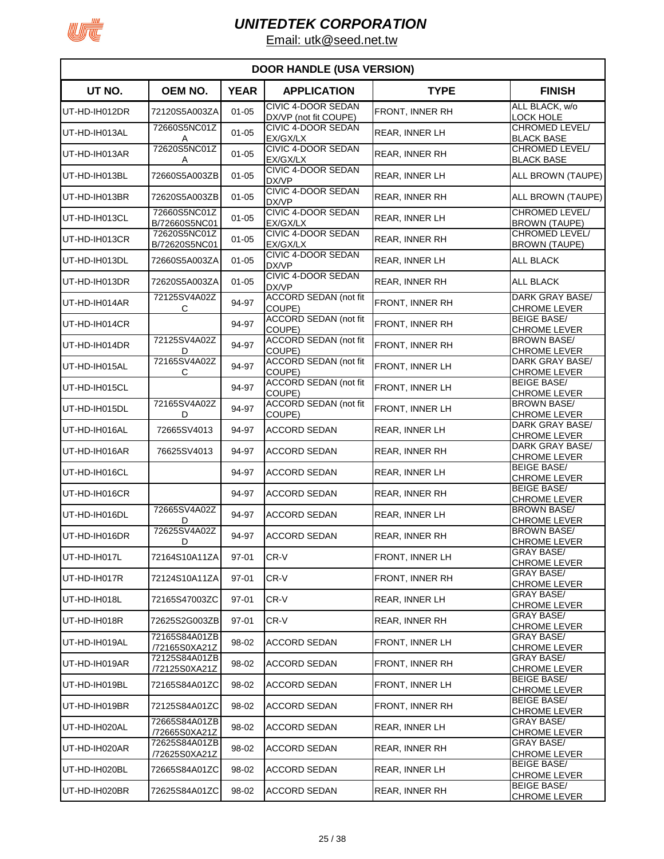

| <b>DOOR HANDLE (USA VERSION)</b> |                                |             |                                             |                        |                                               |  |  |
|----------------------------------|--------------------------------|-------------|---------------------------------------------|------------------------|-----------------------------------------------|--|--|
| UT NO.                           | <b>OEM NO.</b>                 | <b>YEAR</b> | <b>APPLICATION</b>                          | <b>TYPE</b>            | <b>FINISH</b>                                 |  |  |
| UT-HD-IH012DR                    | 72120S5A003ZA                  | $01 - 05$   | CIVIC 4-DOOR SEDAN<br>DX/VP (not fit COUPE) | FRONT, INNER RH        | ALL BLACK, w/o<br><b>LOCK HOLE</b>            |  |  |
| UT-HD-IH013AL                    | 72660S5NC01Z<br>Α              | $01 - 05$   | CIVIC 4-DOOR SEDAN<br>EX/GX/LX              | REAR, INNER LH         | CHROMED LEVEL/<br><b>BLACK BASE</b>           |  |  |
| UT-HD-IH013AR                    | 72620S5NC01Z                   | $01 - 05$   | CIVIC 4-DOOR SEDAN                          | <b>REAR, INNER RH</b>  | CHROMED LEVEL/                                |  |  |
| UT-HD-IH013BL                    | Α<br>72660S5A003ZB             | $01 - 05$   | EX/GX/LX<br>CIVIC 4-DOOR SEDAN              | REAR, INNER LH         | <b>BLACK BASE</b><br>ALL BROWN (TAUPE)        |  |  |
| UT-HD-IH013BR                    | 72620S5A003ZB                  | $01 - 05$   | DX/VP<br><b>CIVIC 4-DOOR SEDAN</b>          | REAR, INNER RH         | ALL BROWN (TAUPE)                             |  |  |
| UT-HD-IH013CL                    | 72660S5NC01Z                   | $01 - 05$   | DX/VP<br>CIVIC 4-DOOR SEDAN                 | <b>REAR. INNER LH</b>  | <b>CHROMED LEVEL/</b>                         |  |  |
| UT-HD-IH013CR                    | B/72660S5NC01<br>72620S5NC01Z  | $01 - 05$   | EX/GX/LX<br><b>CIVIC 4-DOOR SEDAN</b>       | REAR, INNER RH         | <b>BROWN (TAUPE)</b><br><b>CHROMED LEVEL/</b> |  |  |
| UT-HD-IH013DL                    | B/72620S5NC01<br>72660S5A003ZA | $01 - 05$   | EX/GX/LX<br>CIVIC 4-DOOR SEDAN              |                        | <b>BROWN (TAUPE)</b><br>ALL BLACK             |  |  |
|                                  |                                |             | DX/VP<br>CIVIC 4-DOOR SEDAN                 | REAR, INNER LH         |                                               |  |  |
| UT-HD-IH013DR                    | 72620S5A003ZA<br>72125SV4A02Z  | $01 - 05$   | DX/VP<br><b>ACCORD SEDAN (not fit</b>       | REAR, INNER RH         | <b>ALL BLACK</b><br>DARK GRAY BASE/           |  |  |
| UT-HD-IH014AR                    | С                              | 94-97       | COUPE)                                      | FRONT, INNER RH        | CHROME LEVER                                  |  |  |
| UT-HD-IH014CR                    |                                | 94-97       | <b>ACCORD SEDAN (not fit</b><br>COUPE)      | <b>FRONT, INNER RH</b> | <b>BEIGE BASE/</b><br><b>CHROME LEVER</b>     |  |  |
| UT-HD-IH014DR                    | 72125SV4A02Z<br>D              | 94-97       | <b>ACCORD SEDAN (not fit</b><br>COUPE)      | FRONT, INNER RH        | <b>BROWN BASE/</b><br><b>CHROME LEVER</b>     |  |  |
| UT-HD-IH015AL                    | 72165SV4A02Z<br>С              | 94-97       | <b>ACCORD SEDAN (not fit</b><br>COUPE)      | FRONT, INNER LH        | DARK GRAY BASE/<br><b>CHROME LEVER</b>        |  |  |
| UT-HD-IH015CL                    |                                | 94-97       | <b>ACCORD SEDAN (not fit</b><br>COUPE)      | <b>FRONT, INNER LH</b> | <b>BEIGE BASE/</b><br><b>CHROME LEVER</b>     |  |  |
| UT-HD-IH015DL                    | 72165SV4A02Z<br>D              | 94-97       | <b>ACCORD SEDAN (not fit</b><br>COUPE)      | FRONT, INNER LH        | <b>BROWN BASE/</b><br><b>CHROME LEVER</b>     |  |  |
| UT-HD-IH016AL                    | 72665SV4013                    | 94-97       | <b>ACCORD SEDAN</b>                         | <b>REAR, INNER LH</b>  | DARK GRAY BASE/<br><b>CHROME LEVER</b>        |  |  |
| UT-HD-IH016AR                    | 76625SV4013                    | 94-97       | <b>ACCORD SEDAN</b>                         | <b>REAR, INNER RH</b>  | DARK GRAY BASE/<br><b>CHROME LEVER</b>        |  |  |
| UT-HD-IH016CL                    |                                | 94-97       | ACCORD SEDAN                                | <b>REAR, INNER LH</b>  | <b>BEIGE BASE/</b><br><b>CHROME LEVER</b>     |  |  |
| UT-HD-IH016CR                    |                                | 94-97       | <b>ACCORD SEDAN</b>                         | <b>REAR. INNER RH</b>  | <b>BEIGE BASE/</b><br>CHROME LEVER            |  |  |
| UT-HD-IH016DL                    | 72665SV4A02Z<br>D              | 94-97       | <b>ACCORD SEDAN</b>                         | REAR, INNER LH         | <b>BROWN BASE/</b><br><b>CHROME LEVER</b>     |  |  |
| UT-HD-IH016DR                    | 72625SV4A02Z<br>D              | 94-97       | <b>ACCORD SEDAN</b>                         | <b>REAR, INNER RH</b>  | BROWN BASE/<br><b>CHROME LEVER</b>            |  |  |
| UT-HD-IH017L                     | 72164S10A11ZA                  | 97-01       | CR-V                                        | FRONT, INNER LH        | <b>GRAY BASE/</b><br><b>CHROME LEVER</b>      |  |  |
| UT-HD-IH017R                     | 72124S10A11ZA                  | 97-01       | CR-V                                        | FRONT, INNER RH        | <b>GRAY BASE/</b>                             |  |  |
| UT-HD-IH018L                     | 72165S47003ZC                  | 97-01       | CR-V                                        | REAR, INNER LH         | <b>CHROME LEVER</b><br>GRAY BASE/             |  |  |
| UT-HD-IH018R                     | 72625S2G003ZB                  | 97-01       | CR-V                                        | REAR, INNER RH         | <b>CHROME LEVER</b><br><b>GRAY BASE/</b>      |  |  |
| UT-HD-IH019AL                    | 72165S84A01ZB                  | 98-02       | <b>ACCORD SEDAN</b>                         | FRONT, INNER LH        | CHROME LEVER<br><b>GRAY BASE/</b>             |  |  |
| UT-HD-IH019AR                    | /72165S0XA21Z<br>72125S84A01ZB | 98-02       | <b>ACCORD SEDAN</b>                         | FRONT, INNER RH        | <b>CHROME LEVER</b><br><b>GRAY BASE/</b>      |  |  |
|                                  | /72125S0XA21Z                  |             |                                             |                        | <b>CHROME LEVER</b><br><b>BEIGE BASE/</b>     |  |  |
| UT-HD-IH019BL                    | 72165S84A01ZC                  | 98-02       | <b>ACCORD SEDAN</b>                         | FRONT, INNER LH        | CHROME LEVER<br><b>BEIGE BASE/</b>            |  |  |
| UT-HD-IH019BR                    | 72125S84A01ZC<br>72665S84A01ZB | 98-02       | <b>ACCORD SEDAN</b>                         | FRONT, INNER RH        | <b>CHROME LEVER</b><br><b>GRAY BASE/</b>      |  |  |
| UT-HD-IH020AL                    | /72665S0XA21Z<br>72625S84A01ZB | 98-02       | <b>ACCORD SEDAN</b>                         | <b>REAR, INNER LH</b>  | CHROME LEVER<br><b>GRAY BASE/</b>             |  |  |
| UT-HD-IH020AR                    | /72625S0XA21Z                  | 98-02       | <b>ACCORD SEDAN</b>                         | <b>REAR, INNER RH</b>  | <b>CHROME LEVER</b>                           |  |  |
| UT-HD-IH020BL                    | 72665S84A01ZC                  | 98-02       | <b>ACCORD SEDAN</b>                         | <b>REAR, INNER LH</b>  | <b>BEIGE BASE/</b><br><b>CHROME LEVER</b>     |  |  |
| UT-HD-IH020BR                    | 72625S84A01ZC                  | 98-02       | <b>ACCORD SEDAN</b>                         | <b>REAR, INNER RH</b>  | <b>BEIGE BASE/</b><br><b>CHROME LEVER</b>     |  |  |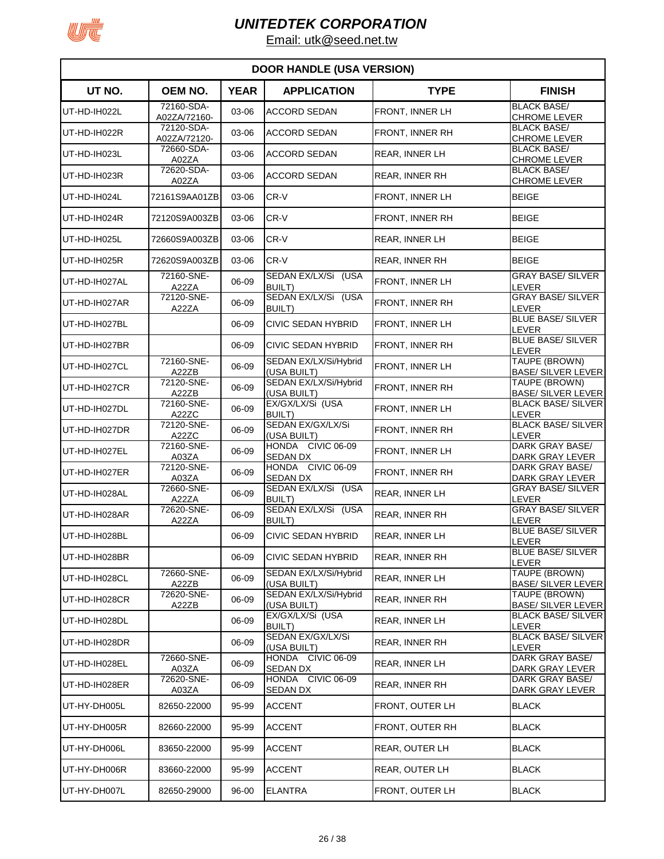

| <b>DOOR HANDLE (USA VERSION)</b> |                              |             |                                                         |                 |                                                        |  |
|----------------------------------|------------------------------|-------------|---------------------------------------------------------|-----------------|--------------------------------------------------------|--|
| UT NO.                           | <b>OEM NO.</b>               | <b>YEAR</b> | <b>APPLICATION</b>                                      | <b>TYPE</b>     | <b>FINISH</b>                                          |  |
| UT-HD-IH022L                     | 72160-SDA-<br>A02ZA/72160-   | 03-06       | <b>ACCORD SEDAN</b>                                     | FRONT, INNER LH | <b>BLACK BASE/</b><br><b>CHROME LEVER</b>              |  |
| UT-HD-IH022R                     | 72120-SDA-<br>A02ZA/72120-   | 03-06       | <b>ACCORD SEDAN</b>                                     | FRONT, INNER RH | <b>BLACK BASE/</b><br><b>CHROME LEVER</b>              |  |
| UT-HD-IH023L                     | 72660-SDA-<br>A02ZA          | 03-06       | <b>ACCORD SEDAN</b>                                     | REAR, INNER LH  | <b>BLACK BASE/</b><br><b>CHROME LEVER</b>              |  |
| UT-HD-IH023R                     | 72620-SDA-<br>A02ZA          | 03-06       | <b>ACCORD SEDAN</b>                                     | REAR, INNER RH  | <b>BLACK BASE/</b><br><b>CHROME LEVER</b>              |  |
| UT-HD-IH024L                     | 72161S9AA01ZB                | 03-06       | CR-V                                                    | FRONT, INNER LH | <b>BEIGE</b>                                           |  |
| UT-HD-IH024R                     | 72120S9A003ZB                | 03-06       | CR-V                                                    | FRONT, INNER RH | <b>BEIGE</b>                                           |  |
| UT-HD-IH025L                     | 72660S9A003ZB                | 03-06       | CR-V                                                    | REAR, INNER LH  | <b>BEIGE</b>                                           |  |
| UT-HD-IH025R                     | 72620S9A003ZB                | 03-06       | CR-V                                                    | REAR, INNER RH  | <b>BEIGE</b>                                           |  |
| UT-HD-IH027AL                    | 72160-SNE-<br>A22ZA          | 06-09       | SEDAN EX/LX/Si (USA<br><b>BUILT)</b>                    | FRONT, INNER LH | <b>GRAY BASE/ SILVER</b><br>LEVER                      |  |
| UT-HD-IH027AR                    | 72120-SNE-<br>A22ZA          | 06-09       | SEDAN EX/LX/Si (USA<br><b>BUILT)</b>                    | FRONT, INNER RH | <b>GRAY BASE/ SILVER</b><br>LEVER                      |  |
| UT-HD-IH027BL                    |                              | 06-09       | <b>CIVIC SEDAN HYBRID</b>                               | FRONT, INNER LH | <b>BLUE BASE/ SILVER</b><br><b>LEVER</b>               |  |
| UT-HD-IH027BR                    |                              | 06-09       | <b>CIVIC SEDAN HYBRID</b>                               | FRONT, INNER RH | <b>BLUE BASE/ SILVER</b><br><b>LEVER</b>               |  |
| UT-HD-IH027CL                    | 72160-SNE-<br>A22ZB          | 06-09       | SEDAN EX/LX/Si/Hybrid<br>(USA BUILT)                    | FRONT, INNER LH | TAUPE (BROWN)<br><b>BASE/ SILVER LEVER</b>             |  |
| UT-HD-IH027CR                    | 72120-SNE-<br>A22ZB          | 06-09       | SEDAN EX/LX/Si/Hybrid<br>(USA BUILT)                    | FRONT, INNER RH | TAUPE (BROWN)<br><b>BASE/ SILVER LEVER</b>             |  |
| UT-HD-IH027DL                    | 72160-SNE-<br>A22ZC          | 06-09       | EX/GX/LX/Si (USA<br><b>BUILT)</b>                       | FRONT, INNER LH | <b>BLACK BASE/ SILVER</b><br><b>LEVER</b>              |  |
| UT-HD-IH027DR                    | 72120-SNE-<br>A22ZC          | 06-09       | SEDAN EX/GX/LX/Si                                       | FRONT, INNER RH | <b>BLACK BASE/ SILVER</b><br>LEVER                     |  |
| UT-HD-IH027EL                    | $\overline{72160}$ -SNE-     | 06-09       | (USA BUILT)<br>HONDA CIVIC 06-09                        | FRONT, INNER LH | <b>DARK GRAY BASE/</b>                                 |  |
| UT-HD-IH027ER                    | A03ZA<br>72120-SNE-<br>A03ZA | 06-09       | <b>SEDAN DX</b><br>HONDA CIVIC 06-09<br><b>SEDAN DX</b> | FRONT, INNER RH | DARK GRAY LEVER<br>DARK GRAY BASE/                     |  |
| UT-HD-IH028AL                    | 72660-SNE-                   | 06-09       | SEDAN EX/LX/Si (USA<br><b>BUILT)</b>                    | REAR, INNER LH  | DARK GRAY LEVER<br><b>GRAY BASE/ SILVER</b><br>LEVER   |  |
| UT-HD-IH028AR                    | A22ZA<br>72620-SNE-<br>A22ZA | 06-09       | SEDAN EX/LX/Si (USA                                     | REAR, INNER RH  | <b>GRAY BASE/ SILVER</b><br>LEVER                      |  |
| UT-HD-IH028BL                    |                              | 06-09       | <b>BUILT)</b><br><b>CIVIC SEDAN HYBRID</b>              | REAR, INNER LH  | <b>BLUE BASE/ SILVER</b><br>LEVER                      |  |
| UT-HD-IH028BR                    |                              | 06-09       | <b>CIVIC SEDAN HYBRID</b>                               | REAR, INNER RH  | <b>BLUE BASE/ SILVER</b>                               |  |
| UT-HD-IH028CL                    | 72660-SNE-                   | 06-09       | SEDAN EX/LX/Si/Hybrid                                   | REAR, INNER LH  | <b>LEVER</b><br>TAUPE (BROWN)                          |  |
| UT-HD-IH028CR                    | A22ZB<br>72620-SNE-          | 06-09       | (USA BUILT)<br>SEDAN EX/LX/Si/Hybrid                    | REAR, INNER RH  | <b>BASE/ SILVER LEVER</b><br>TAUPE (BROWN)             |  |
| UT-HD-IH028DL                    | A22ZB                        | 06-09       | (USA BUILT)<br>EX/GX/LX/Si (USA                         | REAR, INNER LH  | <b>BASE/ SILVER LEVER</b><br><b>BLACK BASE/ SILVER</b> |  |
| UT-HD-IH028DR                    |                              | 06-09       | BUILT)<br>SEDAN EX/GX/LX/Si                             | REAR, INNER RH  | LEVER<br><b>BLACK BASE/ SILVER</b>                     |  |
| UT-HD-IH028EL                    | 72660-SNE-                   | 06-09       | (USA BUILT)<br>HONDA CIVIC 06-09                        | REAR, INNER LH  | <b>LEVER</b><br>DARK GRAY BASE/                        |  |
| UT-HD-IH028ER                    | A03ZA<br>72620-SNE-          | 06-09       | SEDAN DX<br>HONDA CIVIC 06-09                           | REAR, INNER RH  | DARK GRAY LEVER<br>DARK GRAY BASE/                     |  |
| UT-HY-DH005L                     | A03ZA<br>82650-22000         | 95-99       | <b>SEDAN DX</b><br><b>ACCENT</b>                        | FRONT, OUTER LH | DARK GRAY LEVER<br><b>BLACK</b>                        |  |
| UT-HY-DH005R                     | 82660-22000                  | 95-99       | <b>ACCENT</b>                                           | FRONT, OUTER RH | <b>BLACK</b>                                           |  |
| UT-HY-DH006L                     | 83650-22000                  | 95-99       | <b>ACCENT</b>                                           | REAR, OUTER LH  | <b>BLACK</b>                                           |  |
| UT-HY-DH006R                     | 83660-22000                  | 95-99       | <b>ACCENT</b>                                           | REAR, OUTER LH  | <b>BLACK</b>                                           |  |
| UT-HY-DH007L                     | 82650-29000                  | 96-00       | <b>ELANTRA</b>                                          | FRONT, OUTER LH | <b>BLACK</b>                                           |  |
|                                  |                              |             |                                                         |                 |                                                        |  |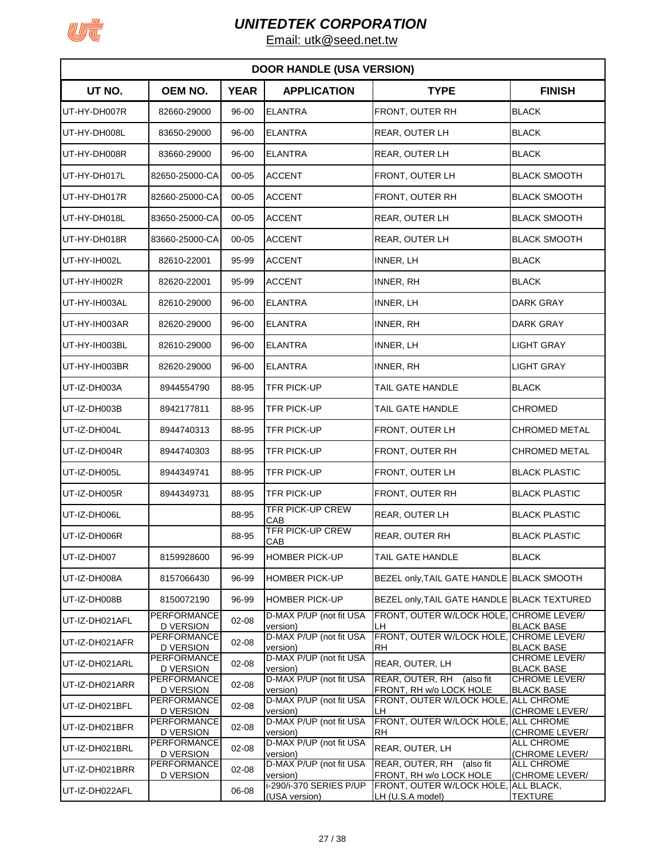

|                | <b>DOOR HANDLE (USA VERSION)</b>       |             |                                          |                                                          |                                     |  |  |  |
|----------------|----------------------------------------|-------------|------------------------------------------|----------------------------------------------------------|-------------------------------------|--|--|--|
| UT NO.         | <b>OEM NO.</b>                         | <b>YEAR</b> | <b>APPLICATION</b>                       | <b>TYPE</b>                                              | <b>FINISH</b>                       |  |  |  |
| UT-HY-DH007R   | 82660-29000                            | 96-00       | <b>ELANTRA</b>                           | FRONT, OUTER RH                                          | <b>BLACK</b>                        |  |  |  |
| UT-HY-DH008L   | 83650-29000                            | 96-00       | <b>ELANTRA</b>                           | <b>REAR, OUTER LH</b>                                    | BLACK                               |  |  |  |
| UT-HY-DH008R   | 83660-29000                            | 96-00       | <b>ELANTRA</b>                           | <b>REAR, OUTER LH</b>                                    | <b>BLACK</b>                        |  |  |  |
| UT-HY-DH017L   | 82650-25000-CA                         | $00 - 05$   | <b>ACCENT</b>                            | FRONT, OUTER LH                                          | <b>BLACK SMOOTH</b>                 |  |  |  |
| UT-HY-DH017R   | 82660-25000-CA                         | $00 - 05$   | <b>ACCENT</b>                            | FRONT, OUTER RH                                          | <b>BLACK SMOOTH</b>                 |  |  |  |
| UT-HY-DH018L   | 83650-25000-CA                         | $00 - 05$   | <b>ACCENT</b>                            | REAR, OUTER LH                                           | <b>BLACK SMOOTH</b>                 |  |  |  |
| UT-HY-DH018R   | 83660-25000-CA                         | $00 - 05$   | <b>ACCENT</b>                            | REAR, OUTER LH                                           | <b>BLACK SMOOTH</b>                 |  |  |  |
| UT-HY-IH002L   | 82610-22001                            | 95-99       | <b>ACCENT</b>                            | INNER, LH                                                | <b>BLACK</b>                        |  |  |  |
| UT-HY-IH002R   | 82620-22001                            | 95-99       | <b>ACCENT</b>                            | <b>INNER, RH</b>                                         | <b>BLACK</b>                        |  |  |  |
| UT-HY-IH003AL  | 82610-29000                            | 96-00       | <b>ELANTRA</b>                           | <b>INNER, LH</b>                                         | <b>DARK GRAY</b>                    |  |  |  |
| UT-HY-IH003AR  | 82620-29000                            | 96-00       | <b>ELANTRA</b>                           | <b>INNER, RH</b>                                         | <b>DARK GRAY</b>                    |  |  |  |
| UT-HY-IH003BL  | 82610-29000                            | 96-00       | <b>ELANTRA</b>                           | <b>INNER, LH</b>                                         | <b>LIGHT GRAY</b>                   |  |  |  |
| UT-HY-IH003BR  | 82620-29000                            | 96-00       | <b>ELANTRA</b>                           | <b>INNER, RH</b>                                         | <b>LIGHT GRAY</b>                   |  |  |  |
| UT-IZ-DH003A   | 8944554790                             | 88-95       | TFR PICK-UP                              | TAIL GATE HANDLE                                         | <b>BLACK</b>                        |  |  |  |
| UT-IZ-DH003B   | 8942177811                             | 88-95       | TFR PICK-UP                              | TAIL GATE HANDLE                                         | <b>CHROMED</b>                      |  |  |  |
| UT-IZ-DH004L   | 8944740313                             | 88-95       | <b>TFR PICK-UP</b>                       | FRONT, OUTER LH                                          | CHROMED METAL                       |  |  |  |
| UT-IZ-DH004R   | 8944740303                             | 88-95       | TFR PICK-UP                              | FRONT, OUTER RH                                          | <b>CHROMED METAL</b>                |  |  |  |
| UT-IZ-DH005L   | 8944349741                             | 88-95       | TFR PICK-UP                              | FRONT, OUTER LH                                          | <b>BLACK PLASTIC</b>                |  |  |  |
| UT-IZ-DH005R   | 8944349731                             | 88-95       | TFR PICK-UP                              | FRONT, OUTER RH                                          | <b>BLACK PLASTIC</b>                |  |  |  |
| UT-IZ-DH006L   |                                        | 88-95       | TFR PICK-UP CREW<br>CAB                  | REAR, OUTER LH                                           | <b>BLACK PLASTIC</b>                |  |  |  |
| UT-IZ-DH006R   |                                        | 88-95       | <b>TFR PICK-UP CREW</b><br>CAB           | REAR, OUTER RH                                           | <b>BLACK PLASTIC</b>                |  |  |  |
| UT-IZ-DH007    | 8159928600                             | 96-99       | <b>HOMBER PICK-UP</b>                    | TAIL GATE HANDLE                                         | <b>BLACK</b>                        |  |  |  |
| UT-IZ-DH008A   | 8157066430                             | 96-99       | <b>HOMBER PICK-UP</b>                    | BEZEL only, TAIL GATE HANDLE BLACK SMOOTH                |                                     |  |  |  |
| UT-IZ-DH008B   | 8150072190                             | 96-99       | <b>HOMBER PICK-UP</b>                    | BEZEL only, TAIL GATE HANDLE BLACK TEXTURED              |                                     |  |  |  |
| UT-IZ-DH021AFL | <b>PERFORMANCE</b><br>D VERSION        | $02 - 08$   | D-MAX P/UP (not fit USA<br>version)      | FRONT, OUTER W/LOCK HOLE, CHROME LEVER/<br>LH            | <b>BLACK BASE</b>                   |  |  |  |
| UT-IZ-DH021AFR | <b>PERFORMANCE</b><br>D VERSION        | $02 - 08$   | D-MAX P/UP (not fit USA<br>version)      | FRONT, OUTER W/LOCK HOLE,<br>RH                          | CHROME LEVER/<br><b>BLACK BASE</b>  |  |  |  |
| UT-IZ-DH021ARL | <b>PERFORMANCE</b><br><b>D VERSION</b> | $02 - 08$   | D-MAX P/UP (not fit USA<br>version)      | REAR, OUTER, LH                                          | CHROME LEVER/<br><b>BLACK BASE</b>  |  |  |  |
| UT-IZ-DH021ARR | PERFORMANCE<br><b>D VERSION</b>        | $02 - 08$   | D-MAX P/UP (not fit USA<br>version)      | REAR, OUTER, RH<br>(also fit<br>FRONT, RH w/o LOCK HOLE  | CHROME LEVER/<br><b>BLACK BASE</b>  |  |  |  |
| UT-IZ-DH021BFL | <b>PERFORMANCE</b><br>D VERSION        | $02 - 08$   | D-MAX P/UP (not fit USA<br>version)      | FRONT, OUTER W/LOCK HOLE<br>LH                           | <b>ALL CHROME</b><br>(CHROME LEVER/ |  |  |  |
| UT-IZ-DH021BFR | <b>PERFORMANCE</b><br><b>D VERSION</b> | $02 - 08$   | D-MAX P/UP (not fit USA<br>version)      | FRONT, OUTER W/LOCK HOLE, ALL CHROME<br><b>RH</b>        | (CHROME LEVER/                      |  |  |  |
| UT-IZ-DH021BRL | <b>PERFORMANCE</b><br><b>D VERSION</b> | 02-08       | D-MAX P/UP (not fit USA<br>version)      | REAR, OUTER, LH                                          | ALL CHROME<br>(CHROME LEVER/        |  |  |  |
| UT-IZ-DH021BRR | PERFORMANCE<br>D VERSION               | $02 - 08$   | D-MAX P/UP (not fit USA<br>version)      | REAR, OUTER, RH (also fit<br>FRONT, RH w/o LOCK HOLE     | ALL CHROME<br>(CHROME LEVER/        |  |  |  |
| UT-IZ-DH022AFL |                                        | 06-08       | i-290/i-370 SERIES P/UP<br>(USA version) | FRONT, OUTER W/LOCK HOLE, ALL BLACK,<br>LH (U.S.A model) | <b>TEXTURE</b>                      |  |  |  |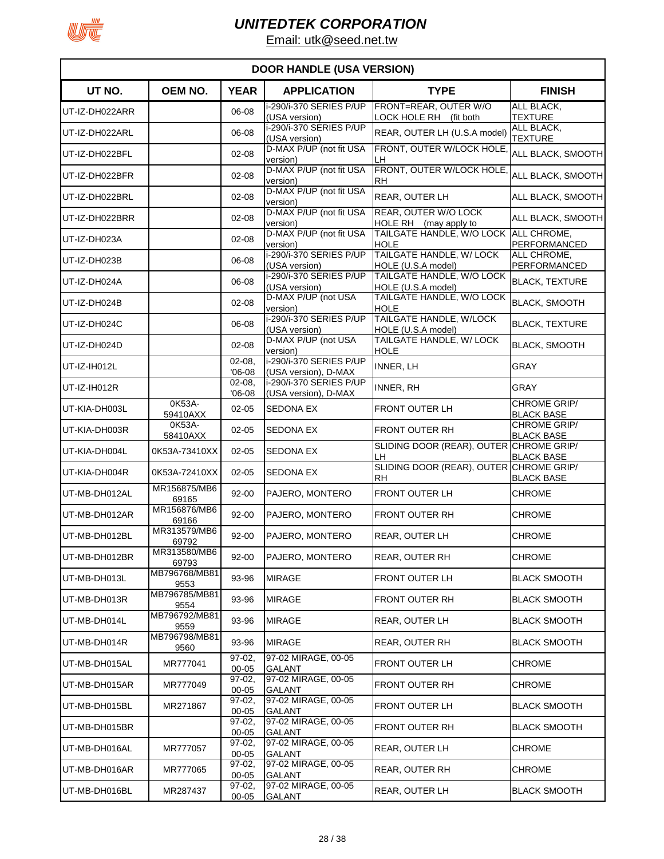

|                | <b>DOOR HANDLE (USA VERSION)</b> |                       |                                                      |                                                      |                                          |  |  |
|----------------|----------------------------------|-----------------------|------------------------------------------------------|------------------------------------------------------|------------------------------------------|--|--|
| UT NO.         | <b>OEM NO.</b>                   | <b>YEAR</b>           | <b>APPLICATION</b>                                   | <b>TYPE</b>                                          | <b>FINISH</b>                            |  |  |
| UT-IZ-DH022ARR |                                  | 06-08                 | i-290/i-370 SERIES P/UP<br>(USA version)             | FRONT=REAR, OUTER W/O<br>LOCK HOLE RH (fit both      | ALL BLACK,<br><b>TEXTURE</b>             |  |  |
| UT-IZ-DH022ARL |                                  | 06-08                 | i-290/i-370 SERIES P/UP<br>(USA version)             | REAR, OUTER LH (U.S.A model)                         | ALL BLACK,<br><b>TEXTURE</b>             |  |  |
| UT-IZ-DH022BFL |                                  | $02 - 08$             | D-MAX P/UP (not fit USA<br>version)                  | FRONT, OUTER W/LOCK HOLE<br>LH                       | ALL BLACK, SMOOTH                        |  |  |
| UT-IZ-DH022BFR |                                  | $02 - 08$             | D-MAX P/UP (not fit USA                              | FRONT, OUTER W/LOCK HOLE<br><b>RH</b>                | ALL BLACK, SMOOTH                        |  |  |
| UT-IZ-DH022BRL |                                  | $02 - 08$             | version)<br>D-MAX P/UP (not fit USA                  | REAR, OUTER LH                                       | ALL BLACK, SMOOTH                        |  |  |
| UT-IZ-DH022BRR |                                  | $02 - 08$             | version)<br>D-MAX P/UP (not fit USA                  | REAR, OUTER W/O LOCK                                 | ALL BLACK, SMOOTH                        |  |  |
| UT-IZ-DH023A   |                                  | $02 - 08$             | version)<br>D-MAX P/UP (not fit USA                  | HOLE RH (may apply to<br>TAILGATE HANDLE, W/O LOCK   | ALL CHROME,                              |  |  |
| UT-IZ-DH023B   |                                  | 06-08                 | version)<br>i-290/i-370 SERIES P/UP<br>(USA version) | <b>HOLE</b><br>TAILGATE HANDLE, W/ LOCK              | <b>PERFORMANCED</b><br>ALL CHROME,       |  |  |
| UT-IZ-DH024A   |                                  | 06-08                 | i-290/i-370 SERIES P/UP                              | HOLE (U.S.A model)<br>TAILGATE HANDLE, W/O LOCK      | PERFORMANCED<br><b>BLACK, TEXTURE</b>    |  |  |
| UT-IZ-DH024B   |                                  | $02 - 08$             | (USA version)<br>D-MAX P/UP (not USA                 | HOLE (U.S.A model)<br>TAILGATE HANDLE, W/O LOCK      | <b>BLACK, SMOOTH</b>                     |  |  |
| UT-IZ-DH024C   |                                  | 06-08                 | version)<br>i-290/i-370 SERIES P/UP                  | <b>HOLE</b><br>TAILGATE HANDLE, W/LOCK               | <b>BLACK, TEXTURE</b>                    |  |  |
| UT-IZ-DH024D   |                                  | $02 - 08$             | (USA version)<br>D-MAX P/UP (not USA                 | HOLE (U.S.A model)<br>TAILGATE HANDLE, W/ LOCK       | <b>BLACK, SMOOTH</b>                     |  |  |
| UT-IZ-IH012L   |                                  | $02 - 08$             | version)<br>i-290/i-370 SERIES P/UP                  | <b>HOLE</b><br>INNER, LH                             | <b>GRAY</b>                              |  |  |
| UT-IZ-IH012R   |                                  | $'06-08$<br>$02 - 08$ | (USA version), D-MAX<br>i-290/i-370 SERIES P/UP      | INNER, RH                                            | <b>GRAY</b>                              |  |  |
| UT-KIA-DH003L  | 0K53A-                           | $'06-08$<br>$02 - 05$ | (USA version), D-MAX<br><b>SEDONA EX</b>             | <b>FRONT OUTER LH</b>                                | <b>CHROME GRIP/</b>                      |  |  |
| UT-KIA-DH003R  | 59410AXX<br>0K53A-               | $02 - 05$             | <b>SEDONA EX</b>                                     | FRONT OUTER RH                                       | <b>BLACK BASE</b><br><b>CHROME GRIP/</b> |  |  |
| UT-KIA-DH004L  | 58410AXX<br>0K53A-73410XX        | $02 - 05$             | <b>SEDONA EX</b>                                     | SLIDING DOOR (REAR), OUTER CHROME GRIP/<br>LH.       | <b>BLACK BASE</b><br><b>BLACK BASE</b>   |  |  |
| UT-KIA-DH004R  | 0K53A-72410XX                    | $02 - 05$             | SEDONA EX                                            | SLIDING DOOR (REAR), OUTER CHROME GRIP/<br><b>RH</b> | <b>BLACK BASE</b>                        |  |  |
| UT-MB-DH012AL  | MR156875/MB6<br>69165            | 92-00                 | PAJERO, MONTERO                                      | <b>FRONT OUTER LH</b>                                | <b>CHROME</b>                            |  |  |
| UT-MB-DH012AR  | MR156876/MB6<br>69166            | $92 - 00$             | PAJERO, MONTERO                                      | FRONT OUTER RH                                       | <b>CHROME</b>                            |  |  |
| UT-MB-DH012BL  | MR313579/MB6<br>69792            | $92 - 00$             | PAJERO, MONTERO                                      | <b>REAR, OUTER LH</b>                                | <b>CHROME</b>                            |  |  |
| UT-MB-DH012BR  | MR313580/MB6<br>69793            | $92 - 00$             | PAJERO, MONTERO                                      | <b>REAR, OUTER RH</b>                                | <b>CHROME</b>                            |  |  |
| UT-MB-DH013L   | MB796768/MB81<br>9553            | 93-96                 | <b>MIRAGE</b>                                        | <b>FRONT OUTER LH</b>                                | <b>BLACK SMOOTH</b>                      |  |  |
| UT-MB-DH013R   | MB796785/MB81<br>9554            | 93-96                 | <b>MIRAGE</b>                                        | <b>FRONT OUTER RH</b>                                | <b>BLACK SMOOTH</b>                      |  |  |
| UT-MB-DH014L   | MB796792/MB81<br>9559            | 93-96                 | <b>MIRAGE</b>                                        | <b>REAR, OUTER LH</b>                                | <b>BLACK SMOOTH</b>                      |  |  |
| UT-MB-DH014R   | MB796798/MB81<br>9560            | 93-96                 | <b>MIRAGE</b>                                        | REAR, OUTER RH                                       | <b>BLACK SMOOTH</b>                      |  |  |
| UT-MB-DH015AL  | MR777041                         | 97-02.<br>00-05       | 97-02 MIRAGE, 00-05<br><b>GALANT</b>                 | <b>FRONT OUTER LH</b>                                | <b>CHROME</b>                            |  |  |
| UT-MB-DH015AR  | MR777049                         | $97-02$<br>00-05      | 97-02 MIRAGE, 00-05<br>GALANT                        | FRONT OUTER RH                                       | <b>CHROME</b>                            |  |  |
| UT-MB-DH015BL  | MR271867                         | $97-02,$<br>00-05     | 97-02 MIRAGE, 00-05<br><b>GALANT</b>                 | FRONT OUTER LH                                       | <b>BLACK SMOOTH</b>                      |  |  |
| UT-MB-DH015BR  |                                  | $97-02,$<br>00-05     | 97-02 MIRAGE, 00-05<br>GALANT                        | FRONT OUTER RH                                       | <b>BLACK SMOOTH</b>                      |  |  |
| UT-MB-DH016AL  | MR777057                         | $97-02,$<br>00-05     | 97-02 MIRAGE, 00-05<br><b>GALANT</b>                 | REAR, OUTER LH                                       | <b>CHROME</b>                            |  |  |
| UT-MB-DH016AR  | MR777065                         | $97-02,$<br>00-05     | 97-02 MIRAGE, 00-05<br><b>GALANT</b>                 | REAR, OUTER RH                                       | <b>CHROME</b>                            |  |  |
| UT-MB-DH016BL  | MR287437                         | $97-02,$<br>$00 - 05$ | 97-02 MIRAGE, 00-05<br><b>GALANT</b>                 | REAR, OUTER LH                                       | <b>BLACK SMOOTH</b>                      |  |  |
|                |                                  |                       |                                                      |                                                      |                                          |  |  |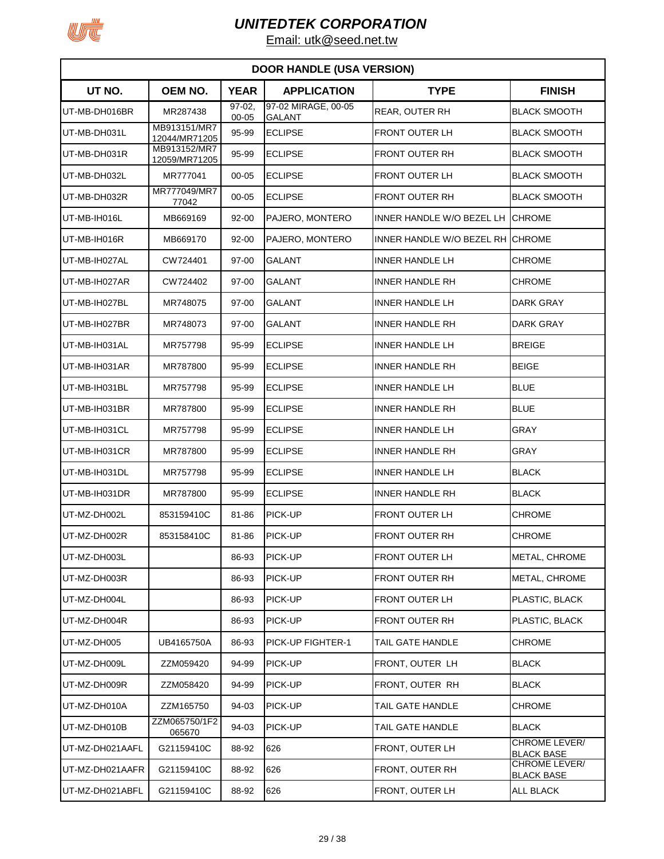

| <b>DOOR HANDLE (USA VERSION)</b> |                               |                  |                                      |                                  |                                           |  |  |
|----------------------------------|-------------------------------|------------------|--------------------------------------|----------------------------------|-------------------------------------------|--|--|
| UT NO.                           | <b>OEM NO.</b>                | <b>YEAR</b>      | <b>APPLICATION</b>                   | <b>TYPE</b>                      | <b>FINISH</b>                             |  |  |
| UT-MB-DH016BR                    | MR287438                      | $97-02$<br>00-05 | 97-02 MIRAGE, 00-05<br><b>GALANT</b> | REAR, OUTER RH                   | <b>BLACK SMOOTH</b>                       |  |  |
| UT-MB-DH031L                     | MB913151/MR7<br>12044/MR71205 | 95-99            | <b>ECLIPSE</b>                       | FRONT OUTER LH                   | <b>BLACK SMOOTH</b>                       |  |  |
| UT-MB-DH031R                     | MB913152/MR7<br>12059/MR71205 | 95-99            | <b>ECLIPSE</b>                       | <b>FRONT OUTER RH</b>            | <b>IBLACK SMOOTH</b>                      |  |  |
| UT-MB-DH032L                     | MR777041                      | $00 - 05$        | <b>ECLIPSE</b>                       | <b>FRONT OUTER LH</b>            | <b>BLACK SMOOTH</b>                       |  |  |
| UT-MB-DH032R                     | MR777049/MR7<br>77042         | $00 - 05$        | <b>ECLIPSE</b>                       | FRONT OUTER RH                   | <b>BLACK SMOOTH</b>                       |  |  |
| UT-MB-IH016L                     | MB669169                      | 92-00            | PAJERO, MONTERO                      | INNER HANDLE W/O BEZEL LH        | <b>ICHROME</b>                            |  |  |
| UT-MB-IH016R                     | MB669170                      | 92-00            | PAJERO, MONTERO                      | INNER HANDLE W/O BEZEL RH CHROME |                                           |  |  |
| UT-MB-IH027AL                    | CW724401                      | 97-00            | <b>GALANT</b>                        | <b>INNER HANDLE LH</b>           | CHROME                                    |  |  |
| UT-MB-IH027AR                    | CW724402                      | 97-00            | <b>GALANT</b>                        | <b>INNER HANDLE RH</b>           | <b>CHROME</b>                             |  |  |
| UT-MB-IH027BL                    | MR748075                      | 97-00            | <b>GALANT</b>                        | <b>INNER HANDLE LH</b>           | <b>DARK GRAY</b>                          |  |  |
| UT-MB-IH027BR                    | MR748073                      | 97-00            | <b>GALANT</b>                        | <b>INNER HANDLE RH</b>           | DARK GRAY                                 |  |  |
| UT-MB-IH031AL                    | MR757798                      | 95-99            | <b>ECLIPSE</b>                       | INNER HANDLE LH                  | <b>BREIGE</b>                             |  |  |
| UT-MB-IH031AR                    | MR787800                      | 95-99            | <b>ECLIPSE</b>                       | <b>INNER HANDLE RH</b>           | <b>BEIGE</b>                              |  |  |
| UT-MB-IH031BL                    | MR757798                      | 95-99            | <b>ECLIPSE</b>                       | INNER HANDLE LH                  | <b>BLUE</b>                               |  |  |
| UT-MB-IH031BR                    | MR787800                      | 95-99            | <b>ECLIPSE</b>                       | <b>INNER HANDLE RH</b>           | <b>BLUE</b>                               |  |  |
| UT-MB-IH031CL                    | MR757798                      | 95-99            | <b>ECLIPSE</b>                       | INNER HANDLE LH                  | GRAY                                      |  |  |
| UT-MB-IH031CR                    | MR787800                      | 95-99            | <b>ECLIPSE</b>                       | INNER HANDLE RH                  | GRAY                                      |  |  |
| UT-MB-IH031DL                    | MR757798                      | 95-99            | <b>ECLIPSE</b>                       | INNER HANDLE LH                  | <b>BLACK</b>                              |  |  |
| UT-MB-IH031DR                    | MR787800                      | 95-99            | <b>ECLIPSE</b>                       | <b>INNER HANDLE RH</b>           | <b>BLACK</b>                              |  |  |
| UT-MZ-DH002L                     | 853159410C                    | 81-86            | PICK-UP                              | <b>FRONT OUTER LH</b>            | <b>CHROME</b>                             |  |  |
| UT-MZ-DH002R                     | 853158410C                    | 81-86            | PICK-UP                              | FRONT OUTER RH                   | <b>CHROME</b>                             |  |  |
| UT-MZ-DH003L                     |                               | 86-93            | PICK-UP                              | FRONT OUTER LH                   | METAL, CHROME                             |  |  |
| UT-MZ-DH003R                     |                               | 86-93            | PICK-UP                              | FRONT OUTER RH                   | METAL, CHROME                             |  |  |
| UT-MZ-DH004L                     |                               | 86-93            | PICK-UP                              | FRONT OUTER LH                   | PLASTIC, BLACK                            |  |  |
| UT-MZ-DH004R                     |                               | 86-93            | PICK-UP                              | FRONT OUTER RH                   | PLASTIC, BLACK                            |  |  |
| UT-MZ-DH005                      | UB4165750A                    | 86-93            | PICK-UP FIGHTER-1                    | TAIL GATE HANDLE                 | <b>CHROME</b>                             |  |  |
| UT-MZ-DH009L                     | ZZM059420                     | 94-99            | PICK-UP                              | FRONT, OUTER LH                  | <b>BLACK</b>                              |  |  |
| UT-MZ-DH009R                     | ZZM058420                     | 94-99            | PICK-UP                              | FRONT, OUTER RH                  | <b>BLACK</b>                              |  |  |
| UT-MZ-DH010A                     | ZZM165750                     | 94-03            | PICK-UP                              | TAIL GATE HANDLE                 | <b>CHROME</b>                             |  |  |
| UT-MZ-DH010B                     | ZZM065750/1F2<br>065670       | 94-03            | PICK-UP                              | TAIL GATE HANDLE                 | <b>BLACK</b>                              |  |  |
| UT-MZ-DH021AAFL                  | G21159410C                    | 88-92            | 626                                  | FRONT, OUTER LH                  | CHROME LEVER/<br><b>BLACK BASE</b>        |  |  |
| UT-MZ-DH021AAFR                  | G21159410C                    | 88-92            | 626                                  | FRONT, OUTER RH                  | <b>CHROME LEVER/</b><br><b>BLACK BASE</b> |  |  |
| UT-MZ-DH021ABFL                  | G21159410C                    | 88-92            | 626                                  | FRONT, OUTER LH                  | <b>ALL BLACK</b>                          |  |  |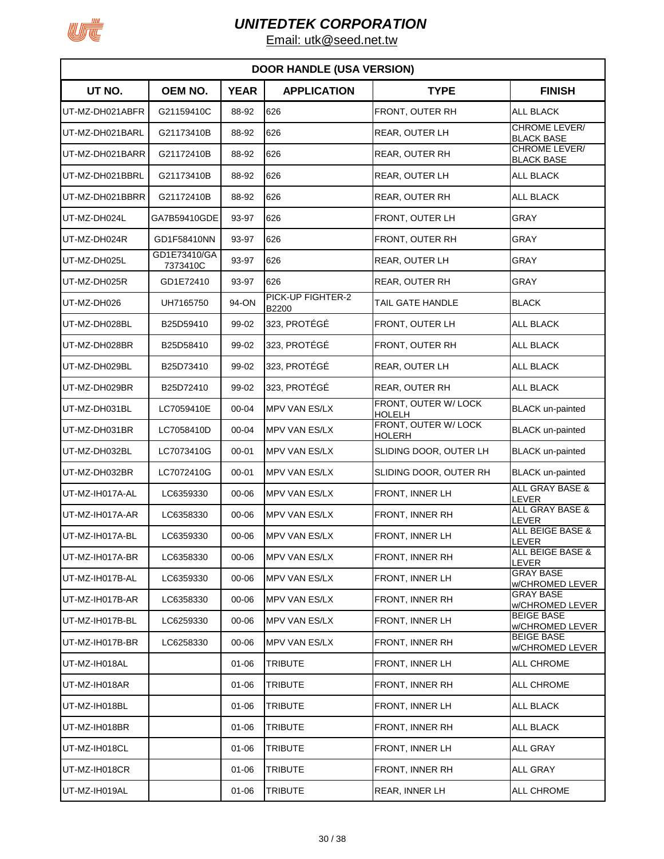

|                 |                          |             | <b>DOOR HANDLE (USA VERSION)</b> |                                       |                                           |
|-----------------|--------------------------|-------------|----------------------------------|---------------------------------------|-------------------------------------------|
| UT NO.          | <b>OEM NO.</b>           | <b>YEAR</b> | <b>APPLICATION</b>               | <b>TYPE</b>                           | <b>FINISH</b>                             |
| UT-MZ-DH021ABFR | G21159410C               | 88-92       | 626                              | FRONT, OUTER RH                       | <b>ALL BLACK</b>                          |
| UT-MZ-DH021BARL | G21173410B               | 88-92       | 626                              | REAR, OUTER LH                        | <b>CHROME LEVER/</b><br><b>BLACK BASE</b> |
| UT-MZ-DH021BARR | G21172410B               | 88-92       | 626                              | <b>REAR, OUTER RH</b>                 | <b>CHROME LEVER/</b><br><b>BLACK BASE</b> |
| UT-MZ-DH021BBRL | G21173410B               | 88-92       | 626                              | REAR, OUTER LH                        | <b>ALL BLACK</b>                          |
| UT-MZ-DH021BBRR | G21172410B               | 88-92       | 626                              | REAR, OUTER RH                        | ALL BLACK                                 |
| UT-MZ-DH024L    | GA7B59410GDE             | 93-97       | 626                              | FRONT, OUTER LH                       | <b>GRAY</b>                               |
| UT-MZ-DH024R    | GD1F58410NN              | 93-97       | 626                              | FRONT, OUTER RH                       | <b>GRAY</b>                               |
| UT-MZ-DH025L    | GD1E73410/GA<br>7373410C | 93-97       | 626                              | REAR, OUTER LH                        | <b>GRAY</b>                               |
| UT-MZ-DH025R    | GD1E72410                | 93-97       | 626                              | REAR, OUTER RH                        | <b>GRAY</b>                               |
| UT-MZ-DH026     | UH7165750                | 94-ON       | PICK-UP FIGHTER-2<br>B2200       | TAIL GATE HANDLE                      | <b>BLACK</b>                              |
| UT-MZ-DH028BL   | B25D59410                | 99-02       | 323, PROTÉGÉ                     | FRONT, OUTER LH                       | <b>ALL BLACK</b>                          |
| UT-MZ-DH028BR   | B25D58410                | 99-02       | 323, PROTÉGÉ                     | FRONT, OUTER RH                       | <b>ALL BLACK</b>                          |
| UT-MZ-DH029BL   | B25D73410                | 99-02       | 323, PROTÉGÉ                     | REAR, OUTER LH                        | ALL BLACK                                 |
| UT-MZ-DH029BR   | B25D72410                | 99-02       | 323, PROTÉGÉ                     | <b>REAR, OUTER RH</b>                 | <b>ALL BLACK</b>                          |
| UT-MZ-DH031BL   | LC7059410E               | $00 - 04$   | <b>MPV VAN ES/LX</b>             | FRONT, OUTER W/ LOCK<br><b>HOLELH</b> | <b>BLACK</b> un-painted                   |
| UT-MZ-DH031BR   | LC7058410D               | 00-04       | MPV VAN ES/LX                    | FRONT, OUTER W/ LOCK<br>HOLERH        | <b>BLACK</b> un-painted                   |
| UT-MZ-DH032BL   | LC7073410G               | $00 - 01$   | <b>MPV VAN ES/LX</b>             | SLIDING DOOR, OUTER LH                | <b>BLACK</b> un-painted                   |
| UT-MZ-DH032BR   | LC7072410G               | $00 - 01$   | <b>MPV VAN ES/LX</b>             | SLIDING DOOR, OUTER RH                | <b>BLACK</b> un-painted                   |
| UT-MZ-IH017A-AL | LC6359330                | 00-06       | <b>MPV VAN ES/LX</b>             | <b>FRONT, INNER LH</b>                | ALL GRAY BASE &<br>LEVER                  |
| UT-MZ-IH017A-AR | LC6358330                | 00-06       | MPV VAN ES/LX                    | FRONT, INNER RH                       | ALL GRAY BASE &<br>LEVER                  |
| UT-MZ-IH017A-BL | LC6359330                | 00-06       | <b>MPV VAN ES/LX</b>             | FRONT, INNER LH                       | ALL BEIGE BASE &<br><b>LEVER</b>          |
| UT-MZ-IH017A-BR | LC6358330                | 00-06       | MPV VAN ES/LX                    | FRONT, INNER RH                       | ALL BEIGE BASE &<br>LEVER                 |
| UT-MZ-IH017B-AL | LC6359330                | 00-06       | MPV VAN ES/LX                    | <b>FRONT, INNER LH</b>                | <b>GRAY BASE</b><br>w/CHROMED LEVER       |
| UT-MZ-IH017B-AR | LC6358330                | 00-06       | MPV VAN ES/LX                    | FRONT, INNER RH                       | <b>GRAY BASE</b><br>w/CHROMED LEVER       |
| UT-MZ-IH017B-BL | LC6259330                | 00-06       | MPV VAN ES/LX                    | FRONT, INNER LH                       | <b>BEIGE BASE</b><br>w/CHROMED LEVER      |
| UT-MZ-IH017B-BR | LC6258330                | 00-06       | <b>MPV VAN ES/LX</b>             | FRONT, INNER RH                       | <b>BEIGE BASE</b><br>w/CHROMED LEVER      |
| UT-MZ-IH018AL   |                          | $01 - 06$   | TRIBUTE                          | FRONT, INNER LH                       | ALL CHROME                                |
| UT-MZ-IH018AR   |                          | $01 - 06$   | <b>TRIBUTE</b>                   | FRONT, INNER RH                       | <b>ALL CHROME</b>                         |
| UT-MZ-IH018BL   |                          | $01 - 06$   | TRIBUTE                          | FRONT, INNER LH                       | ALL BLACK                                 |
| UT-MZ-IH018BR   |                          | $01 - 06$   | TRIBUTE                          | FRONT, INNER RH                       | <b>ALL BLACK</b>                          |
| UT-MZ-IH018CL   |                          | 01-06       | <b>TRIBUTE</b>                   | FRONT, INNER LH                       | <b>ALL GRAY</b>                           |
| UT-MZ-IH018CR   |                          | $01 - 06$   | <b>TRIBUTE</b>                   | FRONT, INNER RH                       | <b>ALL GRAY</b>                           |
| UT-MZ-IH019AL   |                          | $01 - 06$   | TRIBUTE                          | REAR, INNER LH                        | <b>ALL CHROME</b>                         |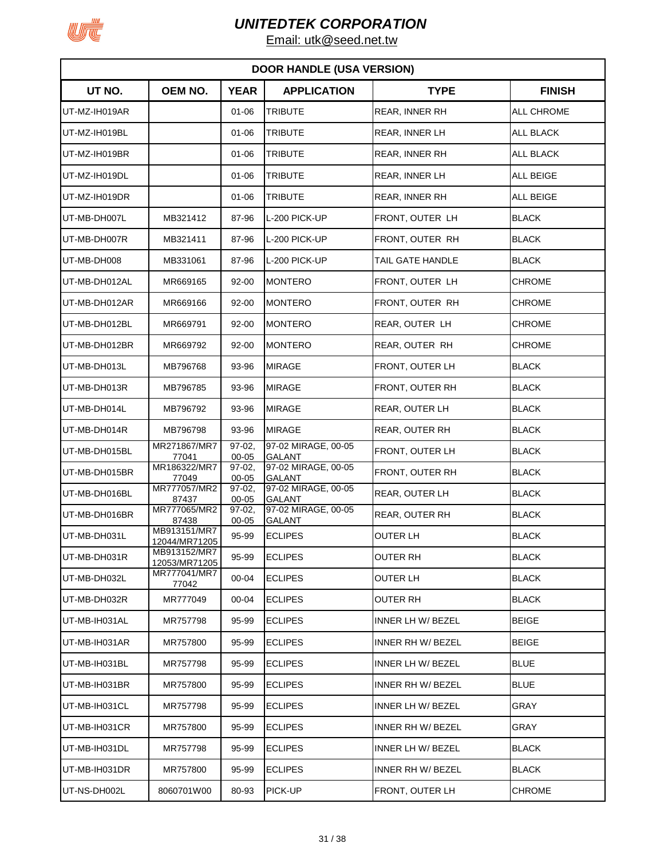

|               | <b>DOOR HANDLE (USA VERSION)</b> |                       |                                      |                       |                  |  |  |  |
|---------------|----------------------------------|-----------------------|--------------------------------------|-----------------------|------------------|--|--|--|
| UT NO.        | OEM NO.                          | <b>YEAR</b>           | <b>APPLICATION</b>                   | <b>TYPE</b>           | <b>FINISH</b>    |  |  |  |
| UT-MZ-IH019AR |                                  | $01 - 06$             | <b>TRIBUTE</b>                       | <b>REAR, INNER RH</b> | ALL CHROME       |  |  |  |
| UT-MZ-IH019BL |                                  | $01 - 06$             | <b>TRIBUTE</b>                       | REAR, INNER LH        | <b>ALL BLACK</b> |  |  |  |
| UT-MZ-IH019BR |                                  | $01 - 06$             | <b>TRIBUTE</b>                       | REAR, INNER RH        | <b>ALL BLACK</b> |  |  |  |
| UT-MZ-IH019DL |                                  | $01 - 06$             | <b>TRIBUTE</b>                       | REAR, INNER LH        | ALL BEIGE        |  |  |  |
| UT-MZ-IH019DR |                                  | $01 - 06$             | <b>TRIBUTE</b>                       | REAR, INNER RH        | <b>ALL BEIGE</b> |  |  |  |
| UT-MB-DH007L  | MB321412                         | 87-96                 | L-200 PICK-UP                        | FRONT, OUTER LH       | <b>BLACK</b>     |  |  |  |
| UT-MB-DH007R  | MB321411                         | 87-96                 | L-200 PICK-UP                        | FRONT, OUTER RH       | <b>BLACK</b>     |  |  |  |
| UT-MB-DH008   | MB331061                         | 87-96                 | L-200 PICK-UP                        | TAIL GATE HANDLE      | <b>BLACK</b>     |  |  |  |
| UT-MB-DH012AL | MR669165                         | $92 - 00$             | <b>MONTERO</b>                       | FRONT, OUTER LH       | <b>CHROME</b>    |  |  |  |
| UT-MB-DH012AR | MR669166                         | 92-00                 | <b>MONTERO</b>                       | FRONT, OUTER RH       | <b>CHROME</b>    |  |  |  |
| UT-MB-DH012BL | MR669791                         | 92-00                 | <b>MONTERO</b>                       | REAR, OUTER LH        | <b>CHROME</b>    |  |  |  |
| UT-MB-DH012BR | MR669792                         | $92 - 00$             | <b>MONTERO</b>                       | REAR, OUTER RH        | <b>CHROME</b>    |  |  |  |
| UT-MB-DH013L  | MB796768                         | 93-96                 | <b>MIRAGE</b>                        | FRONT, OUTER LH       | <b>BLACK</b>     |  |  |  |
| UT-MB-DH013R  | MB796785                         | 93-96                 | <b>MIRAGE</b>                        | FRONT, OUTER RH       | <b>BLACK</b>     |  |  |  |
| UT-MB-DH014L  | MB796792                         | 93-96                 | <b>MIRAGE</b>                        | REAR, OUTER LH        | <b>BLACK</b>     |  |  |  |
| UT-MB-DH014R  | MB796798                         | 93-96                 | <b>MIRAGE</b>                        | REAR, OUTER RH        | <b>BLACK</b>     |  |  |  |
| UT-MB-DH015BL | MR271867/MR7<br>77041            | $97-02$<br>00-05      | 97-02 MIRAGE, 00-05<br><b>GALANT</b> | FRONT, OUTER LH       | <b>BLACK</b>     |  |  |  |
| UT-MB-DH015BR | MR186322/MR7<br>77049            | $97-02$<br>00-05      | 97-02 MIRAGE, 00-05<br><b>GALANT</b> | FRONT, OUTER RH       | <b>BLACK</b>     |  |  |  |
| UT-MB-DH016BL | MR777057/MR2<br>87437            | $97-02,$<br>$00 - 05$ | 97-02 MIRAGE, 00-05<br><b>GALANT</b> | REAR, OUTER LH        | <b>BLACK</b>     |  |  |  |
| UT-MB-DH016BR | MR777065/MR2<br>87438            | $97-02,$<br>00-05     | 97-02 MIRAGE, 00-05<br><b>GALANT</b> | REAR, OUTER RH        | <b>BLACK</b>     |  |  |  |
| UT-MB-DH031L  | MB913151/MR7<br>12044/MR71205    | 95-99                 | <b>ECLIPES</b>                       | OUTER LH              | <b>BLACK</b>     |  |  |  |
| UT-MB-DH031R  | MB913152/MR7<br>12053/MR71205    | 95-99                 | <b>ECLIPES</b>                       | <b>OUTER RH</b>       | <b>BLACK</b>     |  |  |  |
| UT-MB-DH032L  | MR777041/MR7<br>77042            | 00-04                 | <b>ECLIPES</b>                       | <b>OUTER LH</b>       | <b>BLACK</b>     |  |  |  |
| UT-MB-DH032R  | MR777049                         | 00-04                 | <b>ECLIPES</b>                       | OUTER RH              | <b>BLACK</b>     |  |  |  |
| UT-MB-IH031AL | MR757798                         | 95-99                 | <b>ECLIPES</b>                       | INNER LH W/ BEZEL     | <b>BEIGE</b>     |  |  |  |
| UT-MB-IH031AR | MR757800                         | 95-99                 | <b>ECLIPES</b>                       | INNER RH W/ BEZEL     | <b>BEIGE</b>     |  |  |  |
| UT-MB-IH031BL | MR757798                         | 95-99                 | <b>ECLIPES</b>                       | INNER LH W/ BEZEL     | <b>BLUE</b>      |  |  |  |
| UT-MB-IH031BR | MR757800                         | 95-99                 | <b>ECLIPES</b>                       | INNER RH W/ BEZEL     | <b>BLUE</b>      |  |  |  |
| UT-MB-IH031CL | MR757798                         | 95-99                 | <b>ECLIPES</b>                       | INNER LH W/ BEZEL     | GRAY             |  |  |  |
| UT-MB-IH031CR | MR757800                         | 95-99                 | <b>ECLIPES</b>                       | INNER RH W/ BEZEL     | GRAY             |  |  |  |
| UT-MB-IH031DL | MR757798                         | 95-99                 | <b>ECLIPES</b>                       | INNER LH W/ BEZEL     | <b>BLACK</b>     |  |  |  |
| UT-MB-IH031DR | MR757800                         | 95-99                 | <b>ECLIPES</b>                       | INNER RH W/ BEZEL     | <b>BLACK</b>     |  |  |  |
| UT-NS-DH002L  | 8060701W00                       | 80-93                 | PICK-UP                              | FRONT, OUTER LH       | <b>CHROME</b>    |  |  |  |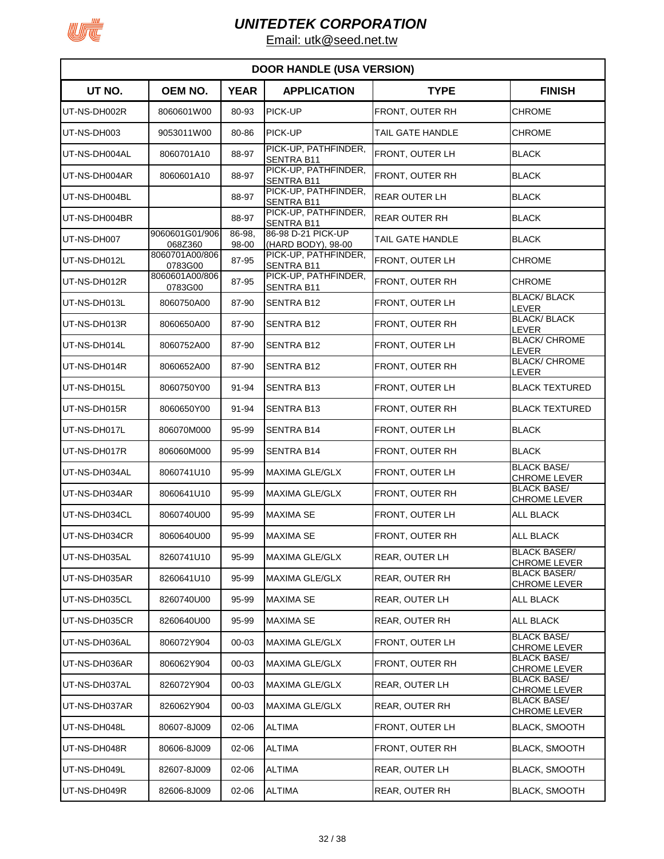

|               | <b>DOOR HANDLE (USA VERSION)</b> |                 |                                           |                       |                                            |  |  |  |  |
|---------------|----------------------------------|-----------------|-------------------------------------------|-----------------------|--------------------------------------------|--|--|--|--|
| UT NO.        | OEM NO.                          | <b>YEAR</b>     | <b>APPLICATION</b>                        | <b>TYPE</b>           | <b>FINISH</b>                              |  |  |  |  |
| UT-NS-DH002R  | 8060601W00                       | 80-93           | PICK-UP                                   | FRONT, OUTER RH       | CHROME                                     |  |  |  |  |
| UT-NS-DH003   | 9053011W00                       | 80-86           | PICK-UP                                   | TAIL GATE HANDLE      | <b>CHROME</b>                              |  |  |  |  |
| UT-NS-DH004AL | 8060701A10                       | 88-97           | PICK-UP, PATHFINDER,<br><b>SENTRA B11</b> | FRONT, OUTER LH       | <b>BLACK</b>                               |  |  |  |  |
| UT-NS-DH004AR | 8060601A10                       | 88-97           | PICK-UP, PATHFINDER,<br>SENTRA B11        | FRONT, OUTER RH       | <b>BLACK</b>                               |  |  |  |  |
| UT-NS-DH004BL |                                  | 88-97           | PICK-UP, PATHFINDER,<br><b>SENTRA B11</b> | <b>REAR OUTER LH</b>  | <b>BLACK</b>                               |  |  |  |  |
| UT-NS-DH004BR |                                  | 88-97           | PICK-UP, PATHFINDER,<br><b>SENTRA B11</b> | <b>REAR OUTER RH</b>  | <b>BLACK</b>                               |  |  |  |  |
| UT-NS-DH007   | 9060601G01/906<br>068Z360        | 86-98.<br>98-00 | 86-98 D-21 PICK-UP<br>(HARD BODY), 98-00  | TAIL GATE HANDLE      | <b>BLACK</b>                               |  |  |  |  |
| UT-NS-DH012L  | 8060701A00/806<br>0783G00        | 87-95           | PICK-UP, PATHFINDER,<br>SENTRA B11        | FRONT, OUTER LH       | CHROME                                     |  |  |  |  |
| UT-NS-DH012R  | 8060601A00/806<br>0783G00        | 87-95           | PICK-UP, PATHFINDER,<br><b>SENTRA B11</b> | FRONT, OUTER RH       | CHROME                                     |  |  |  |  |
| UT-NS-DH013L  | 8060750A00                       | 87-90           | <b>SENTRA B12</b>                         | FRONT, OUTER LH       | <b>BLACK/ BLACK</b><br>LEVER               |  |  |  |  |
| UT-NS-DH013R  | 8060650A00                       | 87-90           | <b>SENTRA B12</b>                         | FRONT, OUTER RH       | <b>BLACK/BLACK</b><br>LEVER                |  |  |  |  |
| UT-NS-DH014L  | 8060752A00                       | 87-90           | <b>SENTRA B12</b>                         | FRONT, OUTER LH       | <b>BLACK/ CHROME</b><br>LEVER              |  |  |  |  |
| UT-NS-DH014R  | 8060652A00                       | 87-90           | <b>SENTRA B12</b>                         | FRONT, OUTER RH       | <b>BLACK/ CHROME</b><br>LEVER              |  |  |  |  |
| UT-NS-DH015L  | 8060750Y00                       | 91-94           | <b>SENTRA B13</b>                         | FRONT, OUTER LH       | <b>BLACK TEXTURED</b>                      |  |  |  |  |
| UT-NS-DH015R  | 8060650Y00                       | 91-94           | <b>SENTRA B13</b>                         | FRONT, OUTER RH       | <b>BLACK TEXTURED</b>                      |  |  |  |  |
| UT-NS-DH017L  | 806070M000                       | 95-99           | <b>SENTRA B14</b>                         | FRONT, OUTER LH       | <b>BLACK</b>                               |  |  |  |  |
| UT-NS-DH017R  | 806060M000                       | 95-99           | <b>SENTRA B14</b>                         | FRONT, OUTER RH       | <b>BLACK</b>                               |  |  |  |  |
| UT-NS-DH034AL | 8060741U10                       | 95-99           | <b>MAXIMA GLE/GLX</b>                     | FRONT, OUTER LH       | <b>BLACK BASE/</b><br><b>CHROME LEVER</b>  |  |  |  |  |
| UT-NS-DH034AR | 8060641U10                       | 95-99           | <b>MAXIMA GLE/GLX</b>                     | FRONT, OUTER RH       | <b>BLACK BASE/</b><br><b>CHROME LEVER</b>  |  |  |  |  |
| UT-NS-DH034CL | 8060740U00                       | 95-99           | <b>MAXIMA SE</b>                          | FRONT, OUTER LH       | ALL BLACK                                  |  |  |  |  |
| UT-NS-DH034CR | 8060640U00                       | 95-99           | <b>MAXIMA SE</b>                          | FRONT, OUTER RH       | <b>ALL BLACK</b>                           |  |  |  |  |
| UT-NS-DH035AL | 8260741U10                       | 95-99           | MAXIMA GLE/GLX                            | REAR, OUTER LH        | <b>BLACK BASER/</b><br><b>CHROME LEVER</b> |  |  |  |  |
| UT-NS-DH035AR | 8260641U10                       | 95-99           | MAXIMA GLE/GLX                            | REAR, OUTER RH        | <b>BLACK BASER/</b><br><b>CHROME LEVER</b> |  |  |  |  |
| UT-NS-DH035CL | 8260740U00                       | 95-99           | <b>MAXIMA SE</b>                          | REAR, OUTER LH        | ALL BLACK                                  |  |  |  |  |
| UT-NS-DH035CR | 8260640U00                       | 95-99           | MAXIMA SE                                 | REAR, OUTER RH        | <b>ALL BLACK</b>                           |  |  |  |  |
| UT-NS-DH036AL | 806072Y904                       | 00-03           | <b>MAXIMA GLE/GLX</b>                     | FRONT, OUTER LH       | <b>BLACK BASE/</b><br><b>CHROME LEVER</b>  |  |  |  |  |
| UT-NS-DH036AR | 806062Y904                       | 00-03           | MAXIMA GLE/GLX                            | FRONT, OUTER RH       | <b>BLACK BASE/</b><br>CHROME LEVER         |  |  |  |  |
| UT-NS-DH037AL | 826072Y904                       | 00-03           | <b>MAXIMA GLE/GLX</b>                     | REAR, OUTER LH        | <b>BLACK BASE/</b><br>CHROME LEVER         |  |  |  |  |
| UT-NS-DH037AR | 826062Y904                       | 00-03           | <b>MAXIMA GLE/GLX</b>                     | <b>REAR, OUTER RH</b> | <b>BLACK BASE/</b><br><b>CHROME LEVER</b>  |  |  |  |  |
| UT-NS-DH048L  | 80607-8J009                      | 02-06           | <b>ALTIMA</b>                             | FRONT, OUTER LH       | <b>BLACK, SMOOTH</b>                       |  |  |  |  |
| UT-NS-DH048R  | 80606-8J009                      | 02-06           | <b>ALTIMA</b>                             | FRONT, OUTER RH       | <b>BLACK, SMOOTH</b>                       |  |  |  |  |
| UT-NS-DH049L  | 82607-8J009                      | $02 - 06$       | <b>ALTIMA</b>                             | <b>REAR, OUTER LH</b> | <b>BLACK, SMOOTH</b>                       |  |  |  |  |
| UT-NS-DH049R  | 82606-8J009                      | $02 - 06$       | <b>ALTIMA</b>                             | REAR, OUTER RH        | <b>BLACK, SMOOTH</b>                       |  |  |  |  |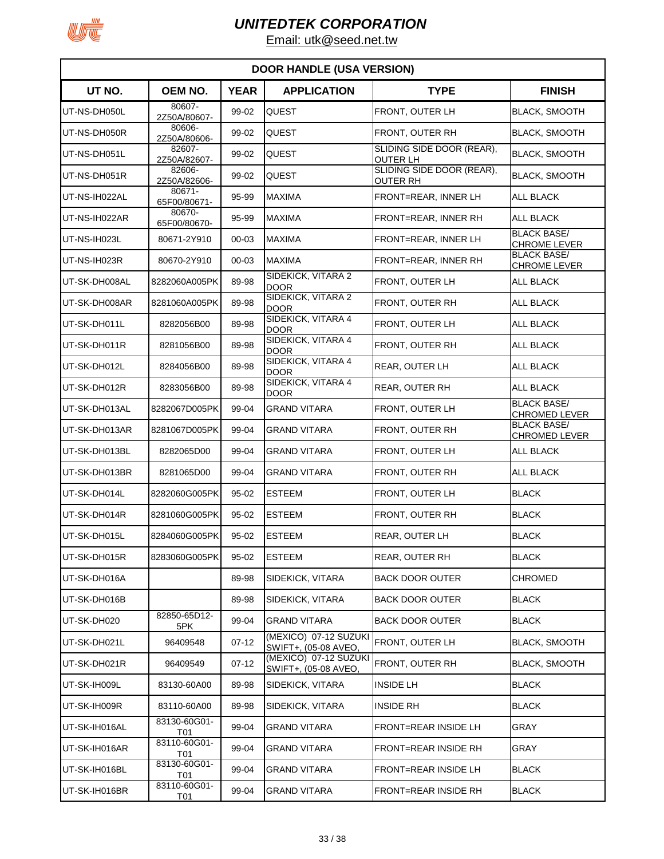

| <b>DOOR HANDLE (USA VERSION)</b> |                            |             |                                               |                                              |                                            |  |  |
|----------------------------------|----------------------------|-------------|-----------------------------------------------|----------------------------------------------|--------------------------------------------|--|--|
| UT NO.                           | OEM NO.                    | <b>YEAR</b> | <b>APPLICATION</b>                            | <b>TYPE</b>                                  | <b>FINISH</b>                              |  |  |
| UT-NS-DH050L                     | 80607-<br>2Z50A/80607-     | 99-02       | <b>QUEST</b>                                  | FRONT, OUTER LH                              | <b>BLACK, SMOOTH</b>                       |  |  |
| UT-NS-DH050R                     | 80606-<br>2Z50A/80606-     | 99-02       | <b>QUEST</b>                                  | FRONT, OUTER RH                              | <b>BLACK, SMOOTH</b>                       |  |  |
| UT-NS-DH051L                     | 82607-<br>2Z50A/82607-     | 99-02       | <b>QUEST</b>                                  | SLIDING SIDE DOOR (REAR),<br><b>OUTER LH</b> | <b>BLACK, SMOOTH</b>                       |  |  |
| UT-NS-DH051R                     | 82606-<br>2Z50A/82606-     | 99-02       | <b>QUEST</b>                                  | SLIDING SIDE DOOR (REAR),<br>OUTER RH        | <b>BLACK, SMOOTH</b>                       |  |  |
| UT-NS-IH022AL                    | 80671-<br>65F00/80671-     | 95-99       | <b>MAXIMA</b>                                 | FRONT=REAR, INNER LH                         | ALL BLACK                                  |  |  |
| UT-NS-IH022AR                    | 80670-<br>65F00/80670-     | 95-99       | <b>MAXIMA</b>                                 | FRONT=REAR, INNER RH                         | ALL BLACK                                  |  |  |
| UT-NS-IH023L                     | 80671-2Y910                | 00-03       | <b>MAXIMA</b>                                 | FRONT=REAR, INNER LH                         | <b>BLACK BASE/</b><br>CHROME LEVER         |  |  |
| UT-NS-IH023R                     | 80670-2Y910                | 00-03       | <b>MAXIMA</b>                                 | FRONT=REAR, INNER RH                         | <b>BLACK BASE/</b><br><b>CHROME LEVER</b>  |  |  |
| UT-SK-DH008AL                    | 8282060A005PK              | 89-98       | SIDEKICK, VITARA 2<br><b>DOOR</b>             | FRONT, OUTER LH                              | <b>ALL BLACK</b>                           |  |  |
| UT-SK-DH008AR                    | 8281060A005PK              | 89-98       | SIDEKICK, VITARA 2<br><b>DOOR</b>             | FRONT, OUTER RH                              | <b>ALL BLACK</b>                           |  |  |
| UT-SK-DH011L                     | 8282056B00                 | 89-98       | SIDEKICK, VITARA 4<br><b>DOOR</b>             | FRONT, OUTER LH                              | <b>ALL BLACK</b>                           |  |  |
| UT-SK-DH011R                     | 8281056B00                 | 89-98       | SIDEKICK, VITARA 4<br>DOOR                    | FRONT. OUTER RH                              | <b>ALL BLACK</b>                           |  |  |
| UT-SK-DH012L                     | 8284056B00                 | 89-98       | SIDEKICK, VITARA 4<br><b>DOOR</b>             | <b>REAR, OUTER LH</b>                        | <b>ALL BLACK</b>                           |  |  |
| UT-SK-DH012R                     | 8283056B00                 | 89-98       | SIDEKICK, VITARA 4<br><b>DOOR</b>             | <b>REAR, OUTER RH</b>                        | <b>ALL BLACK</b>                           |  |  |
| UT-SK-DH013AL                    | 8282067D005PK              | 99-04       | <b>GRAND VITARA</b>                           | FRONT, OUTER LH                              | <b>BLACK BASE/</b><br>CHROMED LEVER        |  |  |
| UT-SK-DH013AR                    | 8281067D005PK              | 99-04       | GRAND VITARA                                  | FRONT, OUTER RH                              | <b>BLACK BASE/</b><br><b>CHROMED LEVER</b> |  |  |
| UT-SK-DH013BL                    | 8282065D00                 | 99-04       | GRAND VITARA                                  | FRONT, OUTER LH                              | <b>ALL BLACK</b>                           |  |  |
| UT-SK-DH013BR                    | 8281065D00                 | 99-04       | <b>GRAND VITARA</b>                           | FRONT, OUTER RH                              | <b>ALL BLACK</b>                           |  |  |
| UT-SK-DH014L                     | 8282060G005PK              | 95-02       | <b>ESTEEM</b>                                 | FRONT, OUTER LH                              | <b>BLACK</b>                               |  |  |
| UT-SK-DH014R                     | 8281060G005PK              | $95 - 02$   | <b>ESTEEM</b>                                 | FRONT, OUTER RH                              | <b>BLACK</b>                               |  |  |
| UT-SK-DH015L                     | 8284060G005PK              | 95-02       | <b>ESTEEM</b>                                 | <b>REAR, OUTER LH</b>                        | <b>BLACK</b>                               |  |  |
| UT-SK-DH015R                     | 8283060G005PK              | 95-02       | <b>ESTEEM</b>                                 | REAR, OUTER RH                               | <b>BLACK</b>                               |  |  |
| UT-SK-DH016A                     |                            | 89-98       | SIDEKICK, VITARA                              | <b>BACK DOOR OUTER</b>                       | CHROMED                                    |  |  |
| UT-SK-DH016B                     |                            | 89-98       | SIDEKICK, VITARA                              | <b>BACK DOOR OUTER</b>                       | <b>BLACK</b>                               |  |  |
| UT-SK-DH020                      | 82850-65D12-<br>5PK        | 99-04       | <b>GRAND VITARA</b>                           | <b>BACK DOOR OUTER</b>                       | <b>BLACK</b>                               |  |  |
| UT-SK-DH021L                     | 96409548                   | $07-12$     | (MEXICO) 07-12 SUZUKI<br>SWIFT+, (05-08 AVEO, | FRONT, OUTER LH                              | <b>BLACK, SMOOTH</b>                       |  |  |
| UT-SK-DH021R                     | 96409549                   | $07-12$     | (MEXICO) 07-12 SUZUKI<br>SWIFT+, (05-08 AVEO, | FRONT, OUTER RH                              | <b>BLACK, SMOOTH</b>                       |  |  |
| UT-SK-IH009L                     | 83130-60A00                | 89-98       | SIDEKICK, VITARA                              | <b>INSIDE LH</b>                             | <b>BLACK</b>                               |  |  |
| UT-SK-IH009R                     | 83110-60A00                | 89-98       | SIDEKICK, VITARA                              | <b>INSIDE RH</b>                             | <b>BLACK</b>                               |  |  |
| UT-SK-IH016AL                    | 83130-60G01-<br>T01        | 99-04       | <b>GRAND VITARA</b>                           | <b>FRONT=REAR INSIDE LH</b>                  | GRAY                                       |  |  |
| UT-SK-IH016AR                    | 83110-60G01-<br>T01        | 99-04       | GRAND VITARA                                  | <b>FRONT=REAR INSIDE RH</b>                  | GRAY                                       |  |  |
| UT-SK-IH016BL                    | 83130-60G01-<br><b>T01</b> | 99-04       | GRAND VITARA                                  | <b>FRONT=REAR INSIDE LH</b>                  | BLACK                                      |  |  |
| UT-SK-IH016BR                    | 83110-60G01-<br>T01        | 99-04       | GRAND VITARA                                  | <b>FRONT=REAR INSIDE RH</b>                  | <b>BLACK</b>                               |  |  |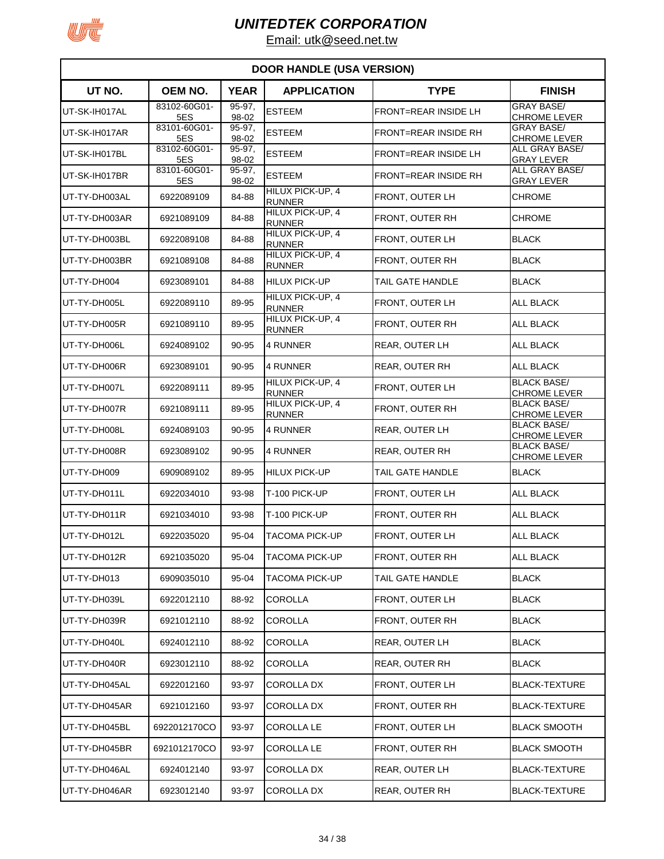

| <b>DOOR HANDLE (USA VERSION)</b> |                     |                     |                                   |                             |                                           |  |  |
|----------------------------------|---------------------|---------------------|-----------------------------------|-----------------------------|-------------------------------------------|--|--|
| UT NO.                           | OEM NO.             | <b>YEAR</b>         | <b>APPLICATION</b>                | <b>TYPE</b>                 | <b>FINISH</b>                             |  |  |
| UT-SK-IH017AL                    | 83102-60G01-<br>5ES | $95 - 97.$<br>98-02 | <b>ESTEEM</b>                     | <b>FRONT=REAR INSIDE LH</b> | <b>GRAY BASE/</b><br><b>CHROME LEVER</b>  |  |  |
| UT-SK-IH017AR                    | 83101-60G01-<br>5ES | 95-97,<br>98-02     | <b>ESTEEM</b>                     | <b>FRONT=REAR INSIDE RH</b> | <b>GRAY BASE/</b><br><b>CHROME LEVER</b>  |  |  |
| UT-SK-IH017BL                    | 83102-60G01-<br>5ES | 95-97.<br>98-02     | <b>ESTEEM</b>                     | <b>FRONT=REAR INSIDE LH</b> | ALL GRAY BASE/<br><b>GRAY LEVER</b>       |  |  |
| UT-SK-IH017BR                    | 83101-60G01-<br>5ES | 95-97,<br>98-02     | <b>ESTEEM</b>                     | <b>FRONT=REAR INSIDE RH</b> | ALL GRAY BASE/<br><b>GRAY LEVER</b>       |  |  |
| UT-TY-DH003AL                    | 6922089109          | 84-88               | HILUX PICK-UP, 4<br><b>RUNNER</b> | FRONT, OUTER LH             | <b>CHROME</b>                             |  |  |
| UT-TY-DH003AR                    | 6921089109          | 84-88               | HILUX PICK-UP, 4<br><b>RUNNER</b> | FRONT, OUTER RH             | <b>CHROME</b>                             |  |  |
| UT-TY-DH003BL                    | 6922089108          | 84-88               | HILUX PICK-UP, 4<br><b>RUNNER</b> | FRONT, OUTER LH             | <b>BLACK</b>                              |  |  |
| UT-TY-DH003BR                    | 6921089108          | 84-88               | HILUX PICK-UP, 4<br><b>RUNNER</b> | FRONT, OUTER RH             | <b>BLACK</b>                              |  |  |
| UT-TY-DH004                      | 6923089101          | 84-88               | <b>HILUX PICK-UP</b>              | TAIL GATE HANDLE            | <b>BLACK</b>                              |  |  |
| UT-TY-DH005L                     | 6922089110          | 89-95               | HILUX PICK-UP, 4<br><b>RUNNER</b> | FRONT, OUTER LH             | <b>ALL BLACK</b>                          |  |  |
| UT-TY-DH005R                     | 6921089110          | 89-95               | HILUX PICK-UP, 4<br><b>RUNNER</b> | FRONT, OUTER RH             | <b>ALL BLACK</b>                          |  |  |
| UT-TY-DH006L                     | 6924089102          | 90-95               | 4 RUNNER                          | REAR, OUTER LH              | <b>ALL BLACK</b>                          |  |  |
| UT-TY-DH006R                     | 6923089101          | 90-95               | 4 RUNNER                          | REAR, OUTER RH              | <b>ALL BLACK</b>                          |  |  |
| UT-TY-DH007L                     | 6922089111          | 89-95               | HILUX PICK-UP, 4<br><b>RUNNER</b> | FRONT, OUTER LH             | <b>BLACK BASE/</b><br><b>CHROME LEVER</b> |  |  |
| UT-TY-DH007R                     | 6921089111          | 89-95               | HILUX PICK-UP, 4<br><b>RUNNER</b> | FRONT, OUTER RH             | <b>BLACK BASE/</b><br><b>CHROME LEVER</b> |  |  |
| UT-TY-DH008L                     | 6924089103          | 90-95               | 4 RUNNER                          | REAR, OUTER LH              | <b>BLACK BASE/</b><br><b>CHROME LEVER</b> |  |  |
| UT-TY-DH008R                     | 6923089102          | 90-95               | 4 RUNNER                          | REAR, OUTER RH              | <b>BLACK BASE/</b><br><b>CHROME LEVER</b> |  |  |
| UT-TY-DH009                      | 6909089102          | 89-95               | <b>HILUX PICK-UP</b>              | TAIL GATE HANDLE            | <b>BLACK</b>                              |  |  |
| UT-TY-DH011L                     | 6922034010          | 93-98               | T-100 PICK-UP                     | <b>FRONT, OUTER LH</b>      | <b>ALL BLACK</b>                          |  |  |
| UT-TY-DH011R                     | 6921034010          | 93-98               | T-100 PICK-UP                     | FRONT, OUTER RH             | <b>ALL BLACK</b>                          |  |  |
| UT-TY-DH012L                     | 6922035020          | 95-04               | TACOMA PICK-UP                    | FRONT, OUTER LH             | <b>ALL BLACK</b>                          |  |  |
| UT-TY-DH012R                     | 6921035020          | 95-04               | TACOMA PICK-UP                    | FRONT, OUTER RH             | <b>ALL BLACK</b>                          |  |  |
| UT-TY-DH013                      | 6909035010          | 95-04               | TACOMA PICK-UP                    | TAIL GATE HANDLE            | <b>BLACK</b>                              |  |  |
| UT-TY-DH039L                     | 6922012110          | 88-92               | COROLLA                           | FRONT, OUTER LH             | <b>BLACK</b>                              |  |  |
| UT-TY-DH039R                     | 6921012110          | 88-92               | COROLLA                           | FRONT, OUTER RH             | <b>BLACK</b>                              |  |  |
| UT-TY-DH040L                     | 6924012110          | 88-92               | COROLLA                           | REAR, OUTER LH              | <b>BLACK</b>                              |  |  |
| UT-TY-DH040R                     | 6923012110          | 88-92               | COROLLA                           | REAR, OUTER RH              | <b>BLACK</b>                              |  |  |
| UT-TY-DH045AL                    | 6922012160          | 93-97               | COROLLA DX                        | FRONT, OUTER LH             | <b>BLACK-TEXTURE</b>                      |  |  |
| UT-TY-DH045AR                    | 6921012160          | 93-97               | COROLLA DX                        | FRONT, OUTER RH             | <b>BLACK-TEXTURE</b>                      |  |  |
| UT-TY-DH045BL                    | 6922012170CO        | 93-97               | COROLLA LE                        | FRONT, OUTER LH             | <b>BLACK SMOOTH</b>                       |  |  |
| UT-TY-DH045BR                    | 6921012170CO        | 93-97               | COROLLA LE                        | FRONT, OUTER RH             | <b>BLACK SMOOTH</b>                       |  |  |
| UT-TY-DH046AL                    | 6924012140          | 93-97               | <b>COROLLA DX</b>                 | REAR, OUTER LH              | <b>BLACK-TEXTURE</b>                      |  |  |
| UT-TY-DH046AR                    | 6923012140          | 93-97               | <b>COROLLA DX</b>                 | REAR, OUTER RH              | <b>BLACK-TEXTURE</b>                      |  |  |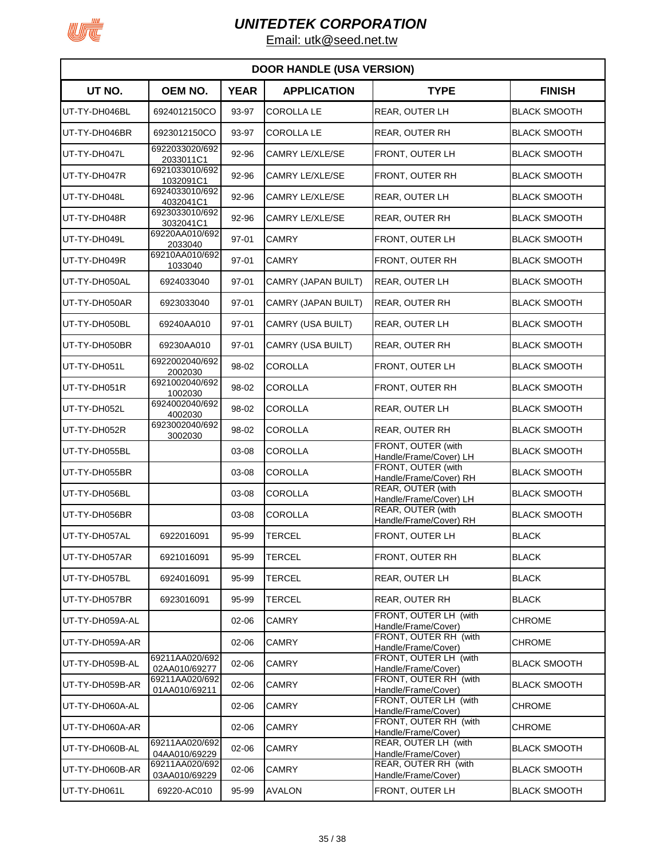

| <b>DOOR HANDLE (USA VERSION)</b> |                                 |             |                          |                                              |                     |  |
|----------------------------------|---------------------------------|-------------|--------------------------|----------------------------------------------|---------------------|--|
| UT NO.                           | OEM NO.                         | <b>YEAR</b> | <b>APPLICATION</b>       | <b>TYPE</b>                                  | <b>FINISH</b>       |  |
| UT-TY-DH046BL                    | 6924012150CO                    | 93-97       | <b>COROLLA LE</b>        | <b>REAR, OUTER LH</b>                        | <b>BLACK SMOOTH</b> |  |
| UT-TY-DH046BR                    | 6923012150CO                    | 93-97       | <b>COROLLA LE</b>        | <b>REAR, OUTER RH</b>                        | <b>BLACK SMOOTH</b> |  |
| UT-TY-DH047L                     | 6922033020/692<br>2033011C1     | 92-96       | <b>CAMRY LE/XLE/SE</b>   | FRONT, OUTER LH                              | <b>BLACK SMOOTH</b> |  |
| UT-TY-DH047R                     | 6921033010/692<br>1032091C1     | 92-96       | CAMRY LE/XLE/SE          | FRONT, OUTER RH                              | <b>BLACK SMOOTH</b> |  |
| UT-TY-DH048L                     | 6924033010/692<br>4032041C1     | 92-96       | CAMRY LE/XLE/SE          | <b>REAR, OUTER LH</b>                        | <b>BLACK SMOOTH</b> |  |
| UT-TY-DH048R                     | 6923033010/692<br>3032041C1     | 92-96       | CAMRY LE/XLE/SE          | <b>REAR, OUTER RH</b>                        | <b>BLACK SMOOTH</b> |  |
| UT-TY-DH049L                     | 69220AA010/692<br>2033040       | 97-01       | <b>CAMRY</b>             | FRONT, OUTER LH                              | <b>BLACK SMOOTH</b> |  |
| UT-TY-DH049R                     | 69210AA010/692<br>1033040       | 97-01       | <b>CAMRY</b>             | FRONT, OUTER RH                              | <b>BLACK SMOOTH</b> |  |
| UT-TY-DH050AL                    | 6924033040                      | 97-01       | CAMRY (JAPAN BUILT)      | REAR, OUTER LH                               | <b>BLACK SMOOTH</b> |  |
| UT-TY-DH050AR                    | 6923033040                      | 97-01       | CAMRY (JAPAN BUILT)      | <b>REAR, OUTER RH</b>                        | <b>BLACK SMOOTH</b> |  |
| UT-TY-DH050BL                    | 69240AA010                      | 97-01       | CAMRY (USA BUILT)        | <b>REAR, OUTER LH</b>                        | <b>BLACK SMOOTH</b> |  |
| UT-TY-DH050BR                    | 69230AA010                      | $97 - 01$   | <b>CAMRY (USA BUILT)</b> | <b>REAR, OUTER RH</b>                        | <b>BLACK SMOOTH</b> |  |
| UT-TY-DH051L                     | 6922002040/692<br>2002030       | 98-02       | <b>COROLLA</b>           | FRONT, OUTER LH                              | <b>BLACK SMOOTH</b> |  |
| UT-TY-DH051R                     | 6921002040/692<br>1002030       | 98-02       | <b>COROLLA</b>           | FRONT, OUTER RH                              | <b>BLACK SMOOTH</b> |  |
| UT-TY-DH052L                     | 6924002040/692<br>4002030       | 98-02       | <b>COROLLA</b>           | REAR, OUTER LH                               | <b>BLACK SMOOTH</b> |  |
| UT-TY-DH052R                     | 6923002040/692<br>3002030       | 98-02       | <b>COROLLA</b>           | <b>REAR, OUTER RH</b>                        | <b>BLACK SMOOTH</b> |  |
| UT-TY-DH055BL                    |                                 | 03-08       | <b>COROLLA</b>           | FRONT, OUTER (with<br>Handle/Frame/Cover) LH | <b>BLACK SMOOTH</b> |  |
| UT-TY-DH055BR                    |                                 | 03-08       | <b>COROLLA</b>           | FRONT, OUTER (with<br>Handle/Frame/Cover) RH | <b>BLACK SMOOTH</b> |  |
| UT-TY-DH056BL                    |                                 | 03-08       | <b>COROLLA</b>           | REAR, OUTER (with<br>Handle/Frame/Cover) LH  | <b>BLACK SMOOTH</b> |  |
| UT-TY-DH056BR                    |                                 | 03-08       | <b>COROLLA</b>           | REAR, OUTER (with<br>Handle/Frame/Cover) RH  | <b>BLACK SMOOTH</b> |  |
| UT-TY-DH057AL                    | 6922016091                      | 95-99       | <b>TERCEL</b>            | FRONT, OUTER LH                              | <b>BLACK</b>        |  |
| UT-TY-DH057AR                    | 6921016091                      | 95-99       | <b>TERCEL</b>            | FRONT, OUTER RH                              | <b>BLACK</b>        |  |
| UT-TY-DH057BL                    | 6924016091                      | 95-99       | <b>TERCEL</b>            | REAR, OUTER LH                               | <b>BLACK</b>        |  |
| UT-TY-DH057BR                    | 6923016091                      | 95-99       | <b>TERCEL</b>            | REAR, OUTER RH                               | <b>BLACK</b>        |  |
| UT-TY-DH059A-AL                  |                                 | $02 - 06$   | <b>CAMRY</b>             | FRONT, OUTER LH (with<br>Handle/Frame/Cover) | <b>CHROME</b>       |  |
| UT-TY-DH059A-AR                  |                                 | $02 - 06$   | <b>CAMRY</b>             | FRONT, OUTER RH (with<br>Handle/Frame/Cover) | <b>CHROME</b>       |  |
| UT-TY-DH059B-AL                  | 69211AA020/692<br>02AA010/69277 | $02 - 06$   | CAMRY                    | FRONT, OUTER LH (with<br>Handle/Frame/Cover) | <b>BLACK SMOOTH</b> |  |
| UT-TY-DH059B-AR                  | 69211AA020/692<br>01AA010/69211 | 02-06       | <b>CAMRY</b>             | FRONT, OUTER RH (with<br>Handle/Frame/Cover) | <b>BLACK SMOOTH</b> |  |
| UT-TY-DH060A-AL                  |                                 | $02 - 06$   | <b>CAMRY</b>             | FRONT, OUTER LH (with<br>Handle/Frame/Cover) | <b>CHROME</b>       |  |
| UT-TY-DH060A-AR                  |                                 | $02 - 06$   | <b>CAMRY</b>             | FRONT, OUTER RH (with<br>Handle/Frame/Cover) | <b>CHROME</b>       |  |
| UT-TY-DH060B-AL                  | 69211AA020/692<br>04AA010/69229 | $02 - 06$   | CAMRY                    | REAR, OUTER LH (with<br>Handle/Frame/Cover)  | <b>BLACK SMOOTH</b> |  |
| UT-TY-DH060B-AR                  | 69211AA020/692<br>03AA010/69229 | $02 - 06$   | <b>CAMRY</b>             | REAR, OUTER RH (with<br>Handle/Frame/Cover)  | <b>BLACK SMOOTH</b> |  |
| UT-TY-DH061L                     | 69220-AC010                     | 95-99       | <b>AVALON</b>            | FRONT, OUTER LH                              | <b>BLACK SMOOTH</b> |  |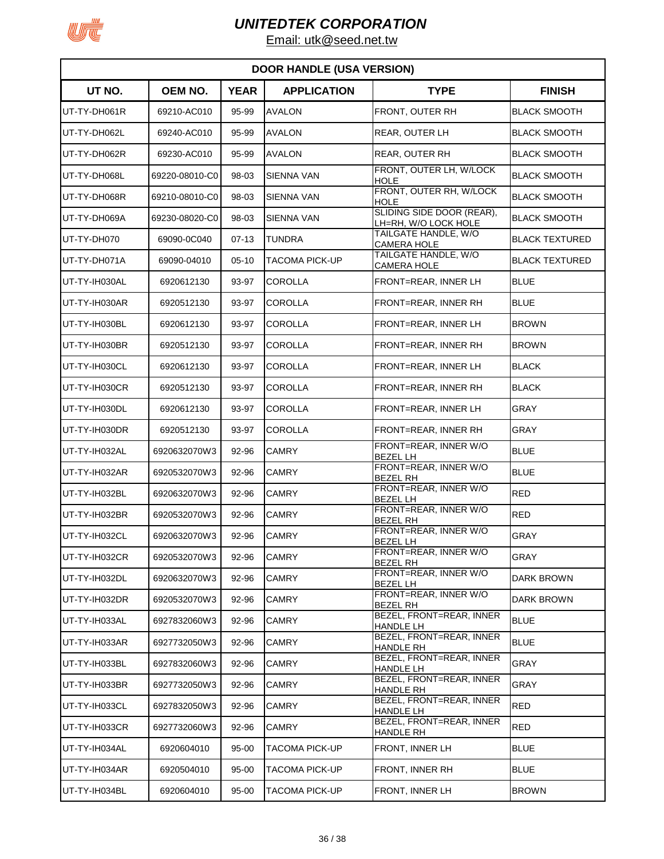

| <b>DOOR HANDLE (USA VERSION)</b> |                |             |                       |                                                   |                       |  |  |
|----------------------------------|----------------|-------------|-----------------------|---------------------------------------------------|-----------------------|--|--|
| UT NO.                           | OEM NO.        | <b>YEAR</b> | <b>APPLICATION</b>    | <b>TYPE</b>                                       | <b>FINISH</b>         |  |  |
| UT-TY-DH061R                     | 69210-AC010    | 95-99       | <b>AVALON</b>         | FRONT, OUTER RH                                   | <b>BLACK SMOOTH</b>   |  |  |
| UT-TY-DH062L                     | 69240-AC010    | 95-99       | <b>AVALON</b>         | <b>REAR, OUTER LH</b>                             | <b>BLACK SMOOTH</b>   |  |  |
| UT-TY-DH062R                     | 69230-AC010    | 95-99       | <b>AVALON</b>         | REAR, OUTER RH                                    | <b>BLACK SMOOTH</b>   |  |  |
| UT-TY-DH068L                     | 69220-08010-C0 | 98-03       | <b>SIENNA VAN</b>     | FRONT, OUTER LH, W/LOCK<br><b>HOLE</b>            | <b>BLACK SMOOTH</b>   |  |  |
| UT-TY-DH068R                     | 69210-08010-C0 | 98-03       | <b>SIENNA VAN</b>     | FRONT, OUTER RH, W/LOCK<br>HOLE                   | <b>BLACK SMOOTH</b>   |  |  |
| UT-TY-DH069A                     | 69230-08020-C0 | 98-03       | SIENNA VAN            | SLIDING SIDE DOOR (REAR),<br>LH=RH, W/O LOCK HOLE | <b>BLACK SMOOTH</b>   |  |  |
| UT-TY-DH070                      | 69090-0C040    | $07-13$     | TUNDRA                | TAILGATE HANDLE, W/O<br>CAMERA HOLE               | <b>BLACK TEXTURED</b> |  |  |
| UT-TY-DH071A                     | 69090-04010    | $05 - 10$   | TACOMA PICK-UP        | TAILGATE HANDLE, W/O<br>CAMERA HOLE               | <b>BLACK TEXTURED</b> |  |  |
| UT-TY-IH030AL                    | 6920612130     | 93-97       | <b>COROLLA</b>        | FRONT=REAR, INNER LH                              | <b>BLUE</b>           |  |  |
| UT-TY-IH030AR                    | 6920512130     | 93-97       | COROLLA               | FRONT=REAR, INNER RH                              | <b>BLUE</b>           |  |  |
| UT-TY-IH030BL                    | 6920612130     | 93-97       | <b>COROLLA</b>        | FRONT=REAR, INNER LH                              | <b>BROWN</b>          |  |  |
| UT-TY-IH030BR                    | 6920512130     | 93-97       | <b>COROLLA</b>        | FRONT=REAR, INNER RH                              | <b>BROWN</b>          |  |  |
| UT-TY-IH030CL                    | 6920612130     | 93-97       | COROLLA               | FRONT=REAR, INNER LH                              | <b>BLACK</b>          |  |  |
| UT-TY-IH030CR                    | 6920512130     | 93-97       | COROLLA               | FRONT=REAR, INNER RH                              | <b>BLACK</b>          |  |  |
| UT-TY-IH030DL                    | 6920612130     | 93-97       | <b>COROLLA</b>        | FRONT=REAR, INNER LH                              | <b>GRAY</b>           |  |  |
| UT-TY-IH030DR                    | 6920512130     | 93-97       | <b>COROLLA</b>        | FRONT=REAR, INNER RH                              | <b>GRAY</b>           |  |  |
| UT-TY-IH032AL                    | 6920632070W3   | 92-96       | CAMRY                 | FRONT=REAR, INNER W/O<br><b>BEZEL LH</b>          | <b>BLUE</b>           |  |  |
| UT-TY-IH032AR                    | 6920532070W3   | 92-96       | CAMRY                 | FRONT=REAR, INNER W/O<br><b>BEZEL RH</b>          | <b>BLUE</b>           |  |  |
| UT-TY-IH032BL                    | 6920632070W3   | 92-96       | <b>CAMRY</b>          | FRONT=REAR, INNER W/O<br><b>BEZEL LH</b>          | <b>RED</b>            |  |  |
| UT-TY-IH032BR                    | 6920532070W3   | 92-96       | <b>CAMRY</b>          | FRONT=REAR, INNER W/O<br><b>BEZEL RH</b>          | <b>RED</b>            |  |  |
| UT-TY-IH032CL                    | 6920632070W3   | 92-96       | <b>CAMRY</b>          | FRONT=REAR, INNER W/O<br><b>BEZEL LH</b>          | <b>GRAY</b>           |  |  |
| UT-TY-IH032CR                    | 6920532070W3   | 92-96       | <b>CAMRY</b>          | FRONT=REAR, INNER W/O<br><b>BEZEL RH</b>          | <b>GRAY</b>           |  |  |
| UT-TY-IH032DL                    | 6920632070W3   | 92-96       | <b>CAMRY</b>          | FRONT=REAR, INNER W/O<br><b>BEZEL LH</b>          | DARK BROWN            |  |  |
| UT-TY-IH032DR                    | 6920532070W3   | 92-96       | <b>CAMRY</b>          | FRONT=REAR, INNER W/O<br><b>BEZEL RH</b>          | <b>DARK BROWN</b>     |  |  |
| UT-TY-IH033AL                    | 6927832060W3   | 92-96       | <b>CAMRY</b>          | BEZEL, FRONT=REAR, INNER<br>HANDLE LH             | <b>BLUE</b>           |  |  |
| UT-TY-IH033AR                    | 6927732050W3   | 92-96       | CAMRY                 | BEZEL, FRONT=REAR, INNER<br>HANDLE RH             | <b>BLUE</b>           |  |  |
| UT-TY-IH033BL                    | 6927832060W3   | 92-96       | <b>CAMRY</b>          | BEZEL, FRONT=REAR, INNER<br>HANDLE LH             | <b>GRAY</b>           |  |  |
| UT-TY-IH033BR                    | 6927732050W3   | 92-96       | CAMRY                 | BEZEL, FRONT=REAR, INNER<br>HANDLE RH             | GRAY                  |  |  |
| UT-TY-IH033CL                    | 6927832050W3   | 92-96       | CAMRY                 | BEZEL, FRONT=REAR, INNER<br>HANDLE LH             | <b>RED</b>            |  |  |
| UT-TY-IH033CR                    | 6927732060W3   | 92-96       | <b>CAMRY</b>          | BEZEL, FRONT=REAR, INNER<br><b>HANDLE RH</b>      | <b>RED</b>            |  |  |
| UT-TY-IH034AL                    | 6920604010     | 95-00       | <b>TACOMA PICK-UP</b> | FRONT, INNER LH                                   | <b>BLUE</b>           |  |  |
| UT-TY-IH034AR                    | 6920504010     | 95-00       | <b>TACOMA PICK-UP</b> | FRONT, INNER RH                                   | <b>BLUE</b>           |  |  |
| UT-TY-IH034BL                    | 6920604010     | 95-00       | TACOMA PICK-UP        | FRONT, INNER LH                                   | <b>BROWN</b>          |  |  |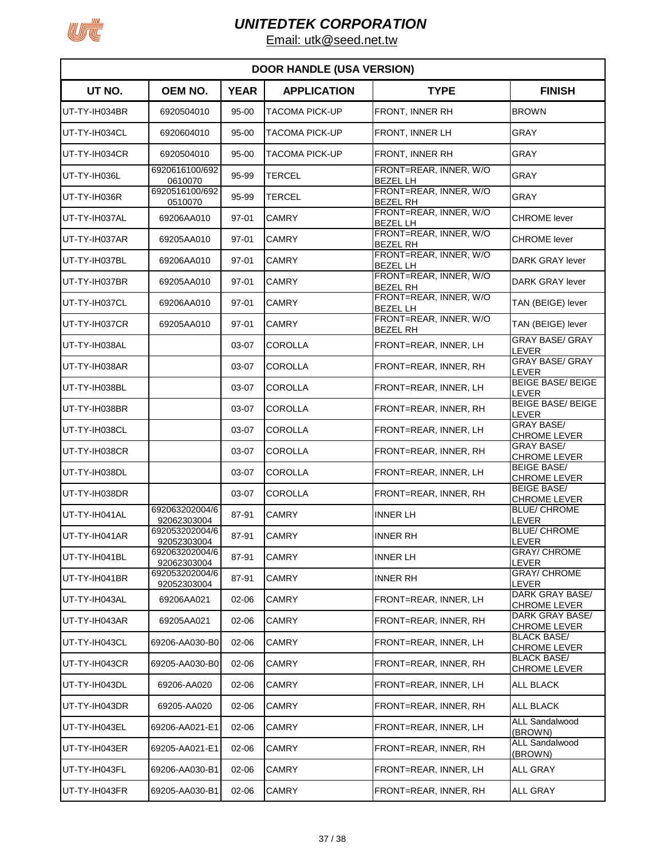

| <b>DOOR HANDLE (USA VERSION)</b> |                               |             |                       |                                           |                                           |  |  |  |  |
|----------------------------------|-------------------------------|-------------|-----------------------|-------------------------------------------|-------------------------------------------|--|--|--|--|
| UT NO.                           | OEM NO.                       | <b>YEAR</b> | <b>APPLICATION</b>    | <b>TYPE</b>                               | <b>FINISH</b>                             |  |  |  |  |
| UT-TY-IH034BR                    | 6920504010                    | 95-00       | TACOMA PICK-UP        | FRONT, INNER RH                           | <b>BROWN</b>                              |  |  |  |  |
| UT-TY-IH034CL                    | 6920604010                    | 95-00       | <b>TACOMA PICK-UP</b> | FRONT, INNER LH                           | <b>GRAY</b>                               |  |  |  |  |
| UT-TY-IH034CR                    | 6920504010                    | 95-00       | <b>TACOMA PICK-UP</b> | FRONT, INNER RH                           | <b>GRAY</b>                               |  |  |  |  |
| UT-TY-IH036L                     | 6920616100/692<br>0610070     | 95-99       | <b>TERCEL</b>         | FRONT=REAR, INNER, W/O<br><b>BEZEL LH</b> | <b>GRAY</b>                               |  |  |  |  |
| UT-TY-IH036R                     | 6920516100/692<br>0510070     | 95-99       | <b>TERCEL</b>         | FRONT=REAR, INNER, W/O<br><b>BEZEL RH</b> | <b>GRAY</b>                               |  |  |  |  |
| UT-TY-IH037AL                    | 69206AA010                    | 97-01       | <b>CAMRY</b>          | FRONT=REAR, INNER, W/O<br><b>BEZEL LH</b> | <b>CHROME</b> lever                       |  |  |  |  |
| UT-TY-IH037AR                    | 69205AA010                    | 97-01       | <b>CAMRY</b>          | FRONT=REAR, INNER, W/O<br><b>BEZEL RH</b> | <b>CHROME</b> lever                       |  |  |  |  |
| UT-TY-IH037BL                    | 69206AA010                    | 97-01       | <b>CAMRY</b>          | FRONT=REAR, INNER, W/O<br><b>BEZEL LH</b> | DARK GRAY lever                           |  |  |  |  |
| UT-TY-IH037BR                    | 69205AA010                    | 97-01       | <b>CAMRY</b>          | FRONT=REAR, INNER, W/O<br><b>BEZEL RH</b> | DARK GRAY lever                           |  |  |  |  |
| UT-TY-IH037CL                    | 69206AA010                    | 97-01       | <b>CAMRY</b>          | FRONT=REAR, INNER, W/O<br><b>BEZEL LH</b> | TAN (BEIGE) lever                         |  |  |  |  |
| UT-TY-IH037CR                    | 69205AA010                    | 97-01       | <b>CAMRY</b>          | FRONT=REAR, INNER, W/O<br><b>BEZEL RH</b> | TAN (BEIGE) lever                         |  |  |  |  |
| UT-TY-IH038AL                    |                               | 03-07       | <b>COROLLA</b>        | FRONT=REAR, INNER, LH                     | <b>GRAY BASE/ GRAY</b><br>LEVER           |  |  |  |  |
| UT-TY-IH038AR                    |                               | 03-07       | <b>COROLLA</b>        | FRONT=REAR, INNER, RH                     | <b>GRAY BASE/ GRAY</b><br>LEVER           |  |  |  |  |
| UT-TY-IH038BL                    |                               | 03-07       | <b>COROLLA</b>        | FRONT=REAR, INNER, LH                     | <b>BEIGE BASE/ BEIGE</b><br>LEVER         |  |  |  |  |
| UT-TY-IH038BR                    |                               | 03-07       | <b>COROLLA</b>        | FRONT=REAR, INNER, RH                     | <b>BEIGE BASE/ BEIGE</b><br>LEVER         |  |  |  |  |
| UT-TY-IH038CL                    |                               | 03-07       | COROLLA               | FRONT=REAR, INNER, LH                     | <b>GRAY BASE/</b><br><b>CHROME LEVER</b>  |  |  |  |  |
| UT-TY-IH038CR                    |                               | 03-07       | <b>COROLLA</b>        | FRONT=REAR, INNER, RH                     | <b>GRAY BASE/</b><br><b>CHROME LEVER</b>  |  |  |  |  |
| UT-TY-IH038DL                    |                               | 03-07       | <b>COROLLA</b>        | FRONT=REAR, INNER, LH                     | <b>BEIGE BASE/</b><br><b>CHROME LEVER</b> |  |  |  |  |
| UT-TY-IH038DR                    |                               | 03-07       | <b>COROLLA</b>        | FRONT=REAR, INNER, RH                     | <b>BEIGE BASE/</b><br><b>CHROME LEVER</b> |  |  |  |  |
| UT-TY-IH041AL                    | 692063202004/6<br>92062303004 | 87-91       | <b>CAMRY</b>          | <b>INNER LH</b>                           | <b>BLUE/ CHROME</b><br>LEVER              |  |  |  |  |
| UT-TY-IH041AR                    | 692053202004/6<br>92052303004 | 87-91       | <b>CAMRY</b>          | <b>INNER RH</b>                           | <b>BLUE/ CHROME</b><br><b>LEVER</b>       |  |  |  |  |
| UT-TY-IH041BL                    | 692063202004/6<br>92062303004 | 87-91       | CAMRY                 | <b>INNER LH</b>                           | <b>GRAY/ CHROME</b><br>LEVER              |  |  |  |  |
| UT-TY-IH041BR                    | 692053202004/6<br>92052303004 | 87-91       | <b>CAMRY</b>          | <b>INNER RH</b>                           | <b>GRAY/ CHROME</b><br>LEVER              |  |  |  |  |
| UT-TY-IH043AL                    | 69206AA021                    | 02-06       | <b>CAMRY</b>          | FRONT=REAR, INNER, LH                     | DARK GRAY BASE/<br><b>CHROME LEVER</b>    |  |  |  |  |
| UT-TY-IH043AR                    | 69205AA021                    | 02-06       | CAMRY                 | FRONT=REAR, INNER, RH                     | DARK GRAY BASE/<br><b>CHROME LEVER</b>    |  |  |  |  |
| UT-TY-IH043CL                    | 69206-AA030-B0                | 02-06       | <b>CAMRY</b>          | FRONT=REAR, INNER, LH                     | <b>BLACK BASE/</b><br><b>CHROME LEVER</b> |  |  |  |  |
| UT-TY-IH043CR                    | 69205-AA030-B0                | 02-06       | <b>CAMRY</b>          | FRONT=REAR, INNER, RH                     | <b>BLACK BASE/</b><br><b>CHROME LEVER</b> |  |  |  |  |
| UT-TY-IH043DL                    | 69206-AA020                   | 02-06       | <b>CAMRY</b>          | FRONT=REAR, INNER, LH                     | ALL BLACK                                 |  |  |  |  |
| UT-TY-IH043DR                    | 69205-AA020                   | 02-06       | <b>CAMRY</b>          | FRONT=REAR, INNER, RH                     | ALL BLACK                                 |  |  |  |  |
| UT-TY-IH043EL                    | 69206-AA021-E1                | 02-06       | <b>CAMRY</b>          | FRONT=REAR, INNER, LH                     | <b>ALL Sandalwood</b><br>(BROWN)          |  |  |  |  |
| UT-TY-IH043ER                    | 69205-AA021-E1                | 02-06       | <b>CAMRY</b>          | FRONT=REAR, INNER, RH                     | <b>ALL Sandalwood</b><br>(BROWN)          |  |  |  |  |
| UT-TY-IH043FL                    | 69206-AA030-B1                | $02 - 06$   | CAMRY                 | FRONT=REAR, INNER, LH                     | <b>ALL GRAY</b>                           |  |  |  |  |
| UT-TY-IH043FR                    | 69205-AA030-B1                | 02-06       | CAMRY                 | FRONT=REAR, INNER, RH                     | <b>ALL GRAY</b>                           |  |  |  |  |